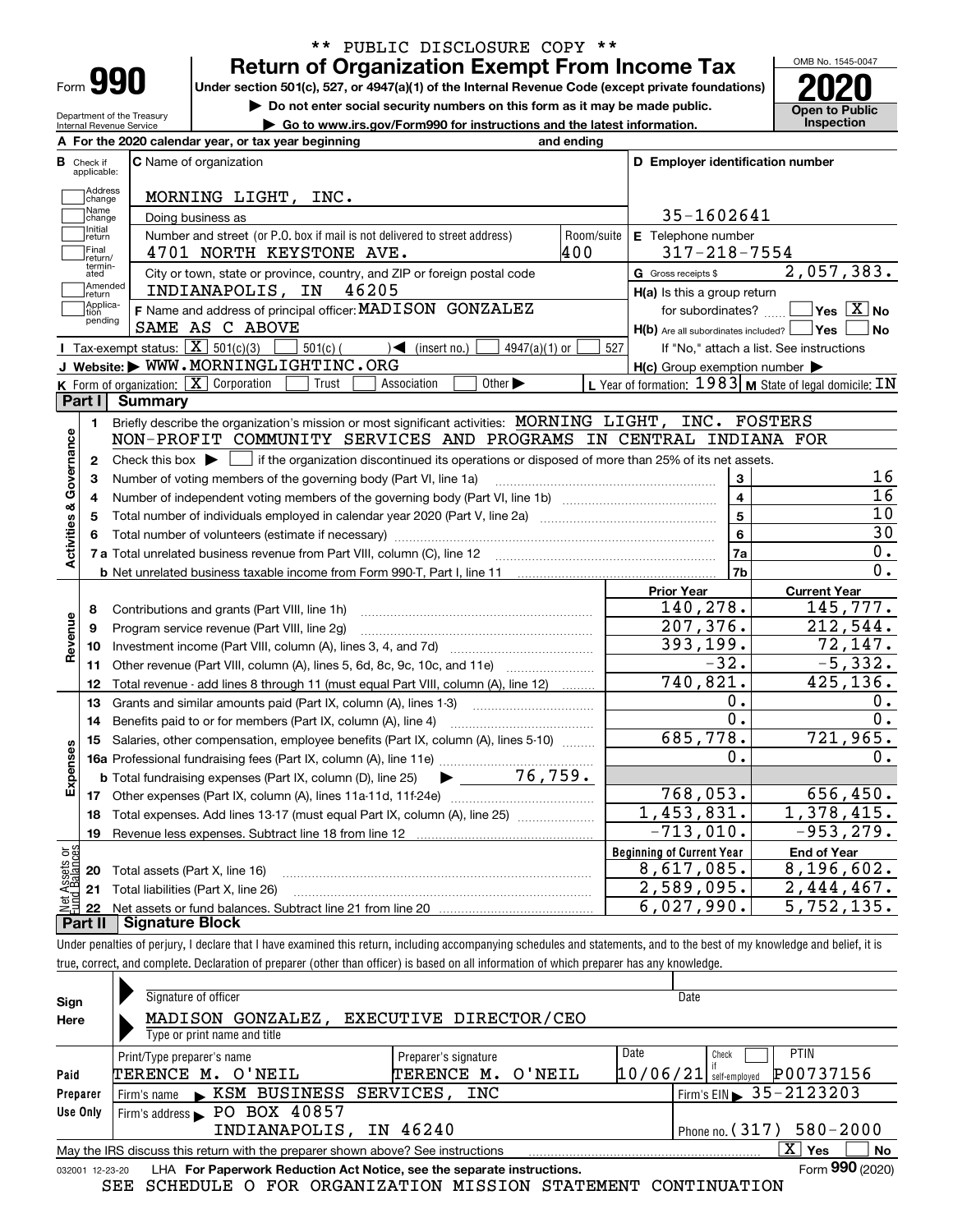| Form |  |
|------|--|

## **Return of Organization Exempt From Income Tax** \*\* PUBLIC DISCLOSURE COPY \*\*

**Under section 501(c), 527, or 4947(a)(1) of the Internal Revenue Code (except private foundations) 2020**

**| Do not enter social security numbers on this form as it may be made public.**

OMB No. 1545-0047 **Open to Public** 

| Department of the Treasury<br>► Go to www.irs.gov/Form990 for instructions and the latest information.<br>Internal Revenue Service |                             |                                                                                                                                             |                                  |                                                           | <b>Open to Public</b><br>Inspection       |
|------------------------------------------------------------------------------------------------------------------------------------|-----------------------------|---------------------------------------------------------------------------------------------------------------------------------------------|----------------------------------|-----------------------------------------------------------|-------------------------------------------|
|                                                                                                                                    |                             | A For the 2020 calendar year, or tax year beginning                                                                                         | and ending                       |                                                           |                                           |
| В                                                                                                                                  | Check if<br>applicable:     | <b>C</b> Name of organization                                                                                                               | D Employer identification number |                                                           |                                           |
|                                                                                                                                    | Address<br>change           | MORNING LIGHT, INC.                                                                                                                         |                                  |                                                           |                                           |
|                                                                                                                                    | Name<br>change              | Doing business as                                                                                                                           |                                  | 35-1602641                                                |                                           |
|                                                                                                                                    | Initial<br>return           | Number and street (or P.O. box if mail is not delivered to street address)                                                                  | Room/suite                       | E Telephone number                                        |                                           |
|                                                                                                                                    | Final<br>return/            | 4701 NORTH KEYSTONE AVE.                                                                                                                    | 400                              | $317 - 218 - 7554$                                        |                                           |
|                                                                                                                                    | termin-<br>ated             | City or town, state or province, country, and ZIP or foreign postal code                                                                    |                                  | G Gross receipts \$                                       | 2,057,383.                                |
|                                                                                                                                    | Amended<br> return          | INDIANAPOLIS, IN<br>46205                                                                                                                   |                                  | $H(a)$ is this a group return                             |                                           |
|                                                                                                                                    | Applica-<br>tion<br>pending | F Name and address of principal officer: MADISON GONZALEZ                                                                                   |                                  | for subordinates?                                         | $\overline{\ }$ Yes $\overline{\ \ X}$ No |
|                                                                                                                                    |                             | SAME AS C ABOVE                                                                                                                             |                                  | $H(b)$ Are all subordinates included? $\Box$ Yes $\Box$   | ∣No                                       |
|                                                                                                                                    |                             | Tax-exempt status: $\boxed{\mathbf{X}}$ 501(c)(3)<br>$\sqrt{\bullet}$ (insert no.)<br>$501(c)$ (<br>$4947(a)(1)$ or                         | 527                              | If "No," attach a list. See instructions                  |                                           |
|                                                                                                                                    |                             | J Website: WWW.MORNINGLIGHTINC.ORG                                                                                                          |                                  | $H(c)$ Group exemption number $\blacktriangleright$       |                                           |
|                                                                                                                                    |                             | K Form of organization: X Corporation<br>Trust<br>Association<br>Other $\blacktriangleright$                                                |                                  | L Year of formation: 1983   M State of legal domicile: IN |                                           |
|                                                                                                                                    | Part II                     | Summary                                                                                                                                     |                                  |                                                           |                                           |
|                                                                                                                                    | 1.                          | Briefly describe the organization's mission or most significant activities: MORNING LIGHT, INC. FOSTERS                                     |                                  |                                                           |                                           |
|                                                                                                                                    |                             | NON-PROFIT COMMUNITY SERVICES AND PROGRAMS IN CENTRAL INDIANA FOR                                                                           |                                  |                                                           |                                           |
| Activities & Governance                                                                                                            | $\mathbf{2}$                | Check this box $\blacktriangleright$ $\Box$ if the organization discontinued its operations or disposed of more than 25% of its net assets. |                                  |                                                           |                                           |
|                                                                                                                                    | 3                           | Number of voting members of the governing body (Part VI, line 1a)                                                                           |                                  | 3                                                         | 16                                        |
|                                                                                                                                    | 4                           |                                                                                                                                             |                                  | $\overline{\mathbf{4}}$                                   | 16                                        |
|                                                                                                                                    | 5                           | Total number of individuals employed in calendar year 2020 (Part V, line 2a) <i>mused component condition</i>                               |                                  | 5                                                         | 10                                        |
|                                                                                                                                    | 6                           |                                                                                                                                             |                                  | 6                                                         | 30                                        |
|                                                                                                                                    |                             |                                                                                                                                             |                                  | 7a                                                        | $0$ .                                     |
|                                                                                                                                    |                             |                                                                                                                                             |                                  | 7b                                                        | 0.                                        |
|                                                                                                                                    |                             |                                                                                                                                             |                                  | <b>Prior Year</b>                                         | <b>Current Year</b>                       |
|                                                                                                                                    | 8                           | Contributions and grants (Part VIII, line 1h)                                                                                               |                                  | 140,278.                                                  | 145,777.                                  |
| Revenue                                                                                                                            | 9                           | Program service revenue (Part VIII, line 2g)                                                                                                |                                  | 207, 376.                                                 | 212,544.                                  |
|                                                                                                                                    | 10                          |                                                                                                                                             |                                  | 393,199.                                                  | 72, 147.                                  |
|                                                                                                                                    | 11                          | Other revenue (Part VIII, column (A), lines 5, 6d, 8c, 9c, 10c, and 11e)                                                                    |                                  | $-32.$                                                    | $-5,332.$                                 |
|                                                                                                                                    | 12                          | Total revenue - add lines 8 through 11 (must equal Part VIII, column (A), line 12)                                                          |                                  | $\overline{740}$ , 821.                                   | 425, 136.                                 |
|                                                                                                                                    | 13                          | Grants and similar amounts paid (Part IX, column (A), lines 1-3)                                                                            |                                  | Ο.                                                        | 0.                                        |
|                                                                                                                                    | 14                          |                                                                                                                                             |                                  | $\overline{0}$ .                                          | 0.                                        |
|                                                                                                                                    | 15                          | Salaries, other compensation, employee benefits (Part IX, column (A), lines 5-10)                                                           |                                  | 685,778.                                                  | 721,965.                                  |
| Expenses                                                                                                                           |                             |                                                                                                                                             |                                  | 0.                                                        | О.                                        |
|                                                                                                                                    |                             | 76, 759.<br>$\blacktriangleright$ and $\blacktriangleright$<br><b>b</b> Total fundraising expenses (Part IX, column (D), line 25)           |                                  |                                                           |                                           |
|                                                                                                                                    |                             |                                                                                                                                             |                                  | 768,053.                                                  | 656, 450.                                 |
|                                                                                                                                    |                             | 18 Total expenses. Add lines 13-17 (must equal Part IX, column (A), line 25) <i>manumens</i>                                                |                                  | 1,453,831.                                                | 1,378,415.                                |
|                                                                                                                                    | 19                          |                                                                                                                                             |                                  | $-713,010.$                                               | $-953, 279.$                              |
| äğ                                                                                                                                 |                             |                                                                                                                                             |                                  | <b>Beginning of Current Year</b>                          | <b>End of Year</b>                        |
| Assets                                                                                                                             |                             | 20 Total assets (Part X, line 16)                                                                                                           |                                  | 8,617,085.                                                | 8,196,602.                                |
|                                                                                                                                    |                             | 21 Total liabilities (Part X, line 26)                                                                                                      |                                  | $\overline{2,589,095}$ .                                  | 2,444,467.                                |
|                                                                                                                                    |                             |                                                                                                                                             |                                  | 6,027,990.                                                | 5,752,135.                                |

**Part II Signature Block**

Under penalties of perjury, I declare that I have examined this return, including accompanying schedules and statements, and to the best of my knowledge and belief, it is true, correct, and complete. Declaration of preparer (other than officer) is based on all information of which preparer has any knowledge.

| Sign            | Signature of officer                                                                              | Date                                         |  |  |  |  |  |
|-----------------|---------------------------------------------------------------------------------------------------|----------------------------------------------|--|--|--|--|--|
| Here            | MADISON GONZALEZ, EXECUTIVE DIRECTOR/CEO                                                          |                                              |  |  |  |  |  |
|                 | Type or print name and title                                                                      |                                              |  |  |  |  |  |
|                 | Print/Type preparer's name<br>Preparer's signature                                                | Date<br><b>PTIN</b><br>Check                 |  |  |  |  |  |
| Paid            | TERENCE M. O'NEIL<br>O'NEIL<br>TERENCE M.                                                         | P00737156<br> 10/06/21 <br>self-employed     |  |  |  |  |  |
| Preparer        | Firm's name KSM BUSINESS SERVICES, INC                                                            | $\frac{1}{2}$ Firm's EIN $\geq 35 - 2123203$ |  |  |  |  |  |
| Use Only        | Firm's address PO BOX 40857                                                                       |                                              |  |  |  |  |  |
|                 | INDIANAPOLIS, IN 46240                                                                            | $580 - 2000$<br>$ $ Phone no. $(317)$        |  |  |  |  |  |
|                 | x<br>No<br>Yes<br>May the IRS discuss this return with the preparer shown above? See instructions |                                              |  |  |  |  |  |
| 032001 12-23-20 | LHA For Paperwork Reduction Act Notice, see the separate instructions.                            | Form 990 (2020)                              |  |  |  |  |  |

SEE SCHEDULE O FOR ORGANIZATION MISSION STATEMENT CONTINUATION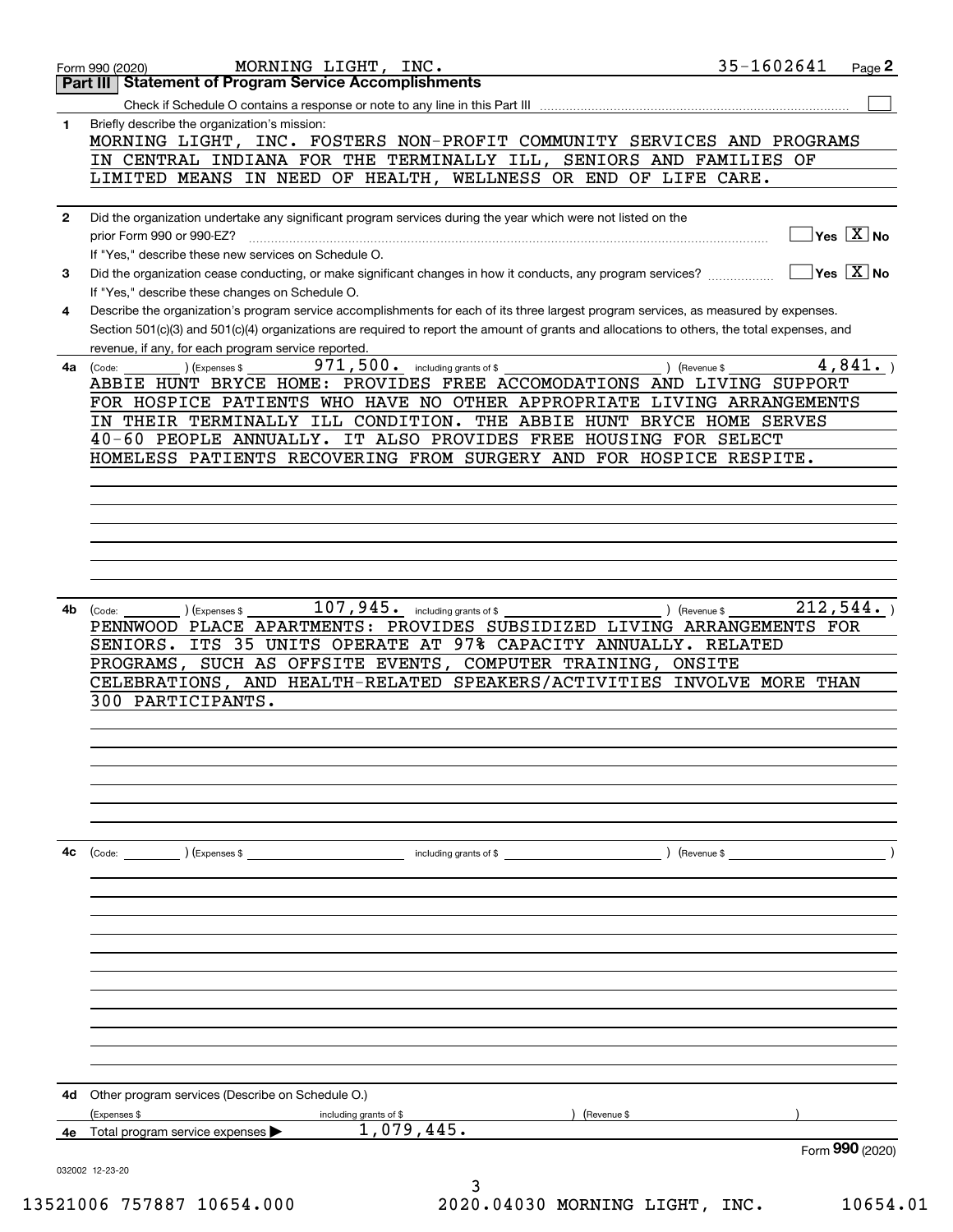|              | MORNING LIGHT, INC.<br>Form 990 (2020)                                                                                                       | 35-1602641                             | Page 2 |
|--------------|----------------------------------------------------------------------------------------------------------------------------------------------|----------------------------------------|--------|
|              | <b>Statement of Program Service Accomplishments</b><br>Part III                                                                              |                                        |        |
|              | Check if Schedule O contains a response or note to any line in this Part III                                                                 |                                        |        |
| 1            | Briefly describe the organization's mission:                                                                                                 |                                        |        |
|              | MORNING LIGHT, INC. FOSTERS NON-PROFIT COMMUNITY SERVICES AND PROGRAMS<br>IN CENTRAL INDIANA FOR THE TERMINALLY ILL, SENIORS AND FAMILIES OF |                                        |        |
|              | LIMITED MEANS IN NEED OF HEALTH, WELLNESS OR END OF LIFE CARE.                                                                               |                                        |        |
|              |                                                                                                                                              |                                        |        |
| $\mathbf{2}$ | Did the organization undertake any significant program services during the year which were not listed on the                                 |                                        |        |
|              | prior Form 990 or 990-EZ?                                                                                                                    | $Yes \quad X \quad No$                 |        |
|              | If "Yes," describe these new services on Schedule O.                                                                                         |                                        |        |
| 3            | Did the organization cease conducting, or make significant changes in how it conducts, any program services?                                 | $\sqrt{}$ Yes $\sqrt{}$ X $\sqrt{}$ No |        |
|              | If "Yes," describe these changes on Schedule O.                                                                                              |                                        |        |
| 4            | Describe the organization's program service accomplishments for each of its three largest program services, as measured by expenses.         |                                        |        |
|              | Section 501(c)(3) and 501(c)(4) organizations are required to report the amount of grants and allocations to others, the total expenses, and |                                        |        |
|              | revenue, if any, for each program service reported.<br>$971, 500$ $\cdot$ including grants of \$                                             |                                        | 4,841. |
| 4a           | (Code:<br>(Expenses \$<br>ABBIE HUNT BRYCE HOME: PROVIDES FREE ACCOMODATIONS AND LIVING SUPPORT                                              | ) (Revenue \$                          |        |
|              | FOR HOSPICE PATIENTS WHO HAVE NO OTHER APPROPRIATE LIVING ARRANGEMENTS                                                                       |                                        |        |
|              | IN THEIR TERMINALLY ILL CONDITION. THE ABBIE HUNT BRYCE HOME SERVES                                                                          |                                        |        |
|              | 40-60 PEOPLE ANNUALLY. IT ALSO PROVIDES FREE HOUSING FOR SELECT                                                                              |                                        |        |
|              | HOMELESS PATIENTS RECOVERING FROM SURGERY AND FOR HOSPICE RESPITE.                                                                           |                                        |        |
|              |                                                                                                                                              |                                        |        |
|              |                                                                                                                                              |                                        |        |
|              |                                                                                                                                              |                                        |        |
|              |                                                                                                                                              |                                        |        |
|              |                                                                                                                                              |                                        |        |
|              |                                                                                                                                              |                                        |        |
| 4b           | $107$ , $945$ . including grants of \$<br>(Expenses \$<br>(Code:                                                                             | 212,544.<br>) (Revenue \$              |        |
|              | PENNWOOD PLACE APARTMENTS: PROVIDES SUBSIDIZED LIVING ARRANGEMENTS FOR                                                                       |                                        |        |
|              | SENIORS. ITS 35 UNITS OPERATE AT 97% CAPACITY ANNUALLY. RELATED                                                                              |                                        |        |
|              | PROGRAMS, SUCH AS OFFSITE EVENTS, COMPUTER TRAINING, ONSITE                                                                                  |                                        |        |
|              | CELEBRATIONS, AND HEALTH-RELATED SPEAKERS/ACTIVITIES INVOLVE MORE THAN                                                                       |                                        |        |
|              | 300 PARTICIPANTS.                                                                                                                            |                                        |        |
|              |                                                                                                                                              |                                        |        |
|              |                                                                                                                                              |                                        |        |
|              |                                                                                                                                              |                                        |        |
|              |                                                                                                                                              |                                        |        |
|              |                                                                                                                                              |                                        |        |
|              |                                                                                                                                              |                                        |        |
| 4c           | $\left(\text{Code:}\right)$ $\left(\text{Expenses $}\right)$<br>including grants of \$                                                       | ) (Revenue \$                          |        |
|              |                                                                                                                                              |                                        |        |
|              |                                                                                                                                              |                                        |        |
|              |                                                                                                                                              |                                        |        |
|              |                                                                                                                                              |                                        |        |
|              |                                                                                                                                              |                                        |        |
|              |                                                                                                                                              |                                        |        |
|              |                                                                                                                                              |                                        |        |
|              |                                                                                                                                              |                                        |        |
|              |                                                                                                                                              |                                        |        |
|              |                                                                                                                                              |                                        |        |
|              |                                                                                                                                              |                                        |        |
| 4d           | Other program services (Describe on Schedule O.)                                                                                             |                                        |        |
|              | (Expenses \$<br>(Revenue \$<br>including grants of \$                                                                                        |                                        |        |
| 4е           | 1,079,445.<br>Total program service expenses                                                                                                 |                                        |        |
|              |                                                                                                                                              | Form 990 (2020)                        |        |
|              | 032002 12-23-20<br>3                                                                                                                         |                                        |        |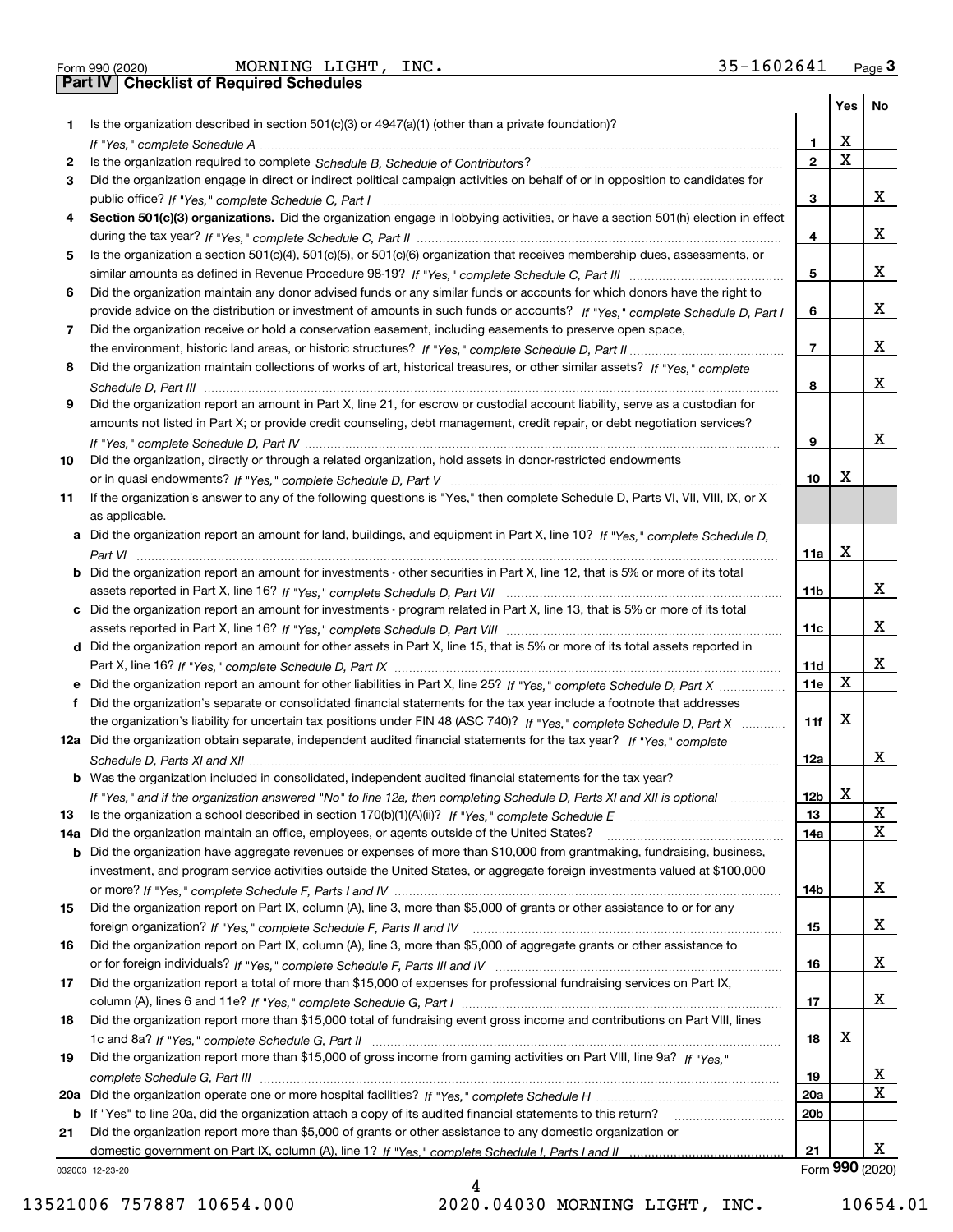|  | Form 990 (2020) |
|--|-----------------|
|  |                 |

Form 990 (2020) MORNING LIGHT, INC. 35-160 2641 <sub>Page</sub> 3<br>**Part IV** | Checklist of Required Schedules

|     |                                                                                                                                       |                 | Yes $ $ | No              |
|-----|---------------------------------------------------------------------------------------------------------------------------------------|-----------------|---------|-----------------|
| 1.  | Is the organization described in section $501(c)(3)$ or $4947(a)(1)$ (other than a private foundation)?                               |                 |         |                 |
|     |                                                                                                                                       | 1               | х       |                 |
| 2   |                                                                                                                                       | $\mathbf{2}$    | X       |                 |
| 3   | Did the organization engage in direct or indirect political campaign activities on behalf of or in opposition to candidates for       |                 |         |                 |
|     |                                                                                                                                       | З               |         | х               |
| 4   | Section 501(c)(3) organizations. Did the organization engage in lobbying activities, or have a section 501(h) election in effect      |                 |         |                 |
|     |                                                                                                                                       | 4               |         | x               |
| 5   | Is the organization a section 501(c)(4), 501(c)(5), or 501(c)(6) organization that receives membership dues, assessments, or          |                 |         |                 |
|     |                                                                                                                                       | 5               |         | x               |
| 6   | Did the organization maintain any donor advised funds or any similar funds or accounts for which donors have the right to             |                 |         |                 |
|     | provide advice on the distribution or investment of amounts in such funds or accounts? If "Yes," complete Schedule D, Part I          | 6               |         | x               |
| 7   | Did the organization receive or hold a conservation easement, including easements to preserve open space,                             |                 |         |                 |
|     |                                                                                                                                       | $\overline{7}$  |         | x               |
| 8   | Did the organization maintain collections of works of art, historical treasures, or other similar assets? If "Yes," complete          |                 |         |                 |
|     |                                                                                                                                       | 8               |         | х               |
| 9   | Did the organization report an amount in Part X, line 21, for escrow or custodial account liability, serve as a custodian for         |                 |         |                 |
|     | amounts not listed in Part X; or provide credit counseling, debt management, credit repair, or debt negotiation services?             |                 |         |                 |
|     |                                                                                                                                       | 9               |         | х               |
| 10  | Did the organization, directly or through a related organization, hold assets in donor-restricted endowments                          |                 |         |                 |
|     |                                                                                                                                       | 10              | х       |                 |
|     |                                                                                                                                       |                 |         |                 |
| 11  | If the organization's answer to any of the following questions is "Yes," then complete Schedule D, Parts VI, VII, VIII, IX, or X      |                 |         |                 |
|     | as applicable.                                                                                                                        |                 |         |                 |
|     | a Did the organization report an amount for land, buildings, and equipment in Part X, line 10? If "Yes," complete Schedule D,         |                 |         |                 |
|     |                                                                                                                                       | 11a             | x       |                 |
|     | <b>b</b> Did the organization report an amount for investments - other securities in Part X, line 12, that is 5% or more of its total |                 |         |                 |
|     |                                                                                                                                       | 11b             |         | x               |
|     | c Did the organization report an amount for investments - program related in Part X, line 13, that is 5% or more of its total         |                 |         |                 |
|     |                                                                                                                                       | 11c             |         | х               |
|     | d Did the organization report an amount for other assets in Part X, line 15, that is 5% or more of its total assets reported in       |                 |         |                 |
|     |                                                                                                                                       | 11d             |         | x               |
|     |                                                                                                                                       | 11e             | х       |                 |
| f   | Did the organization's separate or consolidated financial statements for the tax year include a footnote that addresses               |                 |         |                 |
|     | the organization's liability for uncertain tax positions under FIN 48 (ASC 740)? If "Yes," complete Schedule D, Part X                | 11f             | x       |                 |
|     | 12a Did the organization obtain separate, independent audited financial statements for the tax year? If "Yes," complete               |                 |         |                 |
|     |                                                                                                                                       | 12a             |         | x               |
|     | <b>b</b> Was the organization included in consolidated, independent audited financial statements for the tax year?                    |                 |         |                 |
|     | If "Yes," and if the organization answered "No" to line 12a, then completing Schedule D, Parts XI and XII is optional                 | 12 <sub>b</sub> | X       |                 |
| 13  | Is the organization a school described in section 170(b)(1)(A)(ii)? If "Yes," complete Schedule E                                     | 13              |         | X               |
| 14a | Did the organization maintain an office, employees, or agents outside of the United States?                                           | 14a             |         | х               |
|     | <b>b</b> Did the organization have aggregate revenues or expenses of more than \$10,000 from grantmaking, fundraising, business,      |                 |         |                 |
|     | investment, and program service activities outside the United States, or aggregate foreign investments valued at \$100,000            |                 |         |                 |
|     |                                                                                                                                       | 14b             |         | x               |
| 15  | Did the organization report on Part IX, column (A), line 3, more than \$5,000 of grants or other assistance to or for any             |                 |         |                 |
|     |                                                                                                                                       | 15              |         | x               |
| 16  | Did the organization report on Part IX, column (A), line 3, more than \$5,000 of aggregate grants or other assistance to              |                 |         |                 |
|     |                                                                                                                                       | 16              |         | X               |
| 17  | Did the organization report a total of more than \$15,000 of expenses for professional fundraising services on Part IX,               |                 |         |                 |
|     |                                                                                                                                       | 17              |         | x               |
| 18  | Did the organization report more than \$15,000 total of fundraising event gross income and contributions on Part VIII, lines          |                 |         |                 |
|     |                                                                                                                                       | 18              | X       |                 |
| 19  | Did the organization report more than \$15,000 of gross income from gaming activities on Part VIII, line 9a? If "Yes."                |                 |         |                 |
|     |                                                                                                                                       | 19              |         | X               |
| 20a |                                                                                                                                       | 20a             |         | Χ               |
|     | b If "Yes" to line 20a, did the organization attach a copy of its audited financial statements to this return?                        | 20 <sub>b</sub> |         |                 |
| 21  | Did the organization report more than \$5,000 of grants or other assistance to any domestic organization or                           |                 |         |                 |
|     |                                                                                                                                       | 21              |         | x               |
|     | 032003 12-23-20                                                                                                                       |                 |         | Form 990 (2020) |
|     |                                                                                                                                       |                 |         |                 |

032003 12-23-20

13521006 757887 10654.000 2020.04030 MORNING LIGHT, INC. 10654.01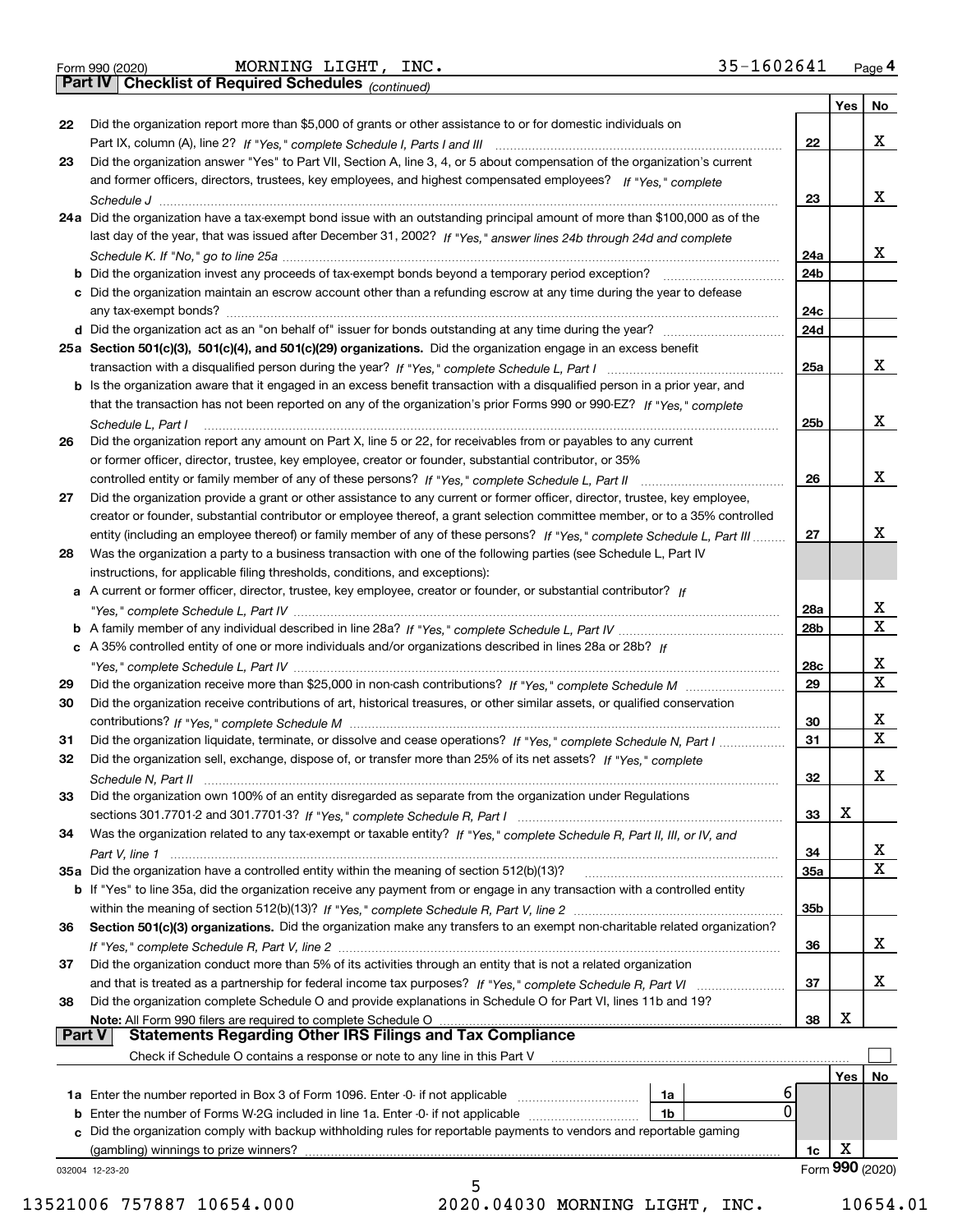|  | Form 990 (2020) |
|--|-----------------|
|  |                 |

Form 990 (2020) MORNING LIGHT,INC. 35-160 2641 <sub>Page</sub> 4<br>**Part IV | Checklist of Required Schedules** <sub>(continued)</sub>

*(continued)*

|               |                                                                                                                              |     | Yes             | No                      |
|---------------|------------------------------------------------------------------------------------------------------------------------------|-----|-----------------|-------------------------|
| 22            | Did the organization report more than \$5,000 of grants or other assistance to or for domestic individuals on                |     |                 |                         |
|               |                                                                                                                              | 22  |                 | x                       |
| 23            | Did the organization answer "Yes" to Part VII, Section A, line 3, 4, or 5 about compensation of the organization's current   |     |                 |                         |
|               | and former officers, directors, trustees, key employees, and highest compensated employees? If "Yes," complete               |     |                 |                         |
|               |                                                                                                                              | 23  |                 | х                       |
|               | 24a Did the organization have a tax-exempt bond issue with an outstanding principal amount of more than \$100,000 as of the  |     |                 |                         |
|               | last day of the year, that was issued after December 31, 2002? If "Yes," answer lines 24b through 24d and complete           |     |                 |                         |
|               |                                                                                                                              | 24a |                 | x                       |
|               |                                                                                                                              | 24b |                 |                         |
|               | c Did the organization maintain an escrow account other than a refunding escrow at any time during the year to defease       |     |                 |                         |
|               |                                                                                                                              | 24c |                 |                         |
|               |                                                                                                                              | 24d |                 |                         |
|               | 25a Section 501(c)(3), 501(c)(4), and 501(c)(29) organizations. Did the organization engage in an excess benefit             |     |                 |                         |
|               |                                                                                                                              | 25a |                 | х                       |
|               | b Is the organization aware that it engaged in an excess benefit transaction with a disqualified person in a prior year, and |     |                 |                         |
|               | that the transaction has not been reported on any of the organization's prior Forms 990 or 990-EZ? If "Yes," complete        |     |                 |                         |
|               | Schedule L. Part I                                                                                                           | 25b |                 | х                       |
| 26            | Did the organization report any amount on Part X, line 5 or 22, for receivables from or payables to any current              |     |                 |                         |
|               | or former officer, director, trustee, key employee, creator or founder, substantial contributor, or 35%                      |     |                 |                         |
|               |                                                                                                                              | 26  |                 | х                       |
| 27            | Did the organization provide a grant or other assistance to any current or former officer, director, trustee, key employee,  |     |                 |                         |
|               | creator or founder, substantial contributor or employee thereof, a grant selection committee member, or to a 35% controlled  |     |                 |                         |
|               | entity (including an employee thereof) or family member of any of these persons? If "Yes," complete Schedule L, Part III     | 27  |                 | x                       |
| 28            | Was the organization a party to a business transaction with one of the following parties (see Schedule L, Part IV            |     |                 |                         |
|               | instructions, for applicable filing thresholds, conditions, and exceptions):                                                 |     |                 |                         |
|               | a A current or former officer, director, trustee, key employee, creator or founder, or substantial contributor? If           |     |                 |                         |
|               |                                                                                                                              | 28a |                 | х                       |
|               |                                                                                                                              | 28b |                 | $\mathbf X$             |
|               | c A 35% controlled entity of one or more individuals and/or organizations described in lines 28a or 28b? If                  |     |                 |                         |
|               |                                                                                                                              | 28c |                 | x                       |
| 29            |                                                                                                                              | 29  |                 | $\overline{\mathbf{x}}$ |
| 30            | Did the organization receive contributions of art, historical treasures, or other similar assets, or qualified conservation  |     |                 |                         |
|               |                                                                                                                              | 30  |                 | х                       |
| 31            | Did the organization liquidate, terminate, or dissolve and cease operations? If "Yes," complete Schedule N, Part I           | 31  |                 | $\mathbf X$             |
| 32            | Did the organization sell, exchange, dispose of, or transfer more than 25% of its net assets? If "Yes," complete             |     |                 |                         |
|               | Schedule N, Part II                                                                                                          | 32  |                 | X                       |
| 33            | Did the organization own 100% of an entity disregarded as separate from the organization under Regulations                   |     |                 |                         |
|               |                                                                                                                              | 33  | X               |                         |
| 34            | Was the organization related to any tax-exempt or taxable entity? If "Yes," complete Schedule R, Part II, III, or IV, and    |     |                 |                         |
|               | Part V, line 1                                                                                                               | 34  |                 | X                       |
|               | 35a Did the organization have a controlled entity within the meaning of section 512(b)(13)?                                  | 35a |                 | $\mathbf X$             |
|               | b If "Yes" to line 35a, did the organization receive any payment from or engage in any transaction with a controlled entity  |     |                 |                         |
|               |                                                                                                                              | 35b |                 |                         |
| 36            | Section 501(c)(3) organizations. Did the organization make any transfers to an exempt non-charitable related organization?   |     |                 |                         |
|               |                                                                                                                              | 36  |                 | x                       |
| 37            | Did the organization conduct more than 5% of its activities through an entity that is not a related organization             |     |                 |                         |
|               |                                                                                                                              | 37  |                 | х                       |
| 38            | Did the organization complete Schedule O and provide explanations in Schedule O for Part VI, lines 11b and 19?               |     |                 |                         |
|               | Note: All Form 990 filers are required to complete Schedule O                                                                | 38  | X               |                         |
| <b>Part V</b> | <b>Statements Regarding Other IRS Filings and Tax Compliance</b>                                                             |     |                 |                         |
|               | Check if Schedule O contains a response or note to any line in this Part V                                                   |     |                 |                         |
|               |                                                                                                                              |     | Yes             | No                      |
|               | 6<br>1a                                                                                                                      |     |                 |                         |
|               | 0<br>1b                                                                                                                      |     |                 |                         |
|               | c Did the organization comply with backup withholding rules for reportable payments to vendors and reportable gaming         |     |                 |                         |
|               | (gambling) winnings to prize winners?                                                                                        | 1c  | х               |                         |
|               | 032004 12-23-20                                                                                                              |     | Form 990 (2020) |                         |
|               | 5                                                                                                                            |     |                 |                         |

13521006 757887 10654.000 2020.04030 MORNING LIGHT, INC. 10654.01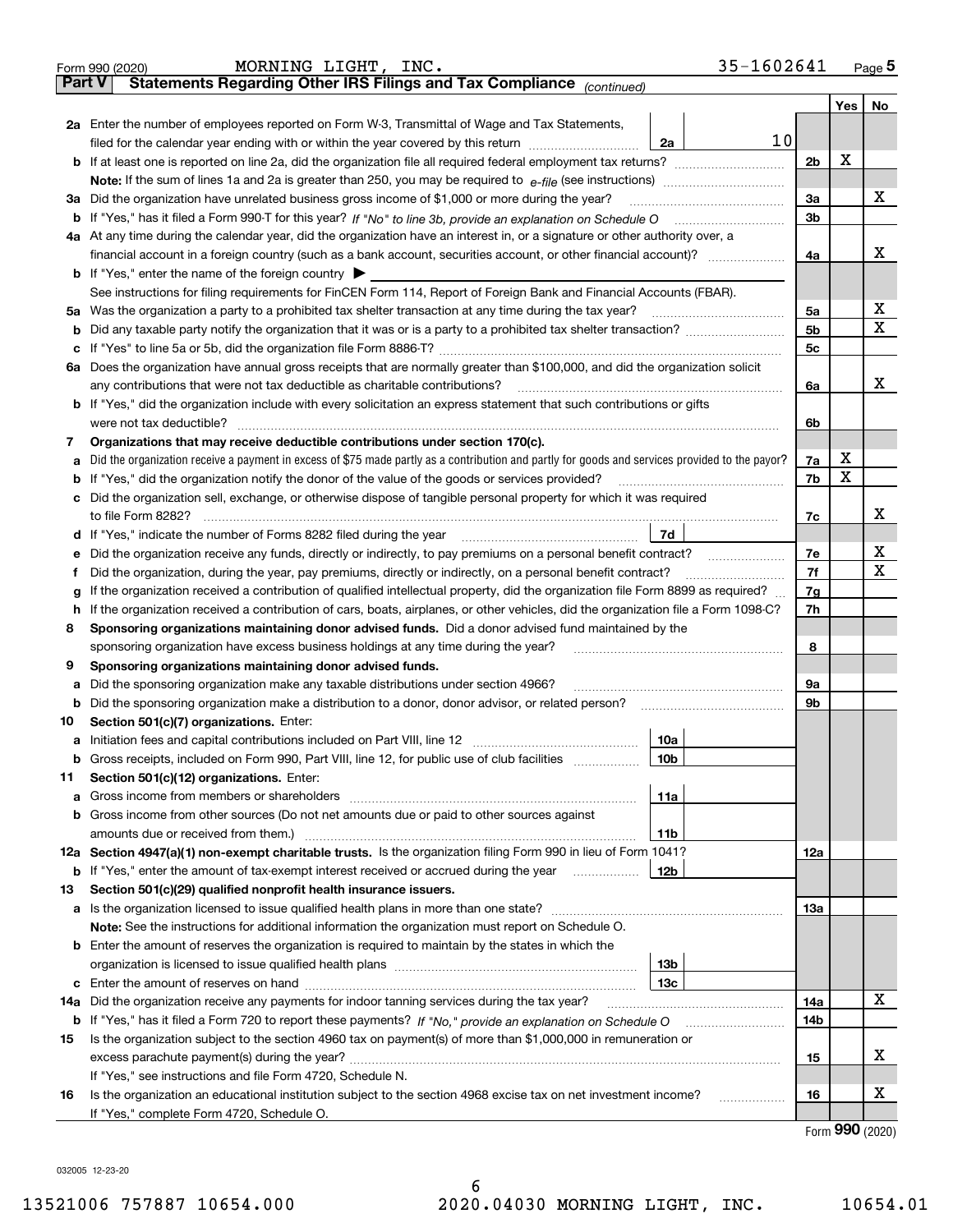|               | 35-1602641<br>MORNING LIGHT, INC.<br>Form 990 (2020)                                                                                            |                |                     | Page $5$ |  |  |
|---------------|-------------------------------------------------------------------------------------------------------------------------------------------------|----------------|---------------------|----------|--|--|
| <b>Part V</b> | Statements Regarding Other IRS Filings and Tax Compliance (continued)                                                                           |                |                     |          |  |  |
|               |                                                                                                                                                 |                | Yes                 | No       |  |  |
|               | 2a Enter the number of employees reported on Form W-3, Transmittal of Wage and Tax Statements,                                                  |                |                     |          |  |  |
|               | 10<br>filed for the calendar year ending with or within the year covered by this return<br>2a                                                   |                |                     |          |  |  |
|               |                                                                                                                                                 | 2 <sub>b</sub> | X                   |          |  |  |
|               |                                                                                                                                                 |                |                     |          |  |  |
|               | 3a Did the organization have unrelated business gross income of \$1,000 or more during the year?                                                | 3a             |                     | х        |  |  |
|               |                                                                                                                                                 | 3 <sub>b</sub> |                     |          |  |  |
|               | 4a At any time during the calendar year, did the organization have an interest in, or a signature or other authority over, a                    |                |                     |          |  |  |
|               |                                                                                                                                                 | 4a             |                     | X        |  |  |
|               | <b>b</b> If "Yes," enter the name of the foreign country $\blacktriangleright$                                                                  |                |                     |          |  |  |
|               | See instructions for filing requirements for FinCEN Form 114, Report of Foreign Bank and Financial Accounts (FBAR).                             |                |                     |          |  |  |
|               | 5a Was the organization a party to a prohibited tax shelter transaction at any time during the tax year?                                        | 5a             |                     | х        |  |  |
|               |                                                                                                                                                 | 5 <sub>b</sub> |                     | Χ        |  |  |
|               |                                                                                                                                                 | 5 <sub>c</sub> |                     |          |  |  |
|               | 6a Does the organization have annual gross receipts that are normally greater than \$100,000, and did the organization solicit                  |                |                     |          |  |  |
|               | any contributions that were not tax deductible as charitable contributions?                                                                     | 6a             |                     | х        |  |  |
|               | <b>b</b> If "Yes," did the organization include with every solicitation an express statement that such contributions or gifts                   |                |                     |          |  |  |
|               | were not tax deductible?                                                                                                                        | 6b             |                     |          |  |  |
| 7             | Organizations that may receive deductible contributions under section 170(c).                                                                   |                |                     |          |  |  |
| а             | Did the organization receive a payment in excess of \$75 made partly as a contribution and partly for goods and services provided to the payor? | 7a             | х                   |          |  |  |
|               | <b>b</b> If "Yes," did the organization notify the donor of the value of the goods or services provided?                                        | 7b             | X                   |          |  |  |
|               | c Did the organization sell, exchange, or otherwise dispose of tangible personal property for which it was required                             |                |                     |          |  |  |
|               | to file Form 8282?                                                                                                                              | 7c             |                     | х        |  |  |
|               | 7d                                                                                                                                              |                |                     |          |  |  |
|               | e Did the organization receive any funds, directly or indirectly, to pay premiums on a personal benefit contract?                               | 7e             |                     | х        |  |  |
| Ť             | Did the organization, during the year, pay premiums, directly or indirectly, on a personal benefit contract?                                    | 7f             |                     | Χ        |  |  |
| g             | If the organization received a contribution of qualified intellectual property, did the organization file Form 8899 as required?                | 7g             |                     |          |  |  |
|               | h If the organization received a contribution of cars, boats, airplanes, or other vehicles, did the organization file a Form 1098-C?            |                |                     |          |  |  |
| 8             | Sponsoring organizations maintaining donor advised funds. Did a donor advised fund maintained by the                                            |                |                     |          |  |  |
|               | sponsoring organization have excess business holdings at any time during the year?                                                              |                |                     |          |  |  |
| 9             | Sponsoring organizations maintaining donor advised funds.                                                                                       |                |                     |          |  |  |
| а             | Did the sponsoring organization make any taxable distributions under section 4966?                                                              | 9a             |                     |          |  |  |
|               | <b>b</b> Did the sponsoring organization make a distribution to a donor, donor advisor, or related person?                                      | 9b             |                     |          |  |  |
| 10            | Section 501(c)(7) organizations. Enter:                                                                                                         |                |                     |          |  |  |
|               | 10a                                                                                                                                             |                |                     |          |  |  |
|               | <b>b</b> Gross receipts, included on Form 990, Part VIII, line 12, for public use of club facilities <i>manument</i><br>10b                     |                |                     |          |  |  |
| 11            | Section 501(c)(12) organizations. Enter:                                                                                                        |                |                     |          |  |  |
|               | 11a                                                                                                                                             |                |                     |          |  |  |
|               | <b>b</b> Gross income from other sources (Do not net amounts due or paid to other sources against                                               |                |                     |          |  |  |
|               | amounts due or received from them.)<br>11b                                                                                                      |                |                     |          |  |  |
|               | 12a Section 4947(a)(1) non-exempt charitable trusts. Is the organization filing Form 990 in lieu of Form 1041?                                  | 12a            |                     |          |  |  |
|               | 12b<br><b>b</b> If "Yes," enter the amount of tax-exempt interest received or accrued during the year <i>manument</i>                           |                |                     |          |  |  |
| 13            | Section 501(c)(29) qualified nonprofit health insurance issuers.                                                                                |                |                     |          |  |  |
|               | a Is the organization licensed to issue qualified health plans in more than one state?                                                          | 13а            |                     |          |  |  |
|               | Note: See the instructions for additional information the organization must report on Schedule O.                                               |                |                     |          |  |  |
|               | <b>b</b> Enter the amount of reserves the organization is required to maintain by the states in which the                                       |                |                     |          |  |  |
|               | 13 <sub>b</sub>                                                                                                                                 |                |                     |          |  |  |
|               | 13с                                                                                                                                             |                |                     |          |  |  |
| 14a           | Did the organization receive any payments for indoor tanning services during the tax year?                                                      | 14a            |                     | х        |  |  |
|               |                                                                                                                                                 | 14b            |                     |          |  |  |
| 15            | Is the organization subject to the section 4960 tax on payment(s) of more than \$1,000,000 in remuneration or                                   |                |                     |          |  |  |
|               |                                                                                                                                                 | 15             |                     | х        |  |  |
|               | If "Yes," see instructions and file Form 4720, Schedule N.                                                                                      |                |                     |          |  |  |
| 16            | Is the organization an educational institution subject to the section 4968 excise tax on net investment income?<br>.                            | 16             |                     | х        |  |  |
|               | If "Yes," complete Form 4720, Schedule O.                                                                                                       |                | $\sim$ 000 $(0000)$ |          |  |  |
|               |                                                                                                                                                 |                |                     |          |  |  |

Form (2020) **990**

032005 12-23-20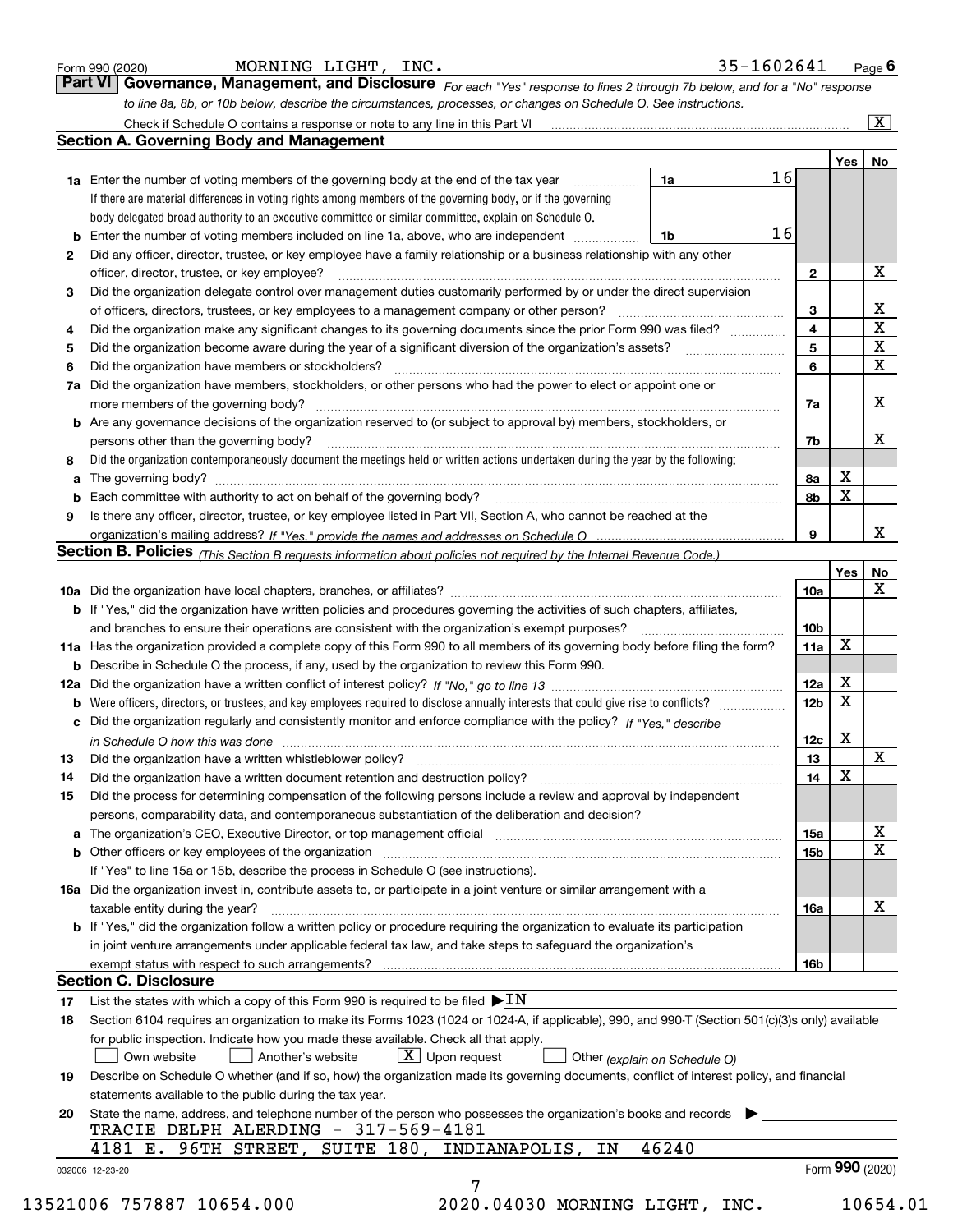|  | Form 990 (2020 |
|--|----------------|
|  |                |

*For each "Yes" response to lines 2 through 7b below, and for a "No" response to line 8a, 8b, or 10b below, describe the circumstances, processes, or changes on Schedule O. See instructions.* Form 990 (2020) **MORNING LIGHT, INC.**<br>**Part VI Governance, Management, and Disclosure** For each "Yes" response to lines 2 through 7b below, and for a "No" response Check if Schedule O contains a response or note to any line in this Part VI

|              |                                                                                                                                                                               |       |  |    |                         | Yes | No                      |
|--------------|-------------------------------------------------------------------------------------------------------------------------------------------------------------------------------|-------|--|----|-------------------------|-----|-------------------------|
|              | <b>1a</b> Enter the number of voting members of the governing body at the end of the tax year                                                                                 | 1a    |  | 16 |                         |     |                         |
|              | If there are material differences in voting rights among members of the governing body, or if the governing                                                                   |       |  |    |                         |     |                         |
|              | body delegated broad authority to an executive committee or similar committee, explain on Schedule O.                                                                         |       |  |    |                         |     |                         |
|              |                                                                                                                                                                               | 1b    |  | 16 |                         |     |                         |
| $\mathbf{2}$ | Did any officer, director, trustee, or key employee have a family relationship or a business relationship with any other                                                      |       |  |    |                         |     |                         |
|              | officer, director, trustee, or key employee?                                                                                                                                  |       |  |    | $\mathbf{2}$            |     | X                       |
| 3            | Did the organization delegate control over management duties customarily performed by or under the direct supervision                                                         |       |  |    |                         |     |                         |
|              |                                                                                                                                                                               |       |  |    | 3                       |     | X                       |
| 4            | Did the organization make any significant changes to its governing documents since the prior Form 990 was filed?                                                              |       |  |    | $\overline{\mathbf{4}}$ |     | $\overline{\textbf{X}}$ |
| 5            |                                                                                                                                                                               |       |  |    | 5                       |     | $\mathbf X$             |
| 6            | Did the organization have members or stockholders?                                                                                                                            |       |  |    | 6                       |     | $\mathbf x$             |
|              | 7a Did the organization have members, stockholders, or other persons who had the power to elect or appoint one or                                                             |       |  |    |                         |     |                         |
|              |                                                                                                                                                                               |       |  |    | 7a                      |     | х                       |
|              | <b>b</b> Are any governance decisions of the organization reserved to (or subject to approval by) members, stockholders, or                                                   |       |  |    |                         |     |                         |
|              | persons other than the governing body?                                                                                                                                        |       |  |    | 7b                      |     | х                       |
| 8            | Did the organization contemporaneously document the meetings held or written actions undertaken during the year by the following:                                             |       |  |    |                         |     |                         |
| a            |                                                                                                                                                                               |       |  |    | 8a                      | X   |                         |
|              |                                                                                                                                                                               |       |  |    | 8b                      | X   |                         |
| 9            | Is there any officer, director, trustee, or key employee listed in Part VII, Section A, who cannot be reached at the                                                          |       |  |    |                         |     |                         |
|              |                                                                                                                                                                               |       |  |    | 9                       |     | х                       |
|              | Section B. Policies (This Section B requests information about policies not required by the Internal Revenue Code.)                                                           |       |  |    |                         |     |                         |
|              |                                                                                                                                                                               |       |  |    |                         | Yes | No                      |
|              |                                                                                                                                                                               |       |  |    | 10a                     |     | X                       |
|              |                                                                                                                                                                               |       |  |    |                         |     |                         |
|              | <b>b</b> If "Yes," did the organization have written policies and procedures governing the activities of such chapters, affiliates,                                           |       |  |    |                         |     |                         |
|              |                                                                                                                                                                               |       |  |    | 10 <sub>b</sub>         | X   |                         |
|              | 11a Has the organization provided a complete copy of this Form 990 to all members of its governing body before filing the form?                                               |       |  |    | 11a                     |     |                         |
|              | <b>b</b> Describe in Schedule O the process, if any, used by the organization to review this Form 990.                                                                        |       |  |    |                         |     |                         |
|              |                                                                                                                                                                               |       |  |    | 12a                     | X   |                         |
| b            |                                                                                                                                                                               |       |  |    | 12b                     | X   |                         |
|              | c Did the organization regularly and consistently monitor and enforce compliance with the policy? If "Yes," describe                                                          |       |  |    |                         |     |                         |
|              | in Schedule O how this was done manufactured and continuum control of the Schedule O how this was done manufactured and continuum control of the Schedule O how this was done |       |  |    | 12c                     | X   |                         |
| 13           |                                                                                                                                                                               |       |  |    | 13                      |     | X                       |
| 14           | Did the organization have a written document retention and destruction policy? manufactured and the organization have a written document retention and destruction policy?    |       |  |    | 14                      | X   |                         |
| 15           | Did the process for determining compensation of the following persons include a review and approval by independent                                                            |       |  |    |                         |     |                         |
|              | persons, comparability data, and contemporaneous substantiation of the deliberation and decision?                                                                             |       |  |    |                         |     |                         |
|              |                                                                                                                                                                               |       |  |    | 15a                     |     | X                       |
|              |                                                                                                                                                                               |       |  |    | 15 <sub>b</sub>         |     | $\mathbf X$             |
|              | If "Yes" to line 15a or 15b, describe the process in Schedule O (see instructions).                                                                                           |       |  |    |                         |     |                         |
|              | 16a Did the organization invest in, contribute assets to, or participate in a joint venture or similar arrangement with a                                                     |       |  |    |                         |     |                         |
|              | taxable entity during the year?                                                                                                                                               |       |  |    | 16a                     |     | X                       |
|              | b If "Yes," did the organization follow a written policy or procedure requiring the organization to evaluate its participation                                                |       |  |    |                         |     |                         |
|              | in joint venture arrangements under applicable federal tax law, and take steps to safeguard the organization's                                                                |       |  |    |                         |     |                         |
|              | exempt status with respect to such arrangements?                                                                                                                              |       |  |    | 16b                     |     |                         |
|              | <b>Section C. Disclosure</b>                                                                                                                                                  |       |  |    |                         |     |                         |
| 17           | List the states with which a copy of this Form 990 is required to be filed $\blacktriangleright$ IN                                                                           |       |  |    |                         |     |                         |
| 18           | Section 6104 requires an organization to make its Forms 1023 (1024 or 1024-A, if applicable), 990, and 990-T (Section 501(c)(3)s only) available                              |       |  |    |                         |     |                         |
|              | for public inspection. Indicate how you made these available. Check all that apply.                                                                                           |       |  |    |                         |     |                         |
|              | $X$ Upon request<br>Own website<br>Another's website<br>Other (explain on Schedule O)                                                                                         |       |  |    |                         |     |                         |
| 19           | Describe on Schedule O whether (and if so, how) the organization made its governing documents, conflict of interest policy, and financial                                     |       |  |    |                         |     |                         |
|              | statements available to the public during the tax year.                                                                                                                       |       |  |    |                         |     |                         |
| 20           | State the name, address, and telephone number of the person who possesses the organization's books and records                                                                |       |  |    |                         |     |                         |
|              | TRACIE DELPH ALERDING - 317-569-4181                                                                                                                                          |       |  |    |                         |     |                         |
|              | 4181 E. 96TH STREET, SUITE 180, INDIANAPOLIS,<br>ΙN                                                                                                                           | 46240 |  |    |                         |     |                         |
|              |                                                                                                                                                                               |       |  |    |                         |     |                         |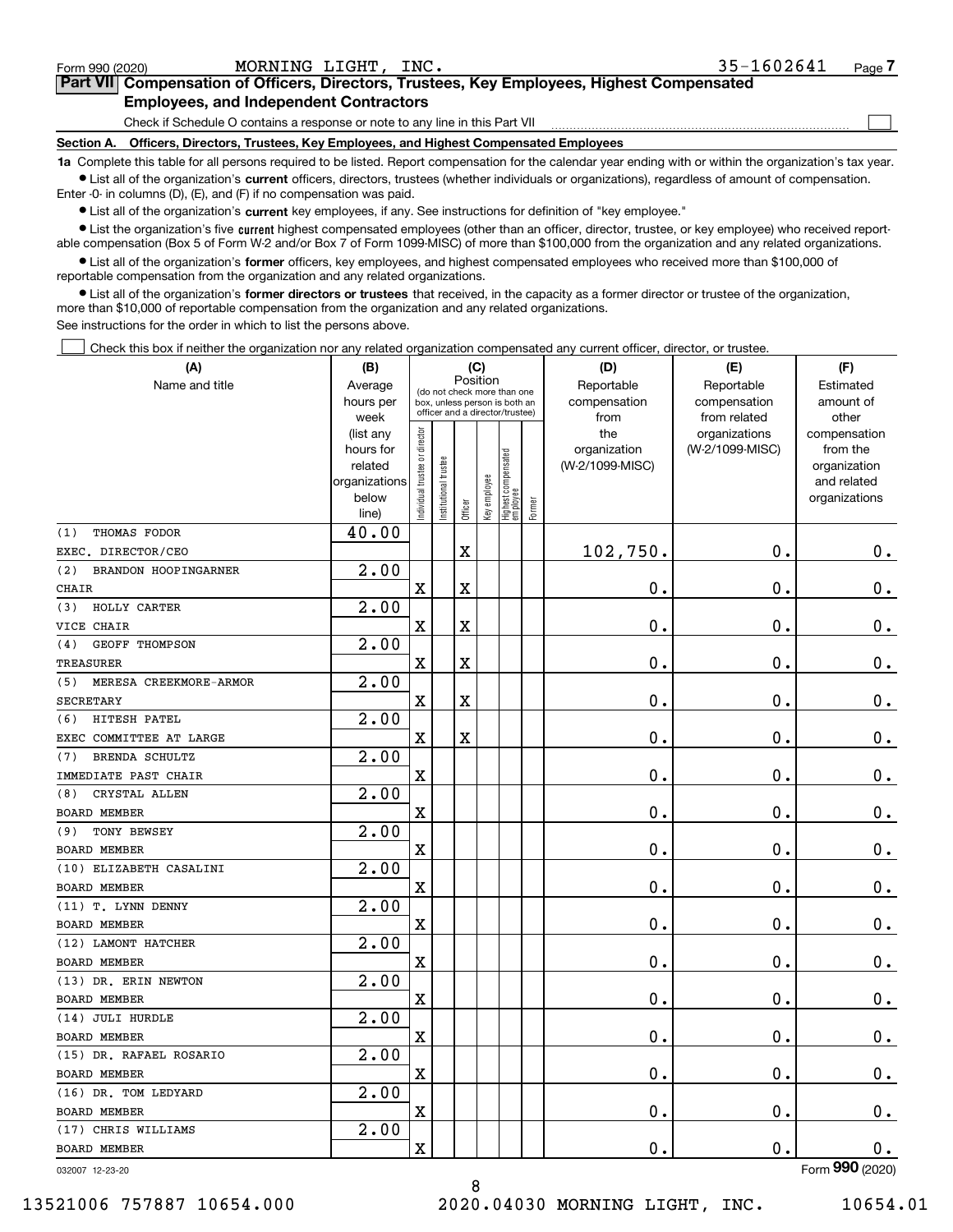| Form 990 (2020)                                                                                                                                            | MORNING LIGHT, INC.                                                                        | 35-1602641<br>Page - |  |  |  |  |
|------------------------------------------------------------------------------------------------------------------------------------------------------------|--------------------------------------------------------------------------------------------|----------------------|--|--|--|--|
|                                                                                                                                                            | Part VII Compensation of Officers, Directors, Trustees, Key Employees, Highest Compensated |                      |  |  |  |  |
| <b>Employees, and Independent Contractors</b>                                                                                                              |                                                                                            |                      |  |  |  |  |
| Check if Schedule O contains a response or note to any line in this Part VII                                                                               |                                                                                            |                      |  |  |  |  |
| Section A.                                                                                                                                                 | Officers, Directors, Trustees, Key Employees, and Highest Compensated Employees            |                      |  |  |  |  |
| 1a Complete this table for all persons required to be listed. Report compensation for the calendar year ending with or within the organization's tax year. |                                                                                            |                      |  |  |  |  |

**1a •** List all of the organization's current officers, directors, trustees (whether individuals or organizations), regardless of amount of compensation. Enter -0- in columns (D), (E), and (F) if no compensation was paid.

 $\bullet$  List all of the organization's  $\,$ current key employees, if any. See instructions for definition of "key employee."

**•** List the organization's five current highest compensated employees (other than an officer, director, trustee, or key employee) who received reportable compensation (Box 5 of Form W-2 and/or Box 7 of Form 1099-MISC) of more than \$100,000 from the organization and any related organizations.

**•** List all of the organization's former officers, key employees, and highest compensated employees who received more than \$100,000 of reportable compensation from the organization and any related organizations.

**former directors or trustees**  ¥ List all of the organization's that received, in the capacity as a former director or trustee of the organization, more than \$10,000 of reportable compensation from the organization and any related organizations.

See instructions for the order in which to list the persons above.

Check this box if neither the organization nor any related organization compensated any current officer, director, or trustee.  $\mathcal{L}^{\text{max}}$ 

| (A)                           | (B)                    | (C)                           |                                                                  |             |              |                                  |        | (D)                 | (E)                              | (F)                      |  |  |
|-------------------------------|------------------------|-------------------------------|------------------------------------------------------------------|-------------|--------------|----------------------------------|--------|---------------------|----------------------------------|--------------------------|--|--|
| Name and title                | Average                |                               | Position<br>(do not check more than one                          |             |              |                                  |        | Reportable          | Reportable                       | Estimated                |  |  |
|                               | hours per              |                               | box, unless person is both an<br>officer and a director/trustee) |             |              |                                  |        | compensation        | compensation                     | amount of                |  |  |
|                               | week                   |                               |                                                                  |             |              |                                  |        | from                | from related                     | other                    |  |  |
|                               | (list any<br>hours for | ndividual trustee or director |                                                                  |             |              |                                  |        | the<br>organization | organizations<br>(W-2/1099-MISC) | compensation<br>from the |  |  |
|                               | related                |                               |                                                                  |             |              |                                  |        | (W-2/1099-MISC)     |                                  | organization             |  |  |
|                               | organizations          |                               |                                                                  |             |              |                                  |        |                     |                                  | and related              |  |  |
|                               | below                  |                               | nstitutional trustee                                             |             |              |                                  |        |                     |                                  | organizations            |  |  |
|                               | line)                  |                               |                                                                  | Officer     | Key employee | Highest compensated<br> employee | Former |                     |                                  |                          |  |  |
| THOMAS FODOR<br>(1)           | 40.00                  |                               |                                                                  |             |              |                                  |        |                     |                                  |                          |  |  |
| EXEC. DIRECTOR/CEO            |                        |                               |                                                                  | $\mathbf X$ |              |                                  |        | 102,750.            | 0.                               | 0.                       |  |  |
| (2)<br>BRANDON HOOPINGARNER   | 2.00                   |                               |                                                                  |             |              |                                  |        |                     |                                  |                          |  |  |
| <b>CHAIR</b>                  |                        | $\overline{\text{X}}$         |                                                                  | $\rm X$     |              |                                  |        | 0.                  | 0.                               | $\mathbf 0$ .            |  |  |
| HOLLY CARTER<br>(3)           | 2.00                   |                               |                                                                  |             |              |                                  |        |                     |                                  |                          |  |  |
| VICE CHAIR                    |                        | $\overline{\mathbf{X}}$       |                                                                  | $\mathbf X$ |              |                                  |        | 0.                  | $\mathbf 0$ .                    | $\mathbf 0$ .            |  |  |
| <b>GEOFF THOMPSON</b><br>(4)  | 2.00                   |                               |                                                                  |             |              |                                  |        |                     |                                  |                          |  |  |
| <b>TREASURER</b>              |                        | $\overline{\mathbf{X}}$       |                                                                  | $\mathbf X$ |              |                                  |        | 0.                  | $\mathbf{0}$ .                   | $\mathbf 0$ .            |  |  |
| (5)<br>MERESA CREEKMORE-ARMOR | $\overline{2.00}$      |                               |                                                                  |             |              |                                  |        |                     |                                  |                          |  |  |
| SECRETARY                     |                        | $\overline{\text{X}}$         |                                                                  | $\rm X$     |              |                                  |        | 0.                  | $\mathbf 0$ .                    | 0.                       |  |  |
| (6)<br>HITESH PATEL           | 2.00                   |                               |                                                                  |             |              |                                  |        |                     |                                  |                          |  |  |
| EXEC COMMITTEE AT LARGE       |                        | $\overline{\text{X}}$         |                                                                  | $\rm X$     |              |                                  |        | 0.                  | 0.                               | $0_{.}$                  |  |  |
| <b>BRENDA SCHULTZ</b><br>(7)  | 2.00                   |                               |                                                                  |             |              |                                  |        |                     |                                  |                          |  |  |
| IMMEDIATE PAST CHAIR          |                        | $\overline{\text{X}}$         |                                                                  |             |              |                                  |        | 0.                  | 0.                               | $0_{.}$                  |  |  |
| CRYSTAL ALLEN<br>(8)          | 2.00                   |                               |                                                                  |             |              |                                  |        |                     |                                  |                          |  |  |
| <b>BOARD MEMBER</b>           |                        | $\overline{\mathbf{X}}$       |                                                                  |             |              |                                  |        | 0.                  | $\mathbf 0$ .                    | $\mathbf 0$ .            |  |  |
| TONY BEWSEY<br>(9)            | 2.00                   |                               |                                                                  |             |              |                                  |        |                     |                                  |                          |  |  |
| <b>BOARD MEMBER</b>           |                        | X                             |                                                                  |             |              |                                  |        | $\mathbf 0$ .       | 0.                               | $\mathbf 0$ .            |  |  |
| (10) ELIZABETH CASALINI       | 2.00                   |                               |                                                                  |             |              |                                  |        |                     |                                  |                          |  |  |
| <b>BOARD MEMBER</b>           |                        | $\overline{\text{X}}$         |                                                                  |             |              |                                  |        | $\mathbf 0$ .       | $\mathbf 0$ .                    | $\mathbf 0$ .            |  |  |
| (11) T. LYNN DENNY            | 2.00                   |                               |                                                                  |             |              |                                  |        |                     |                                  |                          |  |  |
| <b>BOARD MEMBER</b>           |                        | X                             |                                                                  |             |              |                                  |        | $\mathbf 0$ .       | $\mathbf 0$ .                    | $\mathbf 0$ .            |  |  |
| (12) LAMONT HATCHER           | 2.00                   |                               |                                                                  |             |              |                                  |        |                     |                                  |                          |  |  |
| <b>BOARD MEMBER</b>           |                        | X                             |                                                                  |             |              |                                  |        | $\mathbf 0$ .       | $\mathbf 0$ .                    | $\mathbf 0$ .            |  |  |
| (13) DR. ERIN NEWTON          | 2.00                   |                               |                                                                  |             |              |                                  |        |                     |                                  |                          |  |  |
| <b>BOARD MEMBER</b>           |                        | $\overline{\mathbf{X}}$       |                                                                  |             |              |                                  |        | 0.                  | $\mathbf 0$ .                    | $\mathbf 0$ .            |  |  |
| (14) JULI HURDLE              | 2.00                   |                               |                                                                  |             |              |                                  |        |                     |                                  |                          |  |  |
| <b>BOARD MEMBER</b>           |                        | $\overline{\mathbf{X}}$       |                                                                  |             |              |                                  |        | $\mathbf 0$ .       | $\mathbf 0$ .                    | 0.                       |  |  |
| (15) DR. RAFAEL ROSARIO       | $\overline{2.00}$      |                               |                                                                  |             |              |                                  |        |                     |                                  |                          |  |  |
| <b>BOARD MEMBER</b>           |                        | X                             |                                                                  |             |              |                                  |        | $\mathbf 0$ .       | 0.                               | 0.                       |  |  |
| (16) DR. TOM LEDYARD          | $\overline{2.00}$      |                               |                                                                  |             |              |                                  |        |                     |                                  |                          |  |  |
| BOARD MEMBER                  |                        | X                             |                                                                  |             |              |                                  |        | 0.                  | $\mathbf 0$ .                    | 0.                       |  |  |
| (17) CHRIS WILLIAMS           | 2.00                   |                               |                                                                  |             |              |                                  |        |                     |                                  |                          |  |  |
| <b>BOARD MEMBER</b>           |                        | $\overline{\mathbf{X}}$       |                                                                  |             |              |                                  |        | 0.                  | $\mathbf 0$ .                    | 0.                       |  |  |
|                               |                        |                               |                                                                  |             |              |                                  |        |                     |                                  | $\overline{2}$           |  |  |

8

032007 12-23-20

Form (2020) **990**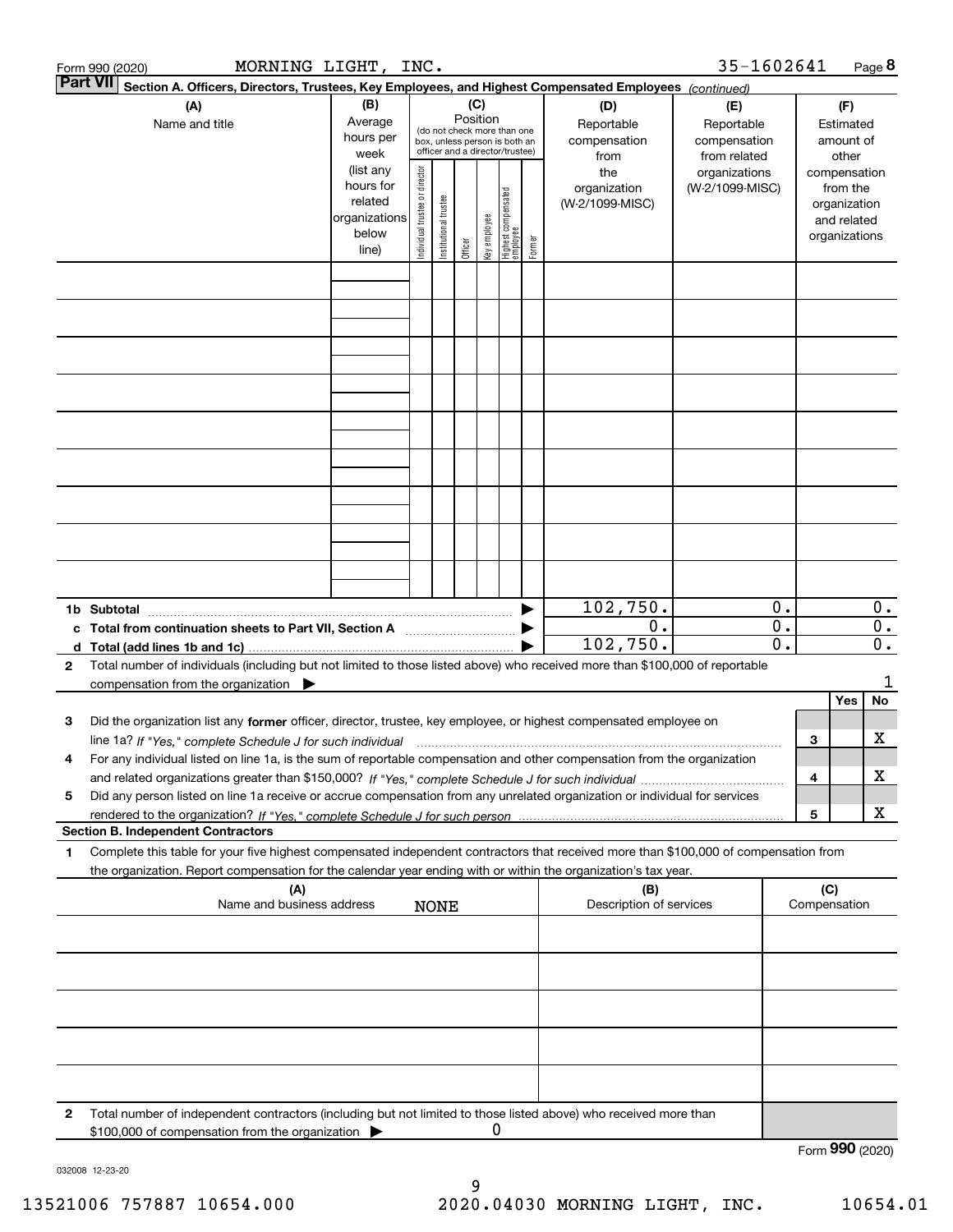|                 | MORNING LIGHT, INC.<br>Form 990 (2020)                                                                                                               |               |                                         |                       |         |              |                                   |        |                                | 35-1602641      |                  |                     |           | Page 8           |
|-----------------|------------------------------------------------------------------------------------------------------------------------------------------------------|---------------|-----------------------------------------|-----------------------|---------|--------------|-----------------------------------|--------|--------------------------------|-----------------|------------------|---------------------|-----------|------------------|
| <b>Part VII</b> | Section A. Officers, Directors, Trustees, Key Employees, and Highest Compensated Employees (continued)                                               |               |                                         |                       |         |              |                                   |        |                                |                 |                  |                     |           |                  |
|                 | (A)                                                                                                                                                  | (B)           |                                         |                       | (C)     |              |                                   |        | (D)                            | (E)             |                  |                     | (F)       |                  |
|                 | Name and title                                                                                                                                       | Average       | Position<br>(do not check more than one |                       |         |              |                                   |        | Reportable                     | Reportable      |                  |                     | Estimated |                  |
|                 |                                                                                                                                                      | hours per     |                                         |                       |         |              | box, unless person is both an     |        | compensation                   | compensation    |                  |                     | amount of |                  |
|                 |                                                                                                                                                      | week          |                                         |                       |         |              | officer and a director/trustee)   |        | from                           | from related    |                  |                     | other     |                  |
|                 |                                                                                                                                                      | (list any     |                                         |                       |         |              |                                   |        | the                            | organizations   |                  | compensation        |           |                  |
|                 |                                                                                                                                                      | hours for     | Individual trustee or director          |                       |         |              |                                   |        | organization                   | (W-2/1099-MISC) |                  |                     | from the  |                  |
|                 |                                                                                                                                                      | related       |                                         | Institutional trustee |         |              | Highest compensated<br>  employee |        | (W-2/1099-MISC)                |                 |                  | organization        |           |                  |
|                 |                                                                                                                                                      | organizations |                                         |                       |         | Key employee |                                   |        |                                |                 |                  | and related         |           |                  |
|                 |                                                                                                                                                      | below         |                                         |                       | Officer |              |                                   | Former |                                |                 |                  | organizations       |           |                  |
|                 |                                                                                                                                                      | line)         |                                         |                       |         |              |                                   |        |                                |                 |                  |                     |           |                  |
|                 |                                                                                                                                                      |               |                                         |                       |         |              |                                   |        |                                |                 |                  |                     |           |                  |
|                 |                                                                                                                                                      |               |                                         |                       |         |              |                                   |        |                                |                 |                  |                     |           |                  |
|                 |                                                                                                                                                      |               |                                         |                       |         |              |                                   |        |                                |                 |                  |                     |           |                  |
|                 |                                                                                                                                                      |               |                                         |                       |         |              |                                   |        |                                |                 |                  |                     |           |                  |
|                 |                                                                                                                                                      |               |                                         |                       |         |              |                                   |        |                                |                 |                  |                     |           |                  |
|                 |                                                                                                                                                      |               |                                         |                       |         |              |                                   |        |                                |                 |                  |                     |           |                  |
|                 |                                                                                                                                                      |               |                                         |                       |         |              |                                   |        |                                |                 |                  |                     |           |                  |
|                 |                                                                                                                                                      |               |                                         |                       |         |              |                                   |        |                                |                 |                  |                     |           |                  |
|                 |                                                                                                                                                      |               |                                         |                       |         |              |                                   |        |                                |                 |                  |                     |           |                  |
|                 |                                                                                                                                                      |               |                                         |                       |         |              |                                   |        |                                |                 |                  |                     |           |                  |
|                 |                                                                                                                                                      |               |                                         |                       |         |              |                                   |        |                                |                 |                  |                     |           |                  |
|                 |                                                                                                                                                      |               |                                         |                       |         |              |                                   |        |                                |                 |                  |                     |           |                  |
|                 |                                                                                                                                                      |               |                                         |                       |         |              |                                   |        |                                |                 |                  |                     |           |                  |
|                 |                                                                                                                                                      |               |                                         |                       |         |              |                                   |        |                                |                 |                  |                     |           |                  |
|                 |                                                                                                                                                      |               |                                         |                       |         |              |                                   |        |                                |                 |                  |                     |           |                  |
|                 |                                                                                                                                                      |               |                                         |                       |         |              |                                   |        |                                |                 |                  |                     |           |                  |
|                 |                                                                                                                                                      |               |                                         |                       |         |              |                                   |        |                                |                 |                  |                     |           |                  |
|                 |                                                                                                                                                      |               |                                         |                       |         |              |                                   |        |                                |                 |                  |                     |           |                  |
|                 |                                                                                                                                                      |               |                                         |                       |         |              |                                   |        |                                |                 |                  |                     |           |                  |
|                 |                                                                                                                                                      |               |                                         |                       |         |              |                                   |        | 102,750.                       |                 | $\overline{0}$ . |                     |           | $\mathbf{0}$ .   |
|                 |                                                                                                                                                      |               |                                         |                       |         |              |                                   |        | 0.                             |                 | 0.               |                     |           | $\overline{0}$ . |
|                 | c Total from continuation sheets to Part VII, Section A manufactured by                                                                              |               |                                         |                       |         |              |                                   |        | 102, 750.                      |                 | 0.               |                     |           | $0$ .            |
|                 |                                                                                                                                                      |               |                                         |                       |         |              |                                   |        |                                |                 |                  |                     |           |                  |
| 2               | Total number of individuals (including but not limited to those listed above) who received more than \$100,000 of reportable                         |               |                                         |                       |         |              |                                   |        |                                |                 |                  |                     |           |                  |
|                 | compensation from the organization $\blacktriangleright$                                                                                             |               |                                         |                       |         |              |                                   |        |                                |                 |                  |                     |           | 1                |
|                 |                                                                                                                                                      |               |                                         |                       |         |              |                                   |        |                                |                 |                  |                     | Yes       | No               |
| 3               | Did the organization list any former officer, director, trustee, key employee, or highest compensated employee on                                    |               |                                         |                       |         |              |                                   |        |                                |                 |                  |                     |           |                  |
|                 | line 1a? If "Yes," complete Schedule J for such individual manufactured contained and the line 1a? If "Yes," complete Schedule J for such individual |               |                                         |                       |         |              |                                   |        |                                |                 |                  | 3                   |           | х                |
|                 | For any individual listed on line 1a, is the sum of reportable compensation and other compensation from the organization                             |               |                                         |                       |         |              |                                   |        |                                |                 |                  |                     |           |                  |
|                 |                                                                                                                                                      |               |                                         |                       |         |              |                                   |        |                                |                 |                  | 4                   |           | X                |
| 5               | Did any person listed on line 1a receive or accrue compensation from any unrelated organization or individual for services                           |               |                                         |                       |         |              |                                   |        |                                |                 |                  |                     |           |                  |
|                 |                                                                                                                                                      |               |                                         |                       |         |              |                                   |        |                                |                 |                  | 5                   |           | х                |
|                 | <b>Section B. Independent Contractors</b>                                                                                                            |               |                                         |                       |         |              |                                   |        |                                |                 |                  |                     |           |                  |
| 1               | Complete this table for your five highest compensated independent contractors that received more than \$100,000 of compensation from                 |               |                                         |                       |         |              |                                   |        |                                |                 |                  |                     |           |                  |
|                 |                                                                                                                                                      |               |                                         |                       |         |              |                                   |        |                                |                 |                  |                     |           |                  |
|                 | the organization. Report compensation for the calendar year ending with or within the organization's tax year.                                       |               |                                         |                       |         |              |                                   |        |                                |                 |                  |                     |           |                  |
|                 | (A)<br>Name and business address                                                                                                                     |               |                                         |                       |         |              |                                   |        | (B)<br>Description of services |                 |                  | (C)<br>Compensation |           |                  |
|                 |                                                                                                                                                      |               |                                         | <b>NONE</b>           |         |              |                                   |        |                                |                 |                  |                     |           |                  |
|                 |                                                                                                                                                      |               |                                         |                       |         |              |                                   |        |                                |                 |                  |                     |           |                  |
|                 |                                                                                                                                                      |               |                                         |                       |         |              |                                   |        |                                |                 |                  |                     |           |                  |
|                 |                                                                                                                                                      |               |                                         |                       |         |              |                                   |        |                                |                 |                  |                     |           |                  |
|                 |                                                                                                                                                      |               |                                         |                       |         |              |                                   |        |                                |                 |                  |                     |           |                  |
|                 |                                                                                                                                                      |               |                                         |                       |         |              |                                   |        |                                |                 |                  |                     |           |                  |
|                 |                                                                                                                                                      |               |                                         |                       |         |              |                                   |        |                                |                 |                  |                     |           |                  |
|                 |                                                                                                                                                      |               |                                         |                       |         |              |                                   |        |                                |                 |                  |                     |           |                  |
|                 |                                                                                                                                                      |               |                                         |                       |         |              |                                   |        |                                |                 |                  |                     |           |                  |
|                 |                                                                                                                                                      |               |                                         |                       |         |              |                                   |        |                                |                 |                  |                     |           |                  |
|                 |                                                                                                                                                      |               |                                         |                       |         |              |                                   |        |                                |                 |                  |                     |           |                  |
|                 |                                                                                                                                                      |               |                                         |                       |         |              |                                   |        |                                |                 |                  |                     |           |                  |
| 2               | Total number of independent contractors (including but not limited to those listed above) who received more than                                     |               |                                         |                       |         |              |                                   |        |                                |                 |                  |                     |           |                  |
|                 | \$100,000 of compensation from the organization                                                                                                      |               |                                         |                       |         | 0            |                                   |        |                                |                 |                  |                     |           |                  |
|                 |                                                                                                                                                      |               |                                         |                       |         |              |                                   |        |                                |                 |                  | Form 990 (2020)     |           |                  |

032008 12-23-20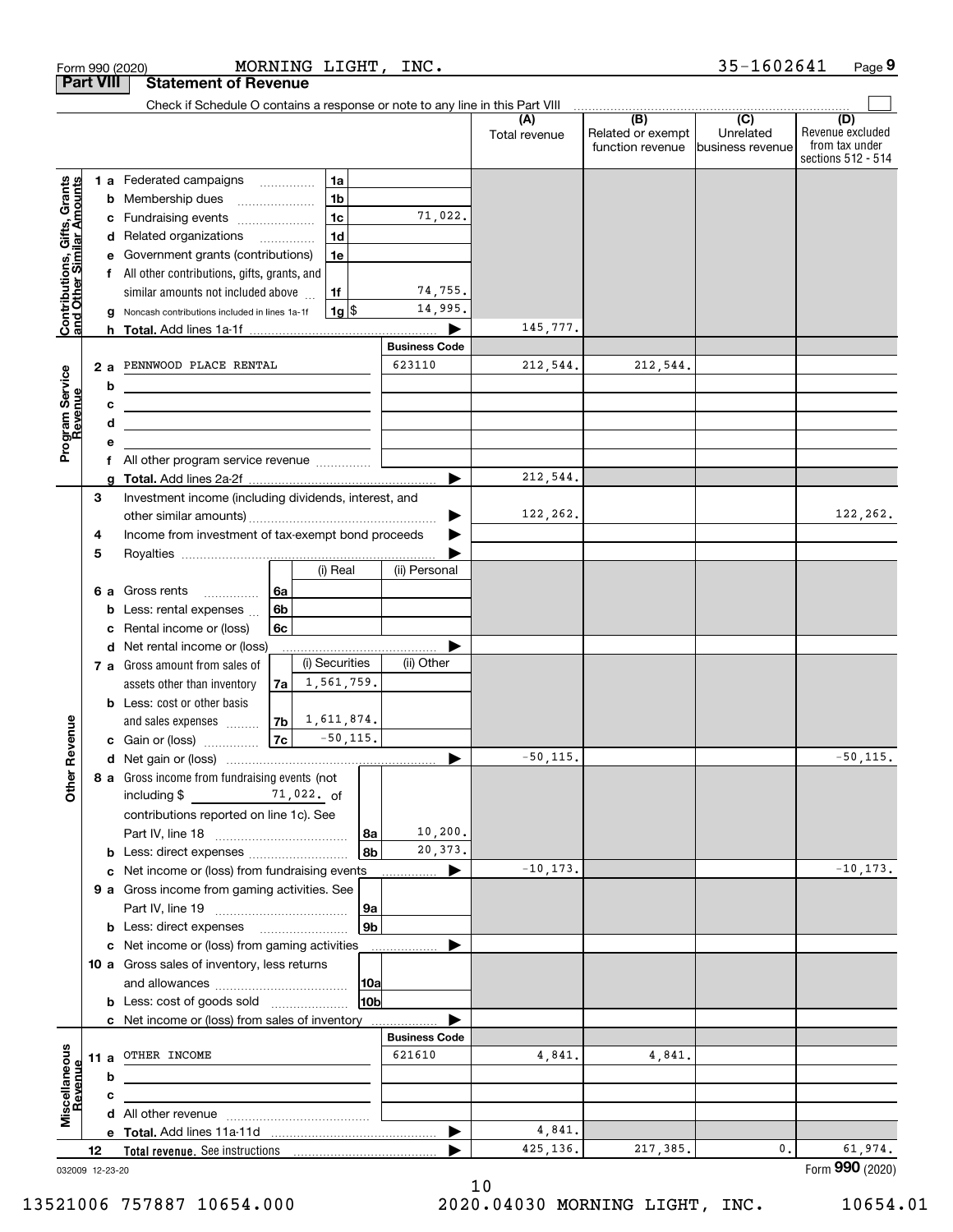| Check if Schedule O contains a response or note to any line in this Part VIII<br>$\overline{(C)}$<br>(B)<br>(A)<br>Unrelated<br>Related or exempt<br>Total revenue<br>function revenue<br>business revenue<br>Contributions, Gifts, Grants<br>and Other Similar Amounts<br>1 a Federated campaigns<br>1a<br>1 <sub>b</sub><br>Membership dues<br>b<br>1 <sub>c</sub><br>71,022.<br>Fundraising events<br>с<br>1 <sub>d</sub><br>d Related organizations<br>Government grants (contributions)<br>1e<br>All other contributions, gifts, grants, and<br>f<br>74,755.<br>similar amounts not included above<br>1f<br>14,995.<br>$1g$ $\frac{1}{3}$<br>Noncash contributions included in lines 1a-1f<br>145,777.<br><b>Business Code</b><br>623110<br>212,544.<br>212,544.<br>PENNWOOD PLACE RENTAL<br>2a<br>Program Service<br>Revenue<br>b<br><u> 1980 - Johann Barbara, martxa alemaniar a</u><br>с<br><u> 1989 - Johann Barbara, martin amerikan basar dan berasal dan berasal dalam basar dalam basar dalam basar dala</u><br>d<br>the contract of the contract of the contract of the contract of the contract of<br>е<br>All other program service revenue<br>f<br>212,544.<br>▶<br>3<br>Investment income (including dividends, interest, and<br>122,262.<br>Income from investment of tax-exempt bond proceeds<br>4<br>5<br>(i) Real<br>(ii) Personal<br>Gross rents<br>6a<br>6а<br>.<br>6 <sub>b</sub><br>Less: rental expenses<br>b<br>Rental income or (loss)<br>6с<br>с<br>d Net rental income or (loss)<br>(i) Securities<br>(ii) Other<br>7 a Gross amount from sales of<br>1,561,759.<br>assets other than inventory<br>7a l<br><b>b</b> Less: cost or other basis<br>$ 7b $ 1, 611, 874.<br>Revenue<br>and sales expenses<br> 7c <br>$-50, 115.$<br>c Gain or (loss)<br>$-50, 115.$<br>▶<br>8 a Gross income from fundraising events (not<br><b>Othe</b><br>including $$$<br>$71,022.$ of<br>contributions reported on line 1c). See<br>10, 200.<br>8a<br>20,373.<br>8b<br>$-10, 173.$<br>c Net income or (loss) from fundraising events<br>▶<br>9 a Gross income from gaming activities. See<br> 9a<br>9 <sub>b</sub><br><b>b</b> Less: direct expenses <b>manually</b><br>c Net income or (loss) from gaming activities<br>10 a Gross sales of inventory, less returns<br> 10a<br>10b<br><b>b</b> Less: cost of goods sold<br>c Net income or (loss) from sales of inventory<br><b>Business Code</b><br>Miscellaneous<br>621610<br>OTHER INCOME<br>4,841.<br>4,841.<br>11 a<br>Revenue<br>b<br>с<br>4,841.<br>▶<br>425,136.<br>217,385.<br>0.<br>12 | <b>Part VIII</b> |  | <b>Statement of Revenue</b> |  |  |  |                                                                 |
|-------------------------------------------------------------------------------------------------------------------------------------------------------------------------------------------------------------------------------------------------------------------------------------------------------------------------------------------------------------------------------------------------------------------------------------------------------------------------------------------------------------------------------------------------------------------------------------------------------------------------------------------------------------------------------------------------------------------------------------------------------------------------------------------------------------------------------------------------------------------------------------------------------------------------------------------------------------------------------------------------------------------------------------------------------------------------------------------------------------------------------------------------------------------------------------------------------------------------------------------------------------------------------------------------------------------------------------------------------------------------------------------------------------------------------------------------------------------------------------------------------------------------------------------------------------------------------------------------------------------------------------------------------------------------------------------------------------------------------------------------------------------------------------------------------------------------------------------------------------------------------------------------------------------------------------------------------------------------------------------------------------------------------------------------------------------------------------------------------------------------------------------------------------------------------------------------------------------------------------------------------------------------------------------------------------------------------------------------------------------------------------------------------------------------------------------------------------------------------------------------------------------------------------------------------------------|------------------|--|-----------------------------|--|--|--|-----------------------------------------------------------------|
|                                                                                                                                                                                                                                                                                                                                                                                                                                                                                                                                                                                                                                                                                                                                                                                                                                                                                                                                                                                                                                                                                                                                                                                                                                                                                                                                                                                                                                                                                                                                                                                                                                                                                                                                                                                                                                                                                                                                                                                                                                                                                                                                                                                                                                                                                                                                                                                                                                                                                                                                                                   |                  |  |                             |  |  |  |                                                                 |
|                                                                                                                                                                                                                                                                                                                                                                                                                                                                                                                                                                                                                                                                                                                                                                                                                                                                                                                                                                                                                                                                                                                                                                                                                                                                                                                                                                                                                                                                                                                                                                                                                                                                                                                                                                                                                                                                                                                                                                                                                                                                                                                                                                                                                                                                                                                                                                                                                                                                                                                                                                   |                  |  |                             |  |  |  | (D)<br>Revenue excluded<br>from tax under<br>sections 512 - 514 |
|                                                                                                                                                                                                                                                                                                                                                                                                                                                                                                                                                                                                                                                                                                                                                                                                                                                                                                                                                                                                                                                                                                                                                                                                                                                                                                                                                                                                                                                                                                                                                                                                                                                                                                                                                                                                                                                                                                                                                                                                                                                                                                                                                                                                                                                                                                                                                                                                                                                                                                                                                                   |                  |  |                             |  |  |  |                                                                 |
|                                                                                                                                                                                                                                                                                                                                                                                                                                                                                                                                                                                                                                                                                                                                                                                                                                                                                                                                                                                                                                                                                                                                                                                                                                                                                                                                                                                                                                                                                                                                                                                                                                                                                                                                                                                                                                                                                                                                                                                                                                                                                                                                                                                                                                                                                                                                                                                                                                                                                                                                                                   |                  |  |                             |  |  |  |                                                                 |
|                                                                                                                                                                                                                                                                                                                                                                                                                                                                                                                                                                                                                                                                                                                                                                                                                                                                                                                                                                                                                                                                                                                                                                                                                                                                                                                                                                                                                                                                                                                                                                                                                                                                                                                                                                                                                                                                                                                                                                                                                                                                                                                                                                                                                                                                                                                                                                                                                                                                                                                                                                   |                  |  |                             |  |  |  |                                                                 |
|                                                                                                                                                                                                                                                                                                                                                                                                                                                                                                                                                                                                                                                                                                                                                                                                                                                                                                                                                                                                                                                                                                                                                                                                                                                                                                                                                                                                                                                                                                                                                                                                                                                                                                                                                                                                                                                                                                                                                                                                                                                                                                                                                                                                                                                                                                                                                                                                                                                                                                                                                                   |                  |  |                             |  |  |  |                                                                 |
|                                                                                                                                                                                                                                                                                                                                                                                                                                                                                                                                                                                                                                                                                                                                                                                                                                                                                                                                                                                                                                                                                                                                                                                                                                                                                                                                                                                                                                                                                                                                                                                                                                                                                                                                                                                                                                                                                                                                                                                                                                                                                                                                                                                                                                                                                                                                                                                                                                                                                                                                                                   |                  |  |                             |  |  |  |                                                                 |
|                                                                                                                                                                                                                                                                                                                                                                                                                                                                                                                                                                                                                                                                                                                                                                                                                                                                                                                                                                                                                                                                                                                                                                                                                                                                                                                                                                                                                                                                                                                                                                                                                                                                                                                                                                                                                                                                                                                                                                                                                                                                                                                                                                                                                                                                                                                                                                                                                                                                                                                                                                   |                  |  |                             |  |  |  |                                                                 |
|                                                                                                                                                                                                                                                                                                                                                                                                                                                                                                                                                                                                                                                                                                                                                                                                                                                                                                                                                                                                                                                                                                                                                                                                                                                                                                                                                                                                                                                                                                                                                                                                                                                                                                                                                                                                                                                                                                                                                                                                                                                                                                                                                                                                                                                                                                                                                                                                                                                                                                                                                                   |                  |  |                             |  |  |  |                                                                 |
|                                                                                                                                                                                                                                                                                                                                                                                                                                                                                                                                                                                                                                                                                                                                                                                                                                                                                                                                                                                                                                                                                                                                                                                                                                                                                                                                                                                                                                                                                                                                                                                                                                                                                                                                                                                                                                                                                                                                                                                                                                                                                                                                                                                                                                                                                                                                                                                                                                                                                                                                                                   |                  |  |                             |  |  |  |                                                                 |
|                                                                                                                                                                                                                                                                                                                                                                                                                                                                                                                                                                                                                                                                                                                                                                                                                                                                                                                                                                                                                                                                                                                                                                                                                                                                                                                                                                                                                                                                                                                                                                                                                                                                                                                                                                                                                                                                                                                                                                                                                                                                                                                                                                                                                                                                                                                                                                                                                                                                                                                                                                   |                  |  |                             |  |  |  |                                                                 |
|                                                                                                                                                                                                                                                                                                                                                                                                                                                                                                                                                                                                                                                                                                                                                                                                                                                                                                                                                                                                                                                                                                                                                                                                                                                                                                                                                                                                                                                                                                                                                                                                                                                                                                                                                                                                                                                                                                                                                                                                                                                                                                                                                                                                                                                                                                                                                                                                                                                                                                                                                                   |                  |  |                             |  |  |  |                                                                 |
|                                                                                                                                                                                                                                                                                                                                                                                                                                                                                                                                                                                                                                                                                                                                                                                                                                                                                                                                                                                                                                                                                                                                                                                                                                                                                                                                                                                                                                                                                                                                                                                                                                                                                                                                                                                                                                                                                                                                                                                                                                                                                                                                                                                                                                                                                                                                                                                                                                                                                                                                                                   |                  |  |                             |  |  |  |                                                                 |
|                                                                                                                                                                                                                                                                                                                                                                                                                                                                                                                                                                                                                                                                                                                                                                                                                                                                                                                                                                                                                                                                                                                                                                                                                                                                                                                                                                                                                                                                                                                                                                                                                                                                                                                                                                                                                                                                                                                                                                                                                                                                                                                                                                                                                                                                                                                                                                                                                                                                                                                                                                   |                  |  |                             |  |  |  |                                                                 |
|                                                                                                                                                                                                                                                                                                                                                                                                                                                                                                                                                                                                                                                                                                                                                                                                                                                                                                                                                                                                                                                                                                                                                                                                                                                                                                                                                                                                                                                                                                                                                                                                                                                                                                                                                                                                                                                                                                                                                                                                                                                                                                                                                                                                                                                                                                                                                                                                                                                                                                                                                                   |                  |  |                             |  |  |  |                                                                 |
|                                                                                                                                                                                                                                                                                                                                                                                                                                                                                                                                                                                                                                                                                                                                                                                                                                                                                                                                                                                                                                                                                                                                                                                                                                                                                                                                                                                                                                                                                                                                                                                                                                                                                                                                                                                                                                                                                                                                                                                                                                                                                                                                                                                                                                                                                                                                                                                                                                                                                                                                                                   |                  |  |                             |  |  |  |                                                                 |
|                                                                                                                                                                                                                                                                                                                                                                                                                                                                                                                                                                                                                                                                                                                                                                                                                                                                                                                                                                                                                                                                                                                                                                                                                                                                                                                                                                                                                                                                                                                                                                                                                                                                                                                                                                                                                                                                                                                                                                                                                                                                                                                                                                                                                                                                                                                                                                                                                                                                                                                                                                   |                  |  |                             |  |  |  |                                                                 |
|                                                                                                                                                                                                                                                                                                                                                                                                                                                                                                                                                                                                                                                                                                                                                                                                                                                                                                                                                                                                                                                                                                                                                                                                                                                                                                                                                                                                                                                                                                                                                                                                                                                                                                                                                                                                                                                                                                                                                                                                                                                                                                                                                                                                                                                                                                                                                                                                                                                                                                                                                                   |                  |  |                             |  |  |  |                                                                 |
|                                                                                                                                                                                                                                                                                                                                                                                                                                                                                                                                                                                                                                                                                                                                                                                                                                                                                                                                                                                                                                                                                                                                                                                                                                                                                                                                                                                                                                                                                                                                                                                                                                                                                                                                                                                                                                                                                                                                                                                                                                                                                                                                                                                                                                                                                                                                                                                                                                                                                                                                                                   |                  |  |                             |  |  |  |                                                                 |
|                                                                                                                                                                                                                                                                                                                                                                                                                                                                                                                                                                                                                                                                                                                                                                                                                                                                                                                                                                                                                                                                                                                                                                                                                                                                                                                                                                                                                                                                                                                                                                                                                                                                                                                                                                                                                                                                                                                                                                                                                                                                                                                                                                                                                                                                                                                                                                                                                                                                                                                                                                   |                  |  |                             |  |  |  | 122,262.                                                        |
|                                                                                                                                                                                                                                                                                                                                                                                                                                                                                                                                                                                                                                                                                                                                                                                                                                                                                                                                                                                                                                                                                                                                                                                                                                                                                                                                                                                                                                                                                                                                                                                                                                                                                                                                                                                                                                                                                                                                                                                                                                                                                                                                                                                                                                                                                                                                                                                                                                                                                                                                                                   |                  |  |                             |  |  |  |                                                                 |
|                                                                                                                                                                                                                                                                                                                                                                                                                                                                                                                                                                                                                                                                                                                                                                                                                                                                                                                                                                                                                                                                                                                                                                                                                                                                                                                                                                                                                                                                                                                                                                                                                                                                                                                                                                                                                                                                                                                                                                                                                                                                                                                                                                                                                                                                                                                                                                                                                                                                                                                                                                   |                  |  |                             |  |  |  |                                                                 |
|                                                                                                                                                                                                                                                                                                                                                                                                                                                                                                                                                                                                                                                                                                                                                                                                                                                                                                                                                                                                                                                                                                                                                                                                                                                                                                                                                                                                                                                                                                                                                                                                                                                                                                                                                                                                                                                                                                                                                                                                                                                                                                                                                                                                                                                                                                                                                                                                                                                                                                                                                                   |                  |  |                             |  |  |  |                                                                 |
|                                                                                                                                                                                                                                                                                                                                                                                                                                                                                                                                                                                                                                                                                                                                                                                                                                                                                                                                                                                                                                                                                                                                                                                                                                                                                                                                                                                                                                                                                                                                                                                                                                                                                                                                                                                                                                                                                                                                                                                                                                                                                                                                                                                                                                                                                                                                                                                                                                                                                                                                                                   |                  |  |                             |  |  |  |                                                                 |
|                                                                                                                                                                                                                                                                                                                                                                                                                                                                                                                                                                                                                                                                                                                                                                                                                                                                                                                                                                                                                                                                                                                                                                                                                                                                                                                                                                                                                                                                                                                                                                                                                                                                                                                                                                                                                                                                                                                                                                                                                                                                                                                                                                                                                                                                                                                                                                                                                                                                                                                                                                   |                  |  |                             |  |  |  |                                                                 |
|                                                                                                                                                                                                                                                                                                                                                                                                                                                                                                                                                                                                                                                                                                                                                                                                                                                                                                                                                                                                                                                                                                                                                                                                                                                                                                                                                                                                                                                                                                                                                                                                                                                                                                                                                                                                                                                                                                                                                                                                                                                                                                                                                                                                                                                                                                                                                                                                                                                                                                                                                                   |                  |  |                             |  |  |  |                                                                 |
|                                                                                                                                                                                                                                                                                                                                                                                                                                                                                                                                                                                                                                                                                                                                                                                                                                                                                                                                                                                                                                                                                                                                                                                                                                                                                                                                                                                                                                                                                                                                                                                                                                                                                                                                                                                                                                                                                                                                                                                                                                                                                                                                                                                                                                                                                                                                                                                                                                                                                                                                                                   |                  |  |                             |  |  |  |                                                                 |
|                                                                                                                                                                                                                                                                                                                                                                                                                                                                                                                                                                                                                                                                                                                                                                                                                                                                                                                                                                                                                                                                                                                                                                                                                                                                                                                                                                                                                                                                                                                                                                                                                                                                                                                                                                                                                                                                                                                                                                                                                                                                                                                                                                                                                                                                                                                                                                                                                                                                                                                                                                   |                  |  |                             |  |  |  |                                                                 |
|                                                                                                                                                                                                                                                                                                                                                                                                                                                                                                                                                                                                                                                                                                                                                                                                                                                                                                                                                                                                                                                                                                                                                                                                                                                                                                                                                                                                                                                                                                                                                                                                                                                                                                                                                                                                                                                                                                                                                                                                                                                                                                                                                                                                                                                                                                                                                                                                                                                                                                                                                                   |                  |  |                             |  |  |  |                                                                 |
|                                                                                                                                                                                                                                                                                                                                                                                                                                                                                                                                                                                                                                                                                                                                                                                                                                                                                                                                                                                                                                                                                                                                                                                                                                                                                                                                                                                                                                                                                                                                                                                                                                                                                                                                                                                                                                                                                                                                                                                                                                                                                                                                                                                                                                                                                                                                                                                                                                                                                                                                                                   |                  |  |                             |  |  |  |                                                                 |
|                                                                                                                                                                                                                                                                                                                                                                                                                                                                                                                                                                                                                                                                                                                                                                                                                                                                                                                                                                                                                                                                                                                                                                                                                                                                                                                                                                                                                                                                                                                                                                                                                                                                                                                                                                                                                                                                                                                                                                                                                                                                                                                                                                                                                                                                                                                                                                                                                                                                                                                                                                   |                  |  |                             |  |  |  |                                                                 |
|                                                                                                                                                                                                                                                                                                                                                                                                                                                                                                                                                                                                                                                                                                                                                                                                                                                                                                                                                                                                                                                                                                                                                                                                                                                                                                                                                                                                                                                                                                                                                                                                                                                                                                                                                                                                                                                                                                                                                                                                                                                                                                                                                                                                                                                                                                                                                                                                                                                                                                                                                                   |                  |  |                             |  |  |  | $-50, 115.$                                                     |
|                                                                                                                                                                                                                                                                                                                                                                                                                                                                                                                                                                                                                                                                                                                                                                                                                                                                                                                                                                                                                                                                                                                                                                                                                                                                                                                                                                                                                                                                                                                                                                                                                                                                                                                                                                                                                                                                                                                                                                                                                                                                                                                                                                                                                                                                                                                                                                                                                                                                                                                                                                   |                  |  |                             |  |  |  |                                                                 |
|                                                                                                                                                                                                                                                                                                                                                                                                                                                                                                                                                                                                                                                                                                                                                                                                                                                                                                                                                                                                                                                                                                                                                                                                                                                                                                                                                                                                                                                                                                                                                                                                                                                                                                                                                                                                                                                                                                                                                                                                                                                                                                                                                                                                                                                                                                                                                                                                                                                                                                                                                                   |                  |  |                             |  |  |  |                                                                 |
|                                                                                                                                                                                                                                                                                                                                                                                                                                                                                                                                                                                                                                                                                                                                                                                                                                                                                                                                                                                                                                                                                                                                                                                                                                                                                                                                                                                                                                                                                                                                                                                                                                                                                                                                                                                                                                                                                                                                                                                                                                                                                                                                                                                                                                                                                                                                                                                                                                                                                                                                                                   |                  |  |                             |  |  |  |                                                                 |
|                                                                                                                                                                                                                                                                                                                                                                                                                                                                                                                                                                                                                                                                                                                                                                                                                                                                                                                                                                                                                                                                                                                                                                                                                                                                                                                                                                                                                                                                                                                                                                                                                                                                                                                                                                                                                                                                                                                                                                                                                                                                                                                                                                                                                                                                                                                                                                                                                                                                                                                                                                   |                  |  |                             |  |  |  |                                                                 |
|                                                                                                                                                                                                                                                                                                                                                                                                                                                                                                                                                                                                                                                                                                                                                                                                                                                                                                                                                                                                                                                                                                                                                                                                                                                                                                                                                                                                                                                                                                                                                                                                                                                                                                                                                                                                                                                                                                                                                                                                                                                                                                                                                                                                                                                                                                                                                                                                                                                                                                                                                                   |                  |  |                             |  |  |  |                                                                 |
|                                                                                                                                                                                                                                                                                                                                                                                                                                                                                                                                                                                                                                                                                                                                                                                                                                                                                                                                                                                                                                                                                                                                                                                                                                                                                                                                                                                                                                                                                                                                                                                                                                                                                                                                                                                                                                                                                                                                                                                                                                                                                                                                                                                                                                                                                                                                                                                                                                                                                                                                                                   |                  |  |                             |  |  |  | $-10, 173.$                                                     |
|                                                                                                                                                                                                                                                                                                                                                                                                                                                                                                                                                                                                                                                                                                                                                                                                                                                                                                                                                                                                                                                                                                                                                                                                                                                                                                                                                                                                                                                                                                                                                                                                                                                                                                                                                                                                                                                                                                                                                                                                                                                                                                                                                                                                                                                                                                                                                                                                                                                                                                                                                                   |                  |  |                             |  |  |  |                                                                 |
|                                                                                                                                                                                                                                                                                                                                                                                                                                                                                                                                                                                                                                                                                                                                                                                                                                                                                                                                                                                                                                                                                                                                                                                                                                                                                                                                                                                                                                                                                                                                                                                                                                                                                                                                                                                                                                                                                                                                                                                                                                                                                                                                                                                                                                                                                                                                                                                                                                                                                                                                                                   |                  |  |                             |  |  |  |                                                                 |
|                                                                                                                                                                                                                                                                                                                                                                                                                                                                                                                                                                                                                                                                                                                                                                                                                                                                                                                                                                                                                                                                                                                                                                                                                                                                                                                                                                                                                                                                                                                                                                                                                                                                                                                                                                                                                                                                                                                                                                                                                                                                                                                                                                                                                                                                                                                                                                                                                                                                                                                                                                   |                  |  |                             |  |  |  |                                                                 |
|                                                                                                                                                                                                                                                                                                                                                                                                                                                                                                                                                                                                                                                                                                                                                                                                                                                                                                                                                                                                                                                                                                                                                                                                                                                                                                                                                                                                                                                                                                                                                                                                                                                                                                                                                                                                                                                                                                                                                                                                                                                                                                                                                                                                                                                                                                                                                                                                                                                                                                                                                                   |                  |  |                             |  |  |  |                                                                 |
|                                                                                                                                                                                                                                                                                                                                                                                                                                                                                                                                                                                                                                                                                                                                                                                                                                                                                                                                                                                                                                                                                                                                                                                                                                                                                                                                                                                                                                                                                                                                                                                                                                                                                                                                                                                                                                                                                                                                                                                                                                                                                                                                                                                                                                                                                                                                                                                                                                                                                                                                                                   |                  |  |                             |  |  |  |                                                                 |
|                                                                                                                                                                                                                                                                                                                                                                                                                                                                                                                                                                                                                                                                                                                                                                                                                                                                                                                                                                                                                                                                                                                                                                                                                                                                                                                                                                                                                                                                                                                                                                                                                                                                                                                                                                                                                                                                                                                                                                                                                                                                                                                                                                                                                                                                                                                                                                                                                                                                                                                                                                   |                  |  |                             |  |  |  |                                                                 |
|                                                                                                                                                                                                                                                                                                                                                                                                                                                                                                                                                                                                                                                                                                                                                                                                                                                                                                                                                                                                                                                                                                                                                                                                                                                                                                                                                                                                                                                                                                                                                                                                                                                                                                                                                                                                                                                                                                                                                                                                                                                                                                                                                                                                                                                                                                                                                                                                                                                                                                                                                                   |                  |  |                             |  |  |  |                                                                 |
|                                                                                                                                                                                                                                                                                                                                                                                                                                                                                                                                                                                                                                                                                                                                                                                                                                                                                                                                                                                                                                                                                                                                                                                                                                                                                                                                                                                                                                                                                                                                                                                                                                                                                                                                                                                                                                                                                                                                                                                                                                                                                                                                                                                                                                                                                                                                                                                                                                                                                                                                                                   |                  |  |                             |  |  |  |                                                                 |
|                                                                                                                                                                                                                                                                                                                                                                                                                                                                                                                                                                                                                                                                                                                                                                                                                                                                                                                                                                                                                                                                                                                                                                                                                                                                                                                                                                                                                                                                                                                                                                                                                                                                                                                                                                                                                                                                                                                                                                                                                                                                                                                                                                                                                                                                                                                                                                                                                                                                                                                                                                   |                  |  |                             |  |  |  |                                                                 |
|                                                                                                                                                                                                                                                                                                                                                                                                                                                                                                                                                                                                                                                                                                                                                                                                                                                                                                                                                                                                                                                                                                                                                                                                                                                                                                                                                                                                                                                                                                                                                                                                                                                                                                                                                                                                                                                                                                                                                                                                                                                                                                                                                                                                                                                                                                                                                                                                                                                                                                                                                                   |                  |  |                             |  |  |  |                                                                 |
|                                                                                                                                                                                                                                                                                                                                                                                                                                                                                                                                                                                                                                                                                                                                                                                                                                                                                                                                                                                                                                                                                                                                                                                                                                                                                                                                                                                                                                                                                                                                                                                                                                                                                                                                                                                                                                                                                                                                                                                                                                                                                                                                                                                                                                                                                                                                                                                                                                                                                                                                                                   |                  |  |                             |  |  |  |                                                                 |
|                                                                                                                                                                                                                                                                                                                                                                                                                                                                                                                                                                                                                                                                                                                                                                                                                                                                                                                                                                                                                                                                                                                                                                                                                                                                                                                                                                                                                                                                                                                                                                                                                                                                                                                                                                                                                                                                                                                                                                                                                                                                                                                                                                                                                                                                                                                                                                                                                                                                                                                                                                   |                  |  |                             |  |  |  |                                                                 |
|                                                                                                                                                                                                                                                                                                                                                                                                                                                                                                                                                                                                                                                                                                                                                                                                                                                                                                                                                                                                                                                                                                                                                                                                                                                                                                                                                                                                                                                                                                                                                                                                                                                                                                                                                                                                                                                                                                                                                                                                                                                                                                                                                                                                                                                                                                                                                                                                                                                                                                                                                                   |                  |  |                             |  |  |  |                                                                 |
|                                                                                                                                                                                                                                                                                                                                                                                                                                                                                                                                                                                                                                                                                                                                                                                                                                                                                                                                                                                                                                                                                                                                                                                                                                                                                                                                                                                                                                                                                                                                                                                                                                                                                                                                                                                                                                                                                                                                                                                                                                                                                                                                                                                                                                                                                                                                                                                                                                                                                                                                                                   |                  |  |                             |  |  |  | 61,974.                                                         |
| 032009 12-23-20                                                                                                                                                                                                                                                                                                                                                                                                                                                                                                                                                                                                                                                                                                                                                                                                                                                                                                                                                                                                                                                                                                                                                                                                                                                                                                                                                                                                                                                                                                                                                                                                                                                                                                                                                                                                                                                                                                                                                                                                                                                                                                                                                                                                                                                                                                                                                                                                                                                                                                                                                   |                  |  |                             |  |  |  | Form 990 (2020)                                                 |

032009 12-23-20

13521006 757887 10654.000 2020.04030 MORNING LIGHT, INC. 10654.01

 $_{\rm Form}$ 990 (2020) MORNING LIGHT, INC. 3 5-I 6 0 2 6 4 I Page MORNING LIGHT, INC.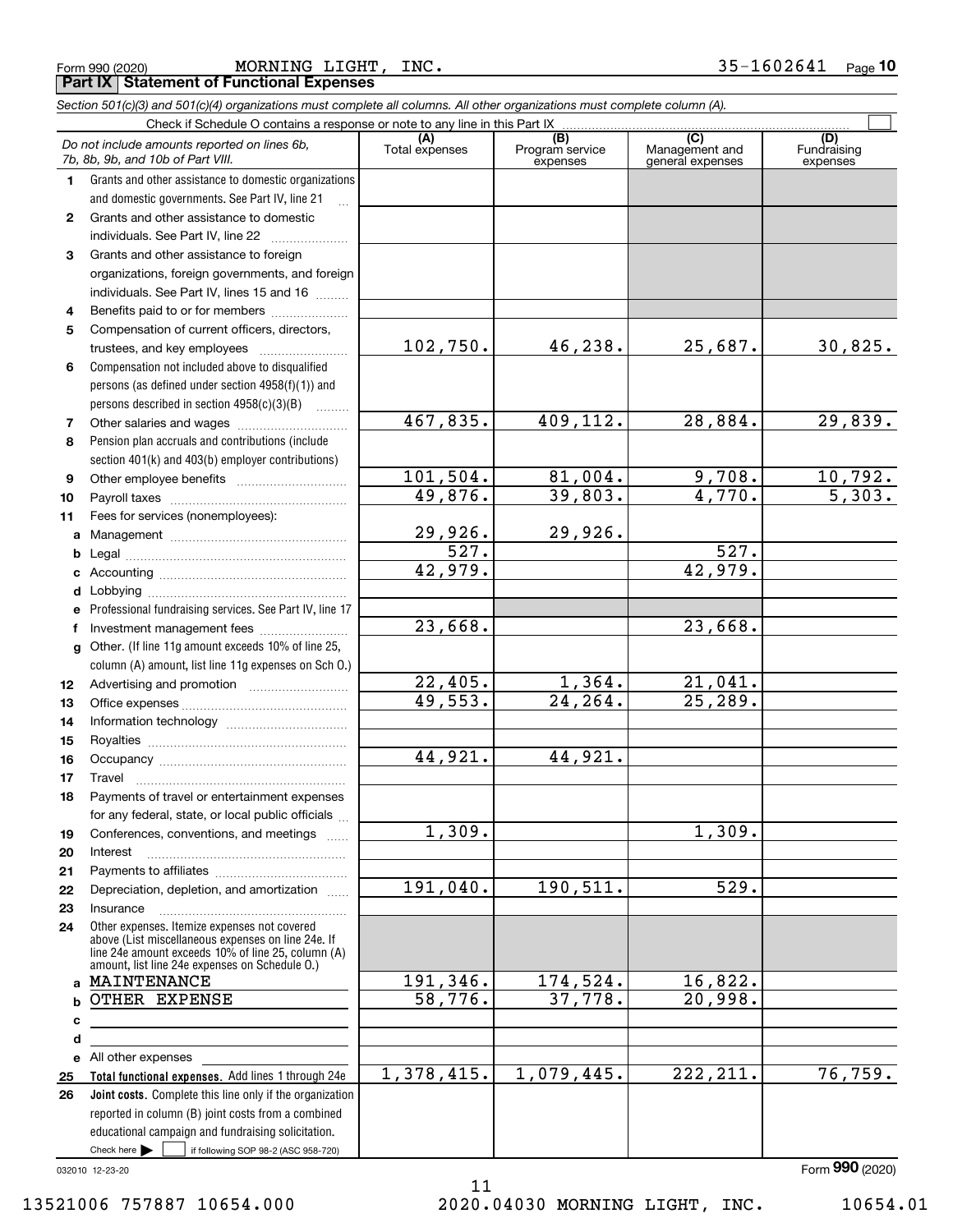|  | Form 990 (2020) |
|--|-----------------|
|  |                 |

 $_{\rm Form}$  990 (2020) MORNING LIGHT,INC. 35-1602641 <sub>Page</sub> 10 **Part IX Statement of Functional Expenses** MORNING LIGHT, INC.

|              | Section 501(c)(3) and 501(c)(4) organizations must complete all columns. All other organizations must complete column (A).                                                                                 |                       |                                    |                                           |                                |
|--------------|------------------------------------------------------------------------------------------------------------------------------------------------------------------------------------------------------------|-----------------------|------------------------------------|-------------------------------------------|--------------------------------|
|              | Check if Schedule O contains a response or note to any line in this Part IX                                                                                                                                |                       |                                    |                                           |                                |
|              | Do not include amounts reported on lines 6b,<br>7b, 8b, 9b, and 10b of Part VIII.                                                                                                                          | (A)<br>Total expenses | (B)<br>Program service<br>expenses | (C)<br>Management and<br>general expenses | (D)<br>Fundraising<br>expenses |
| 1.           | Grants and other assistance to domestic organizations                                                                                                                                                      |                       |                                    |                                           |                                |
|              | and domestic governments. See Part IV, line 21                                                                                                                                                             |                       |                                    |                                           |                                |
| $\mathbf{2}$ | Grants and other assistance to domestic                                                                                                                                                                    |                       |                                    |                                           |                                |
|              | individuals. See Part IV, line 22                                                                                                                                                                          |                       |                                    |                                           |                                |
| 3            | Grants and other assistance to foreign                                                                                                                                                                     |                       |                                    |                                           |                                |
|              | organizations, foreign governments, and foreign                                                                                                                                                            |                       |                                    |                                           |                                |
|              | individuals. See Part IV, lines 15 and 16                                                                                                                                                                  |                       |                                    |                                           |                                |
| 4            | Benefits paid to or for members                                                                                                                                                                            |                       |                                    |                                           |                                |
| 5            | Compensation of current officers, directors,                                                                                                                                                               |                       |                                    |                                           |                                |
|              | trustees, and key employees                                                                                                                                                                                | 102,750.              | 46,238.                            | 25,687.                                   | 30,825.                        |
| 6            | Compensation not included above to disqualified                                                                                                                                                            |                       |                                    |                                           |                                |
|              | persons (as defined under section 4958(f)(1)) and                                                                                                                                                          |                       |                                    |                                           |                                |
|              | persons described in section 4958(c)(3)(B)                                                                                                                                                                 |                       |                                    |                                           |                                |
| 7            | Other salaries and wages                                                                                                                                                                                   | 467,835.              | 409, 112.                          | 28,884.                                   | 29,839.                        |
| 8            | Pension plan accruals and contributions (include                                                                                                                                                           |                       |                                    |                                           |                                |
|              | section 401(k) and 403(b) employer contributions)                                                                                                                                                          |                       |                                    |                                           |                                |
| 9            |                                                                                                                                                                                                            | 101, 504.             | 81,004.                            | 9,708.                                    | 10,792.                        |
| 10           |                                                                                                                                                                                                            | 49,876.               | 39,803.                            | $\overline{4,770}$ .                      | $\overline{5,303.}$            |
| 11           | Fees for services (nonemployees):                                                                                                                                                                          |                       |                                    |                                           |                                |
| a            |                                                                                                                                                                                                            | 29,926.               | 29,926.                            |                                           |                                |
| b            |                                                                                                                                                                                                            | $\overline{527}$ .    |                                    | $\overline{527}$ .                        |                                |
| c            |                                                                                                                                                                                                            | 42,979.               |                                    | 42,979.                                   |                                |
| d            |                                                                                                                                                                                                            |                       |                                    |                                           |                                |
| е            | Professional fundraising services. See Part IV, line 17                                                                                                                                                    |                       |                                    |                                           |                                |
| f            | Investment management fees                                                                                                                                                                                 | 23,668.               |                                    | 23,668.                                   |                                |
| g            | Other. (If line 11g amount exceeds 10% of line 25,                                                                                                                                                         |                       |                                    |                                           |                                |
|              | column (A) amount, list line 11g expenses on Sch O.)                                                                                                                                                       |                       |                                    |                                           |                                |
| 12           |                                                                                                                                                                                                            | 22,405.               | 1,364.                             | 21,041.                                   |                                |
| 13           |                                                                                                                                                                                                            | $\overline{49,553.}$  | $\overline{24,264}$ .              | 25, 289.                                  |                                |
| 14           |                                                                                                                                                                                                            |                       |                                    |                                           |                                |
| 15           |                                                                                                                                                                                                            |                       |                                    |                                           |                                |
| 16           |                                                                                                                                                                                                            | 44,921.               | 44,921.                            |                                           |                                |
| 17           |                                                                                                                                                                                                            |                       |                                    |                                           |                                |
| 18           | Payments of travel or entertainment expenses                                                                                                                                                               |                       |                                    |                                           |                                |
|              | for any federal, state, or local public officials                                                                                                                                                          |                       |                                    |                                           |                                |
| 19           | Conferences, conventions, and meetings                                                                                                                                                                     | 1,309.                |                                    | 1,309.                                    |                                |
| 20           | Interest                                                                                                                                                                                                   |                       |                                    |                                           |                                |
| 21           |                                                                                                                                                                                                            |                       |                                    |                                           |                                |
| 22           | Depreciation, depletion, and amortization                                                                                                                                                                  | 191,040.              | 190, 511.                          | 529.                                      |                                |
| 23           | Insurance                                                                                                                                                                                                  |                       |                                    |                                           |                                |
| 24           | Other expenses. Itemize expenses not covered<br>above (List miscellaneous expenses on line 24e. If<br>line 24e amount exceeds 10% of line 25, column (A)<br>amount, list line 24e expenses on Schedule O.) |                       |                                    |                                           |                                |
| a            | MAINTENANCE                                                                                                                                                                                                | 191, 346.             | 174,524.                           | 16,822.                                   |                                |
| b            | OTHER EXPENSE                                                                                                                                                                                              | 58,776.               | 37,778.                            | 20,998.                                   |                                |
| c            |                                                                                                                                                                                                            |                       |                                    |                                           |                                |
| d            |                                                                                                                                                                                                            |                       |                                    |                                           |                                |
|              | e All other expenses                                                                                                                                                                                       |                       |                                    |                                           |                                |
| 25           | Total functional expenses. Add lines 1 through 24e                                                                                                                                                         | 1,378,415.            | 1,079,445.                         | 222, 211.                                 | 76, 759.                       |
| 26           | Joint costs. Complete this line only if the organization                                                                                                                                                   |                       |                                    |                                           |                                |
|              | reported in column (B) joint costs from a combined                                                                                                                                                         |                       |                                    |                                           |                                |
|              | educational campaign and fundraising solicitation.                                                                                                                                                         |                       |                                    |                                           |                                |
|              | Check here         if following SOP 98-2 (ASC 958-720)                                                                                                                                                     |                       |                                    |                                           |                                |

032010 12-23-20

11 13521006 757887 10654.000 2020.04030 MORNING LIGHT, INC. 10654.01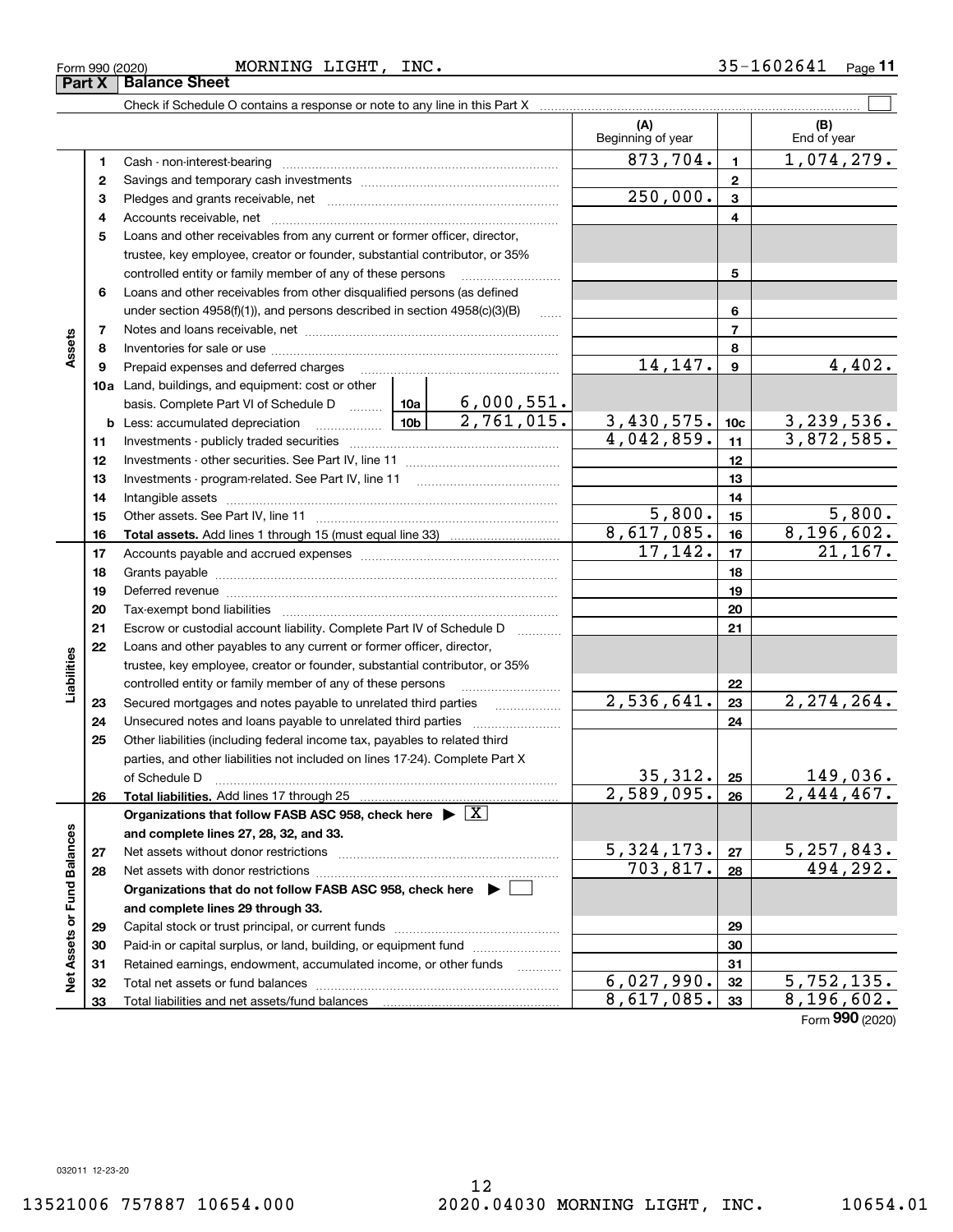**33**

Total liabilities and net assets/fund balances

**Net Assets or Fund Balances**

Net Assets or Fund Balances

Form (2020) **990**

**33**

 $8,617,085.$   $|33|$   $8,196,602.$ 

Check if Schedule O contains a response or note to any line in this Part X

|    |                                                                                                                 |            | (A)<br>Beginning of year |                 | (B)<br>End of year |
|----|-----------------------------------------------------------------------------------------------------------------|------------|--------------------------|-----------------|--------------------|
| 1  |                                                                                                                 |            | 873,704.                 | $\mathbf{1}$    | 1,074,279.         |
| 2  |                                                                                                                 |            |                          | $\mathbf{2}$    |                    |
| з  |                                                                                                                 |            | 250,000.                 | 3               |                    |
| 4  |                                                                                                                 |            |                          | 4               |                    |
| 5  | Loans and other receivables from any current or former officer, director,                                       |            |                          |                 |                    |
|    | trustee, key employee, creator or founder, substantial contributor, or 35%                                      |            |                          |                 |                    |
|    | controlled entity or family member of any of these persons                                                      |            |                          | 5               |                    |
| 6  | Loans and other receivables from other disqualified persons (as defined                                         |            |                          |                 |                    |
|    | under section 4958(f)(1)), and persons described in section 4958(c)(3)(B)                                       | $\ldots$   |                          | 6               |                    |
| 7  |                                                                                                                 |            |                          | 7               |                    |
| 8  |                                                                                                                 |            |                          | 8               |                    |
| 9  | Prepaid expenses and deferred charges                                                                           |            | 14,147.                  | 9               | 4,402.             |
|    | 10a Land, buildings, and equipment: cost or other                                                               |            |                          |                 |                    |
|    | basis. Complete Part VI of Schedule D  10a                                                                      | 6,000,551. |                          |                 |                    |
|    |                                                                                                                 | 2,761,015. | 3,430,575.               | 10 <sub>c</sub> | 3, 239, 536.       |
| 11 |                                                                                                                 |            | 4.042,859.               | 11              | 3,872,585.         |
| 12 |                                                                                                                 |            |                          | 12              |                    |
| 13 |                                                                                                                 |            |                          | 13              |                    |
| 14 |                                                                                                                 |            |                          | 14              |                    |
| 15 |                                                                                                                 |            | 5,800.                   | 15              | 5,800.             |
| 16 |                                                                                                                 |            | 8,617,085.               | 16              | 8,196,602.         |
| 17 |                                                                                                                 |            | 17,142.                  | 17              | 21, 167.           |
| 18 |                                                                                                                 |            |                          | 18              |                    |
| 19 | Deferred revenue manual contracts and contracts are all the manual contracts and contracts are contracted and c |            |                          | 19              |                    |
| 20 |                                                                                                                 |            |                          | 20              |                    |
| 21 | Escrow or custodial account liability. Complete Part IV of Schedule D                                           |            |                          | 21              |                    |
| 22 | Loans and other payables to any current or former officer, director,                                            |            |                          |                 |                    |
|    | trustee, key employee, creator or founder, substantial contributor, or 35%                                      |            |                          |                 |                    |
|    | controlled entity or family member of any of these persons                                                      |            |                          | 22              |                    |
| 23 |                                                                                                                 |            | 2,536,641.               | 23              | 2, 274, 264.       |
| 24 | Unsecured notes and loans payable to unrelated third parties                                                    |            |                          | 24              |                    |
| 25 | Other liabilities (including federal income tax, payables to related third                                      |            |                          |                 |                    |
|    | parties, and other liabilities not included on lines 17-24). Complete Part X                                    |            |                          |                 |                    |
|    | of Schedule D                                                                                                   |            | 35,312.                  | 25              | 149,036.           |
| 26 |                                                                                                                 |            | 2,589,095.               | 26              | 2,444,467.         |
|    | Organizations that follow FASB ASC 958, check here $\blacktriangleright \boxed{X}$                              |            |                          |                 |                    |
|    | and complete lines 27, 28, 32, and 33.                                                                          |            |                          |                 |                    |
| 27 | Net assets without donor restrictions                                                                           |            | 5,324,173.               | 27              | 5,257,843.         |
| 28 |                                                                                                                 |            | 703,817.                 | 28              | 494,292.           |
|    | Organizations that do not follow FASB ASC 958, check here $\blacktriangleright$ [                               |            |                          |                 |                    |
|    | and complete lines 29 through 33.                                                                               |            |                          |                 |                    |
| 29 |                                                                                                                 |            |                          | 29              |                    |
| 30 | Paid-in or capital surplus, or land, building, or equipment fund                                                |            |                          | 30              |                    |
| 31 | Retained earnings, endowment, accumulated income, or other funds                                                |            |                          | 31              |                    |
| 32 | Total net assets or fund balances                                                                               |            | 6,027,990.               | 32              | 5,752,135.         |

12

 $\mathcal{L}^{\text{max}}$ 

**Part X** | Balance Sheet

**Assets**

**Liabilities**

Liabilities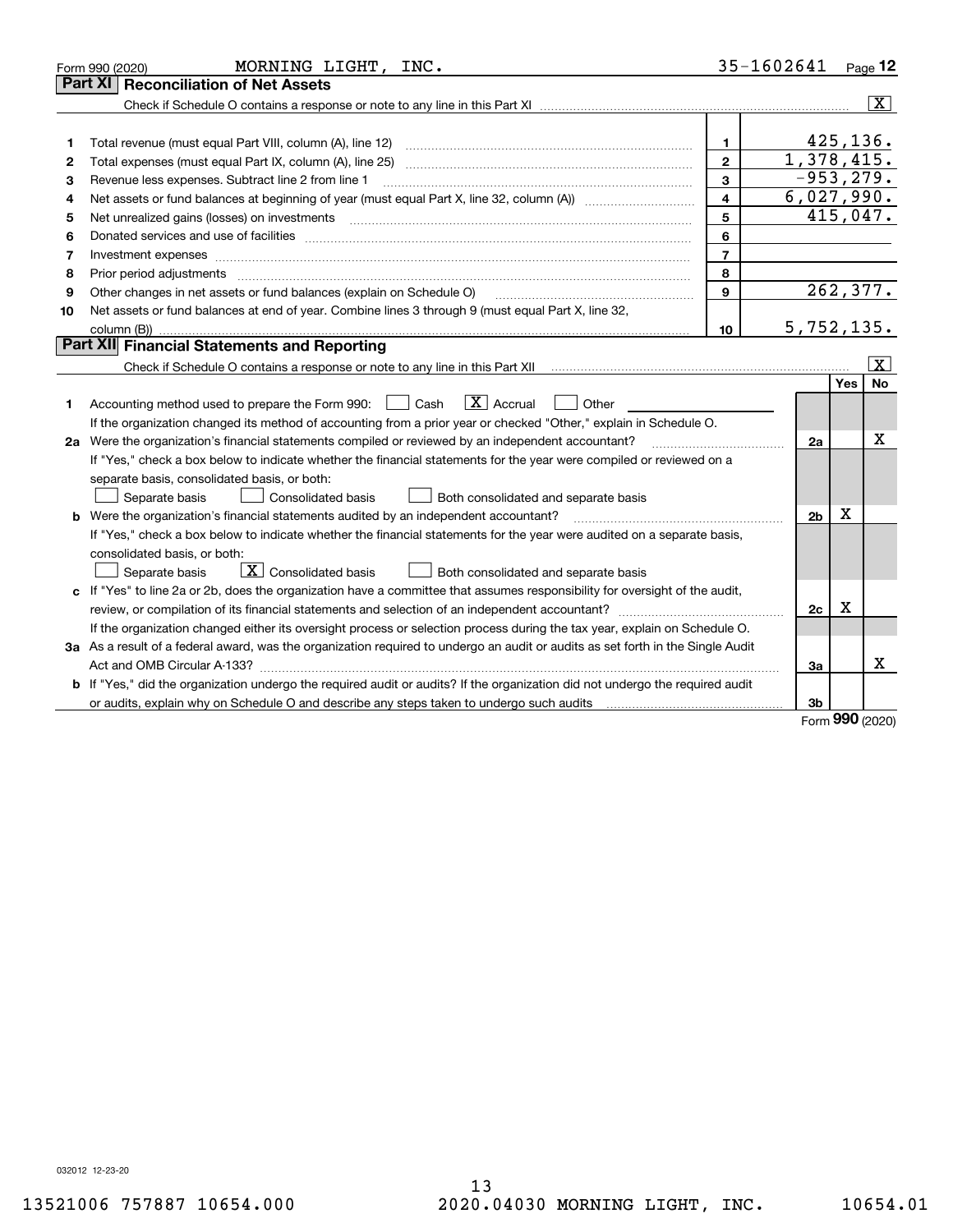|    | MORNING LIGHT, INC.<br>Form 990 (2020)                                                                                                                                                                                         | 35-1602641              |                |            | $Page$ 12               |
|----|--------------------------------------------------------------------------------------------------------------------------------------------------------------------------------------------------------------------------------|-------------------------|----------------|------------|-------------------------|
|    | <b>Reconciliation of Net Assets</b><br>Part XI                                                                                                                                                                                 |                         |                |            |                         |
|    |                                                                                                                                                                                                                                |                         |                |            | $\overline{\mathbf{X}}$ |
|    |                                                                                                                                                                                                                                |                         |                |            |                         |
| 1  | Total revenue (must equal Part VIII, column (A), line 12)                                                                                                                                                                      | 1.                      |                | 425, 136.  |                         |
| 2  |                                                                                                                                                                                                                                | $\overline{2}$          | 1,378,415.     |            |                         |
| з  | Revenue less expenses. Subtract line 2 from line 1                                                                                                                                                                             | 3                       | $-953, 279.$   |            |                         |
| 4  |                                                                                                                                                                                                                                | $\overline{\mathbf{4}}$ | 6,027,990.     |            |                         |
| 5  | Net unrealized gains (losses) on investments                                                                                                                                                                                   | 5                       |                |            | 415,047.                |
| 6  | Donated services and use of facilities [111] Donated and the service of facilities [11] Donated services and use of facilities [11] Donated and the service of the service of the service of the service of the service of the | 6                       |                |            |                         |
| 7  |                                                                                                                                                                                                                                | $\overline{7}$          |                |            |                         |
| 8  | Prior period adjustments                                                                                                                                                                                                       | 8                       |                |            |                         |
| 9  | Other changes in net assets or fund balances (explain on Schedule O)                                                                                                                                                           | $\mathbf{q}$            |                |            | 262,377.                |
| 10 | Net assets or fund balances at end of year. Combine lines 3 through 9 (must equal Part X, line 32,                                                                                                                             |                         |                |            |                         |
|    | column $(B)$ ).                                                                                                                                                                                                                | 10                      | 5,752,135.     |            |                         |
|    | Part XII Financial Statements and Reporting                                                                                                                                                                                    |                         |                |            |                         |
|    |                                                                                                                                                                                                                                |                         |                |            | X                       |
|    |                                                                                                                                                                                                                                |                         |                | Yes        | No                      |
| 1  | $\boxed{\mathbf{X}}$ Accrual<br>Accounting method used to prepare the Form 990: <u>II</u> Cash<br>Other                                                                                                                        |                         |                |            |                         |
|    | If the organization changed its method of accounting from a prior year or checked "Other," explain in Schedule O.                                                                                                              |                         |                |            |                         |
|    | 2a Were the organization's financial statements compiled or reviewed by an independent accountant?                                                                                                                             |                         | 2a             |            | х                       |
|    | If "Yes," check a box below to indicate whether the financial statements for the year were compiled or reviewed on a                                                                                                           |                         |                |            |                         |
|    | separate basis, consolidated basis, or both:                                                                                                                                                                                   |                         |                |            |                         |
|    | Separate basis<br><b>Consolidated basis</b><br>Both consolidated and separate basis                                                                                                                                            |                         |                |            |                         |
|    | <b>b</b> Were the organization's financial statements audited by an independent accountant?                                                                                                                                    |                         | 2 <sub>b</sub> | Х          |                         |
|    | If "Yes," check a box below to indicate whether the financial statements for the year were audited on a separate basis,                                                                                                        |                         |                |            |                         |
|    | consolidated basis, or both:                                                                                                                                                                                                   |                         |                |            |                         |
|    | $\mathbf{X}$ Consolidated basis<br>Separate basis<br>Both consolidated and separate basis                                                                                                                                      |                         |                |            |                         |
|    | c If "Yes" to line 2a or 2b, does the organization have a committee that assumes responsibility for oversight of the audit,                                                                                                    |                         |                |            |                         |
|    | review, or compilation of its financial statements and selection of an independent accountant?                                                                                                                                 |                         | 2c             | x          |                         |
|    | If the organization changed either its oversight process or selection process during the tax year, explain on Schedule O.                                                                                                      |                         |                |            |                         |
|    | 3a As a result of a federal award, was the organization required to undergo an audit or audits as set forth in the Single Audit                                                                                                |                         |                |            |                         |
|    |                                                                                                                                                                                                                                |                         | За             |            | $\mathbf X$             |
| b  | If "Yes," did the organization undergo the required audit or audits? If the organization did not undergo the required audit                                                                                                    |                         |                |            |                         |
|    |                                                                                                                                                                                                                                |                         | 3b             | <u>nnn</u> |                         |

Form (2020) **990**

032012 12-23-20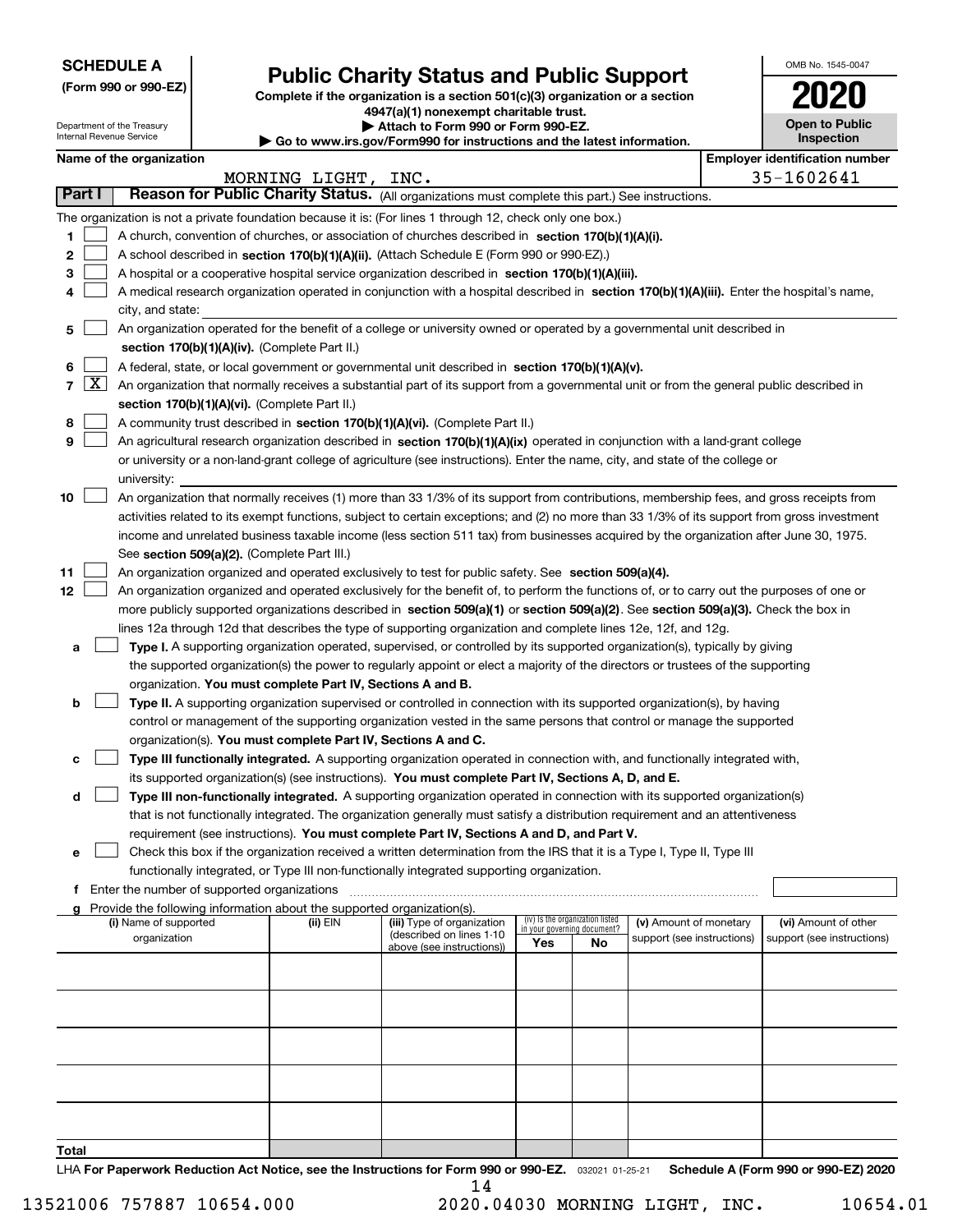| <b>SCHEDULE A</b> |
|-------------------|
|-------------------|

Department of the Treasury Internal Revenue Service

**(Form 990 or 990-EZ)**

## **Public Charity Status and Public Support**

**Complete if the organization is a section 501(c)(3) organization or a section 4947(a)(1) nonexempt charitable trust.**

| Attach to Form 990 or Form 990-EZ.                                       |
|--------------------------------------------------------------------------|
| ► Go to www.irs.gov/Form990 for instructions and the latest information. |

| OMB No. 1545-0047                   |
|-------------------------------------|
| 2020                                |
| <b>Open to Public</b><br>Inspection |

|        |                     | Name of the organization                                                                                                                                                                   |                |                            |     |                                 |                            |  | <b>Employer identification number</b> |  |  |
|--------|---------------------|--------------------------------------------------------------------------------------------------------------------------------------------------------------------------------------------|----------------|----------------------------|-----|---------------------------------|----------------------------|--|---------------------------------------|--|--|
|        |                     |                                                                                                                                                                                            | MORNING LIGHT, | INC.                       |     |                                 |                            |  | 35-1602641                            |  |  |
| Part I |                     | Reason for Public Charity Status. (All organizations must complete this part.) See instructions.                                                                                           |                |                            |     |                                 |                            |  |                                       |  |  |
|        |                     | The organization is not a private foundation because it is: (For lines 1 through 12, check only one box.)                                                                                  |                |                            |     |                                 |                            |  |                                       |  |  |
| 1.     |                     | A church, convention of churches, or association of churches described in section 170(b)(1)(A)(i).                                                                                         |                |                            |     |                                 |                            |  |                                       |  |  |
| 2      |                     | A school described in section 170(b)(1)(A)(ii). (Attach Schedule E (Form 990 or 990-EZ).)                                                                                                  |                |                            |     |                                 |                            |  |                                       |  |  |
| 3      |                     | A hospital or a cooperative hospital service organization described in section 170(b)(1)(A)(iii).                                                                                          |                |                            |     |                                 |                            |  |                                       |  |  |
|        |                     | A medical research organization operated in conjunction with a hospital described in section 170(b)(1)(A)(iii). Enter the hospital's name,                                                 |                |                            |     |                                 |                            |  |                                       |  |  |
|        |                     | city, and state:                                                                                                                                                                           |                |                            |     |                                 |                            |  |                                       |  |  |
| 5      |                     | An organization operated for the benefit of a college or university owned or operated by a governmental unit described in                                                                  |                |                            |     |                                 |                            |  |                                       |  |  |
|        |                     | section 170(b)(1)(A)(iv). (Complete Part II.)                                                                                                                                              |                |                            |     |                                 |                            |  |                                       |  |  |
| 6      |                     | A federal, state, or local government or governmental unit described in section 170(b)(1)(A)(v).                                                                                           |                |                            |     |                                 |                            |  |                                       |  |  |
| 7      | $\lfloor x \rfloor$ |                                                                                                                                                                                            |                |                            |     |                                 |                            |  |                                       |  |  |
|        |                     | An organization that normally receives a substantial part of its support from a governmental unit or from the general public described in<br>section 170(b)(1)(A)(vi). (Complete Part II.) |                |                            |     |                                 |                            |  |                                       |  |  |
| 8      |                     | A community trust described in section 170(b)(1)(A)(vi). (Complete Part II.)                                                                                                               |                |                            |     |                                 |                            |  |                                       |  |  |
| 9      |                     | An agricultural research organization described in section 170(b)(1)(A)(ix) operated in conjunction with a land-grant college                                                              |                |                            |     |                                 |                            |  |                                       |  |  |
|        |                     | or university or a non-land-grant college of agriculture (see instructions). Enter the name, city, and state of the college or                                                             |                |                            |     |                                 |                            |  |                                       |  |  |
|        |                     | university:                                                                                                                                                                                |                |                            |     |                                 |                            |  |                                       |  |  |
| 10     |                     | An organization that normally receives (1) more than 33 1/3% of its support from contributions, membership fees, and gross receipts from                                                   |                |                            |     |                                 |                            |  |                                       |  |  |
|        |                     | activities related to its exempt functions, subject to certain exceptions; and (2) no more than 33 1/3% of its support from gross investment                                               |                |                            |     |                                 |                            |  |                                       |  |  |
|        |                     | income and unrelated business taxable income (less section 511 tax) from businesses acquired by the organization after June 30, 1975.                                                      |                |                            |     |                                 |                            |  |                                       |  |  |
|        |                     | See section 509(a)(2). (Complete Part III.)                                                                                                                                                |                |                            |     |                                 |                            |  |                                       |  |  |
| 11     |                     | An organization organized and operated exclusively to test for public safety. See section 509(a)(4).                                                                                       |                |                            |     |                                 |                            |  |                                       |  |  |
| 12     |                     | An organization organized and operated exclusively for the benefit of, to perform the functions of, or to carry out the purposes of one or                                                 |                |                            |     |                                 |                            |  |                                       |  |  |
|        |                     | more publicly supported organizations described in section 509(a)(1) or section 509(a)(2). See section 509(a)(3). Check the box in                                                         |                |                            |     |                                 |                            |  |                                       |  |  |
|        |                     | lines 12a through 12d that describes the type of supporting organization and complete lines 12e, 12f, and 12g.                                                                             |                |                            |     |                                 |                            |  |                                       |  |  |
| a      |                     | Type I. A supporting organization operated, supervised, or controlled by its supported organization(s), typically by giving                                                                |                |                            |     |                                 |                            |  |                                       |  |  |
|        |                     | the supported organization(s) the power to regularly appoint or elect a majority of the directors or trustees of the supporting                                                            |                |                            |     |                                 |                            |  |                                       |  |  |
|        |                     |                                                                                                                                                                                            |                |                            |     |                                 |                            |  |                                       |  |  |
|        |                     | organization. You must complete Part IV, Sections A and B.                                                                                                                                 |                |                            |     |                                 |                            |  |                                       |  |  |
| b      |                     | Type II. A supporting organization supervised or controlled in connection with its supported organization(s), by having                                                                    |                |                            |     |                                 |                            |  |                                       |  |  |
|        |                     | control or management of the supporting organization vested in the same persons that control or manage the supported                                                                       |                |                            |     |                                 |                            |  |                                       |  |  |
|        |                     | organization(s). You must complete Part IV, Sections A and C.                                                                                                                              |                |                            |     |                                 |                            |  |                                       |  |  |
| c      |                     | Type III functionally integrated. A supporting organization operated in connection with, and functionally integrated with,                                                                 |                |                            |     |                                 |                            |  |                                       |  |  |
|        |                     | its supported organization(s) (see instructions). You must complete Part IV, Sections A, D, and E.                                                                                         |                |                            |     |                                 |                            |  |                                       |  |  |
| d      |                     | Type III non-functionally integrated. A supporting organization operated in connection with its supported organization(s)                                                                  |                |                            |     |                                 |                            |  |                                       |  |  |
|        |                     | that is not functionally integrated. The organization generally must satisfy a distribution requirement and an attentiveness                                                               |                |                            |     |                                 |                            |  |                                       |  |  |
|        |                     | requirement (see instructions). You must complete Part IV, Sections A and D, and Part V.                                                                                                   |                |                            |     |                                 |                            |  |                                       |  |  |
|        |                     | Check this box if the organization received a written determination from the IRS that it is a Type I, Type II, Type III                                                                    |                |                            |     |                                 |                            |  |                                       |  |  |
|        |                     | functionally integrated, or Type III non-functionally integrated supporting organization.                                                                                                  |                |                            |     |                                 |                            |  |                                       |  |  |
|        |                     | f Enter the number of supported organizations                                                                                                                                              |                |                            |     |                                 |                            |  |                                       |  |  |
|        |                     | g Provide the following information about the supported organization(s).<br>(i) Name of supported                                                                                          | (ii) EIN       | (iii) Type of organization |     | (iv) Is the organization listed | (v) Amount of monetary     |  | (vi) Amount of other                  |  |  |
|        |                     | organization                                                                                                                                                                               |                | (described on lines 1-10   |     | in your governing document?     | support (see instructions) |  | support (see instructions)            |  |  |
|        |                     |                                                                                                                                                                                            |                | above (see instructions))  | Yes | No                              |                            |  |                                       |  |  |
|        |                     |                                                                                                                                                                                            |                |                            |     |                                 |                            |  |                                       |  |  |
|        |                     |                                                                                                                                                                                            |                |                            |     |                                 |                            |  |                                       |  |  |
|        |                     |                                                                                                                                                                                            |                |                            |     |                                 |                            |  |                                       |  |  |
|        |                     |                                                                                                                                                                                            |                |                            |     |                                 |                            |  |                                       |  |  |
|        |                     |                                                                                                                                                                                            |                |                            |     |                                 |                            |  |                                       |  |  |
|        |                     |                                                                                                                                                                                            |                |                            |     |                                 |                            |  |                                       |  |  |
|        |                     |                                                                                                                                                                                            |                |                            |     |                                 |                            |  |                                       |  |  |
|        |                     |                                                                                                                                                                                            |                |                            |     |                                 |                            |  |                                       |  |  |
|        |                     |                                                                                                                                                                                            |                |                            |     |                                 |                            |  |                                       |  |  |
|        |                     |                                                                                                                                                                                            |                |                            |     |                                 |                            |  |                                       |  |  |
| Total  |                     |                                                                                                                                                                                            |                |                            |     |                                 |                            |  |                                       |  |  |
|        |                     | LHA For Paperwork Reduction Act Notice, see the Instructions for Form 990 or 990-EZ. 032021 01-25-21                                                                                       |                |                            |     |                                 |                            |  | Schedule A (Form 990 or 990-EZ) 2020  |  |  |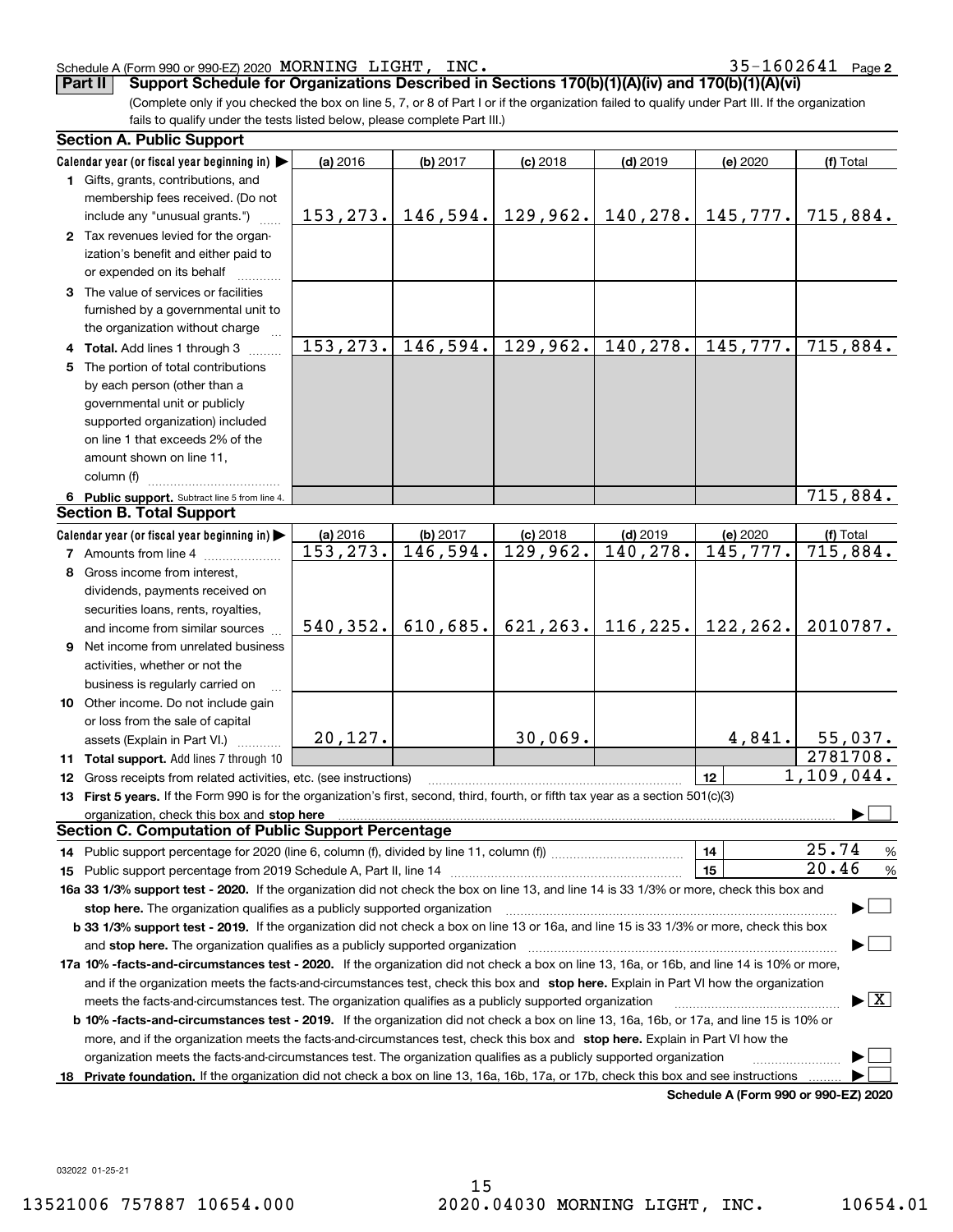## Schedule A (Form 990 or 990-EZ) 2020 Page MORNING LIGHT, INC. 35-1602641

**2**

**Part II Support Schedule for Organizations Described in Sections 170(b)(1)(A)(iv) and 170(b)(1)(A)(vi)**

(Complete only if you checked the box on line 5, 7, or 8 of Part I or if the organization failed to qualify under Part III. If the organization fails to qualify under the tests listed below, please complete Part III.)

|    | <b>Section A. Public Support</b>                                                                                                                    |           |          |                       |            |                                      |            |  |  |
|----|-----------------------------------------------------------------------------------------------------------------------------------------------------|-----------|----------|-----------------------|------------|--------------------------------------|------------|--|--|
|    | Calendar year (or fiscal year beginning in)                                                                                                         | (a) 2016  | (b) 2017 | $(c)$ 2018            | $(d)$ 2019 | (e) 2020                             | (f) Total  |  |  |
|    | 1 Gifts, grants, contributions, and                                                                                                                 |           |          |                       |            |                                      |            |  |  |
|    | membership fees received. (Do not                                                                                                                   |           |          |                       |            |                                      |            |  |  |
|    | include any "unusual grants.")                                                                                                                      | 153, 273. |          | $146,594.$ 129,962.   | 140, 278.  | 145,777.                             | 715,884.   |  |  |
|    | 2 Tax revenues levied for the organ-                                                                                                                |           |          |                       |            |                                      |            |  |  |
|    | ization's benefit and either paid to                                                                                                                |           |          |                       |            |                                      |            |  |  |
|    | or expended on its behalf                                                                                                                           |           |          |                       |            |                                      |            |  |  |
|    | 3 The value of services or facilities                                                                                                               |           |          |                       |            |                                      |            |  |  |
|    | furnished by a governmental unit to                                                                                                                 |           |          |                       |            |                                      |            |  |  |
|    | the organization without charge                                                                                                                     |           |          |                       |            |                                      |            |  |  |
|    | 4 Total. Add lines 1 through 3                                                                                                                      | 153, 273. | 146,594. | 129,962.              | 140, 278.  | 145,777.                             | 715,884.   |  |  |
| 5. | The portion of total contributions                                                                                                                  |           |          |                       |            |                                      |            |  |  |
|    | by each person (other than a                                                                                                                        |           |          |                       |            |                                      |            |  |  |
|    | governmental unit or publicly                                                                                                                       |           |          |                       |            |                                      |            |  |  |
|    | supported organization) included                                                                                                                    |           |          |                       |            |                                      |            |  |  |
|    | on line 1 that exceeds 2% of the                                                                                                                    |           |          |                       |            |                                      |            |  |  |
|    | amount shown on line 11,                                                                                                                            |           |          |                       |            |                                      |            |  |  |
|    | column (f)                                                                                                                                          |           |          |                       |            |                                      |            |  |  |
|    | 6 Public support. Subtract line 5 from line 4.                                                                                                      |           |          |                       |            |                                      | 715,884.   |  |  |
|    | <b>Section B. Total Support</b>                                                                                                                     |           |          |                       |            |                                      |            |  |  |
|    | Calendar year (or fiscal year beginning in)                                                                                                         | (a) 2016  | (b) 2017 | $(c)$ 2018            | $(d)$ 2019 | (e) 2020                             | (f) Total  |  |  |
|    | <b>7</b> Amounts from line 4                                                                                                                        | 153, 273. | 146,594. | 129,962.              | 140, 278.  | 145,777.                             | 715,884.   |  |  |
|    | 8 Gross income from interest,                                                                                                                       |           |          |                       |            |                                      |            |  |  |
|    | dividends, payments received on                                                                                                                     |           |          |                       |            |                                      |            |  |  |
|    | securities loans, rents, royalties,                                                                                                                 |           |          |                       |            |                                      |            |  |  |
|    | and income from similar sources                                                                                                                     | 540, 352. |          | $610, 685.$ 621, 263. | 116, 225.  | 122,262.                             | 2010787.   |  |  |
|    | 9 Net income from unrelated business                                                                                                                |           |          |                       |            |                                      |            |  |  |
|    | activities, whether or not the                                                                                                                      |           |          |                       |            |                                      |            |  |  |
|    | business is regularly carried on                                                                                                                    |           |          |                       |            |                                      |            |  |  |
|    | 10 Other income. Do not include gain                                                                                                                |           |          |                       |            |                                      |            |  |  |
|    | or loss from the sale of capital                                                                                                                    |           |          |                       |            |                                      |            |  |  |
|    | assets (Explain in Part VI.)                                                                                                                        | 20, 127.  |          | 30,069.               |            | 4,841.                               | 55,037.    |  |  |
|    | 11 Total support. Add lines 7 through 10                                                                                                            |           |          |                       |            |                                      | 2781708.   |  |  |
|    | 12 Gross receipts from related activities, etc. (see instructions)                                                                                  |           |          |                       |            | 12                                   | 1,109,044. |  |  |
|    | 13 First 5 years. If the Form 990 is for the organization's first, second, third, fourth, or fifth tax year as a section 501(c)(3)                  |           |          |                       |            |                                      |            |  |  |
|    |                                                                                                                                                     |           |          |                       |            |                                      |            |  |  |
|    | Section C. Computation of Public Support Percentage                                                                                                 |           |          |                       |            |                                      |            |  |  |
|    | 14 Public support percentage for 2020 (line 6, column (f), divided by line 11, column (f) <i>mummumumum</i>                                         |           |          |                       |            | 14                                   | 25.74<br>% |  |  |
|    |                                                                                                                                                     |           |          |                       |            | 15                                   | 20.46<br>% |  |  |
|    | 16a 33 1/3% support test - 2020. If the organization did not check the box on line 13, and line 14 is 33 1/3% or more, check this box and           |           |          |                       |            |                                      |            |  |  |
|    | stop here. The organization qualifies as a publicly supported organization                                                                          |           |          |                       |            |                                      |            |  |  |
|    | b 33 1/3% support test - 2019. If the organization did not check a box on line 13 or 16a, and line 15 is 33 1/3% or more, check this box            |           |          |                       |            |                                      |            |  |  |
|    | and stop here. The organization qualifies as a publicly supported organization                                                                      |           |          |                       |            |                                      |            |  |  |
|    | 17a 10% -facts-and-circumstances test - 2020. If the organization did not check a box on line 13, 16a, or 16b, and line 14 is 10% or more,          |           |          |                       |            |                                      |            |  |  |
|    | and if the organization meets the facts and circumstances test, check this box and stop here. Explain in Part VI how the organization               |           |          |                       |            |                                      |            |  |  |
|    | $\blacktriangleright$ $\boxed{\text{X}}$<br>meets the facts-and-circumstances test. The organization qualifies as a publicly supported organization |           |          |                       |            |                                      |            |  |  |
|    | <b>b 10% -facts-and-circumstances test - 2019.</b> If the organization did not check a box on line 13, 16a, 16b, or 17a, and line 15 is 10% or      |           |          |                       |            |                                      |            |  |  |
|    | more, and if the organization meets the facts-and-circumstances test, check this box and stop here. Explain in Part VI how the                      |           |          |                       |            |                                      |            |  |  |
|    | organization meets the facts-and-circumstances test. The organization qualifies as a publicly supported organization                                |           |          |                       |            |                                      |            |  |  |
|    | 18 Private foundation. If the organization did not check a box on line 13, 16a, 16b, 17a, or 17b, check this box and see instructions               |           |          |                       |            |                                      |            |  |  |
|    |                                                                                                                                                     |           |          |                       |            | Schedule A (Form 990 or 990-EZ) 2020 |            |  |  |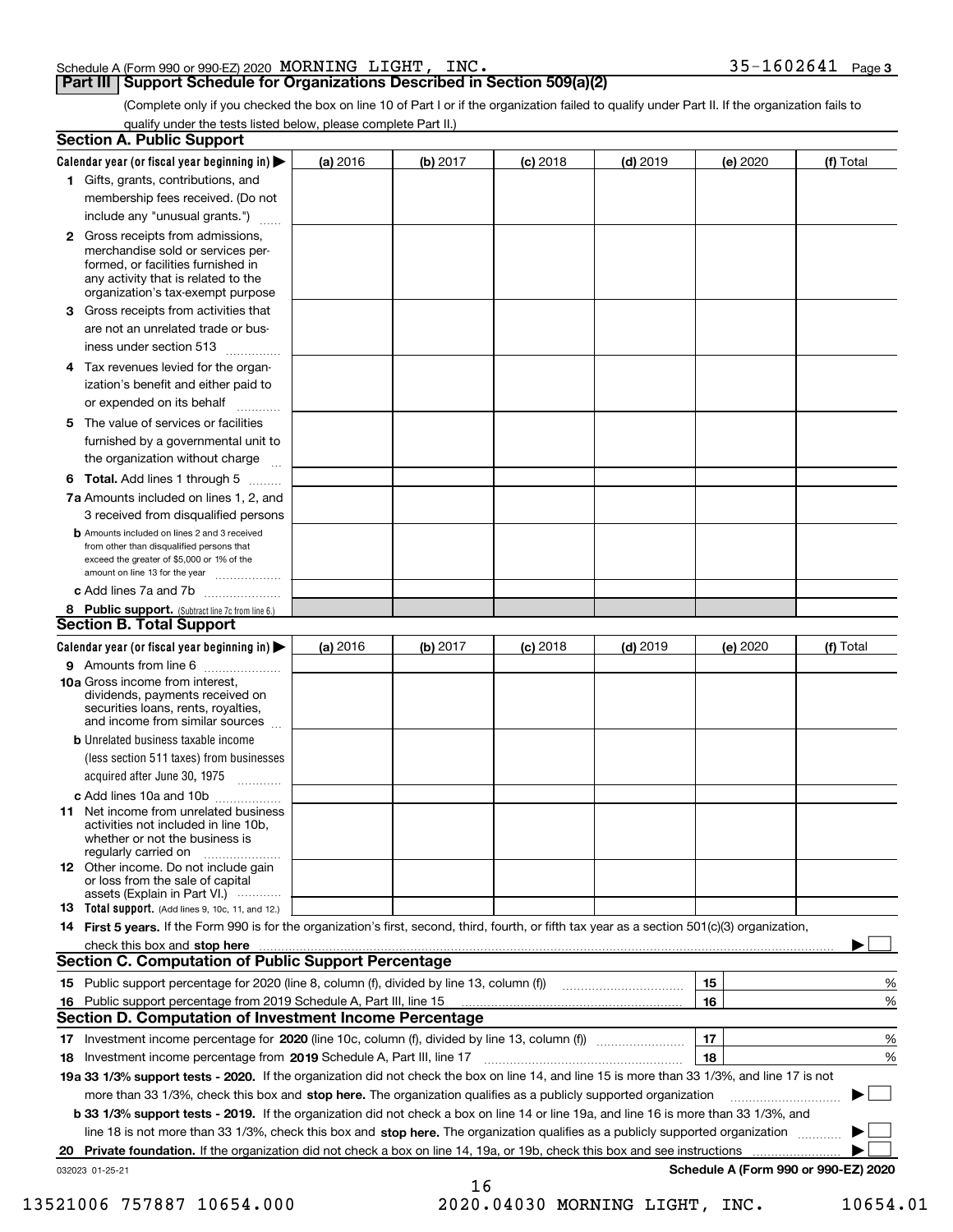## Schedule A (Form 990 or 990-EZ) 2020 Page MORNING LIGHT, INC. 35-1602641

## **Part III Support Schedule for Organizations Described in Section 509(a)(2)**

**3**

(Complete only if you checked the box on line 10 of Part I or if the organization failed to qualify under Part II. If the organization fails to qualify under the tests listed below, please complete Part II.)

| <b>Section A. Public Support</b>                                                                                                                                                                                                     |          |          |            |            |          |                                      |
|--------------------------------------------------------------------------------------------------------------------------------------------------------------------------------------------------------------------------------------|----------|----------|------------|------------|----------|--------------------------------------|
| Calendar year (or fiscal year beginning in) $\blacktriangleright$                                                                                                                                                                    | (a) 2016 | (b) 2017 | $(c)$ 2018 | $(d)$ 2019 | (e) 2020 | (f) Total                            |
| 1 Gifts, grants, contributions, and                                                                                                                                                                                                  |          |          |            |            |          |                                      |
| membership fees received. (Do not                                                                                                                                                                                                    |          |          |            |            |          |                                      |
| include any "unusual grants.")                                                                                                                                                                                                       |          |          |            |            |          |                                      |
| 2 Gross receipts from admissions,<br>merchandise sold or services per-<br>formed, or facilities furnished in<br>any activity that is related to the<br>organization's tax-exempt purpose                                             |          |          |            |            |          |                                      |
| 3 Gross receipts from activities that<br>are not an unrelated trade or bus-                                                                                                                                                          |          |          |            |            |          |                                      |
| iness under section 513                                                                                                                                                                                                              |          |          |            |            |          |                                      |
| 4 Tax revenues levied for the organ-<br>ization's benefit and either paid to<br>or expended on its behalf<br>.                                                                                                                       |          |          |            |            |          |                                      |
| 5 The value of services or facilities<br>furnished by a governmental unit to<br>the organization without charge                                                                                                                      |          |          |            |            |          |                                      |
| <b>6 Total.</b> Add lines 1 through 5                                                                                                                                                                                                |          |          |            |            |          |                                      |
| 7a Amounts included on lines 1, 2, and<br>3 received from disqualified persons                                                                                                                                                       |          |          |            |            |          |                                      |
| <b>b</b> Amounts included on lines 2 and 3 received<br>from other than disqualified persons that<br>exceed the greater of \$5,000 or 1% of the<br>amount on line 13 for the year                                                     |          |          |            |            |          |                                      |
| c Add lines 7a and 7b                                                                                                                                                                                                                |          |          |            |            |          |                                      |
| 8 Public support. (Subtract line 7c from line 6.)                                                                                                                                                                                    |          |          |            |            |          |                                      |
| <b>Section B. Total Support</b>                                                                                                                                                                                                      |          |          |            |            |          |                                      |
| Calendar year (or fiscal year beginning in) $\blacktriangleright$                                                                                                                                                                    | (a) 2016 | (b) 2017 | $(c)$ 2018 | $(d)$ 2019 | (e) 2020 | (f) Total                            |
| 9 Amounts from line 6                                                                                                                                                                                                                |          |          |            |            |          |                                      |
| 10a Gross income from interest,<br>dividends, payments received on<br>securities loans, rents, royalties,<br>and income from similar sources                                                                                         |          |          |            |            |          |                                      |
| <b>b</b> Unrelated business taxable income<br>(less section 511 taxes) from businesses<br>acquired after June 30, 1975<br>1.1.1.1.1.1.1.1.1.1                                                                                        |          |          |            |            |          |                                      |
| c Add lines 10a and 10b                                                                                                                                                                                                              |          |          |            |            |          |                                      |
| <b>11</b> Net income from unrelated business<br>activities not included in line 10b.<br>whether or not the business is<br>regularly carried on                                                                                       |          |          |            |            |          |                                      |
| <b>12</b> Other income. Do not include gain<br>or loss from the sale of capital<br>assets (Explain in Part VI.)                                                                                                                      |          |          |            |            |          |                                      |
| <b>13</b> Total support. (Add lines 9, 10c, 11, and 12.)                                                                                                                                                                             |          |          |            |            |          |                                      |
| 14 First 5 years. If the Form 990 is for the organization's first, second, third, fourth, or fifth tax year as a section 501(c)(3) organization,                                                                                     |          |          |            |            |          |                                      |
| check this box and stop here <b>contractly contractly and structure and structure of the structure of the structure of the structure of the structure of the structure of the structure of the structure of the structure of the</b> |          |          |            |            |          |                                      |
| <b>Section C. Computation of Public Support Percentage</b>                                                                                                                                                                           |          |          |            |            |          |                                      |
|                                                                                                                                                                                                                                      |          |          |            |            | 15       | %                                    |
| 16 Public support percentage from 2019 Schedule A, Part III, line 15                                                                                                                                                                 |          |          |            |            | 16       | %                                    |
| <b>Section D. Computation of Investment Income Percentage</b>                                                                                                                                                                        |          |          |            |            |          |                                      |
| 17 Investment income percentage for 2020 (line 10c, column (f), divided by line 13, column (f))                                                                                                                                      |          |          |            |            | 17       | %                                    |
| 18 Investment income percentage from 2019 Schedule A, Part III, line 17                                                                                                                                                              |          |          |            |            | 18       | %                                    |
| 19a 33 1/3% support tests - 2020. If the organization did not check the box on line 14, and line 15 is more than 33 1/3%, and line 17 is not                                                                                         |          |          |            |            |          |                                      |
| more than 33 1/3%, check this box and stop here. The organization qualifies as a publicly supported organization                                                                                                                     |          |          |            |            |          |                                      |
| b 33 1/3% support tests - 2019. If the organization did not check a box on line 14 or line 19a, and line 16 is more than 33 1/3%, and                                                                                                |          |          |            |            |          |                                      |
| line 18 is not more than 33 1/3%, check this box and stop here. The organization qualifies as a publicly supported organization                                                                                                      |          |          |            |            |          |                                      |
| 20 Private foundation. If the organization did not check a box on line 14, 19a, or 19b, check this box and see instructions                                                                                                          |          |          |            |            |          | .                                    |
| 032023 01-25-21                                                                                                                                                                                                                      |          | 16       |            |            |          | Schedule A (Form 990 or 990-EZ) 2020 |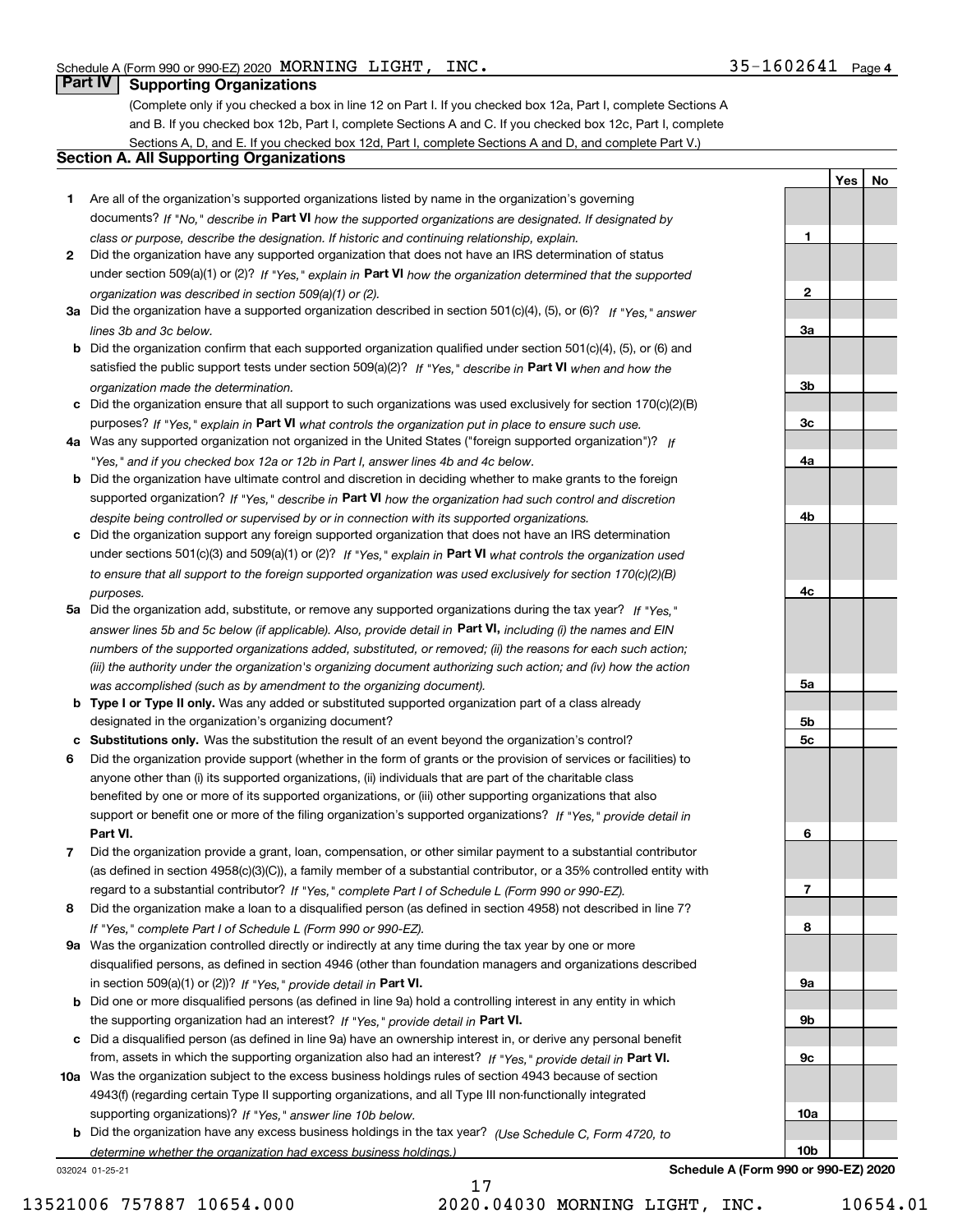**1**

**2**

**3a**

**3b**

**3c**

**4a**

**4b**

**4c**

**5a**

**5b5c**

**6**

**7**

**8**

**9a**

**9b**

**9c**

**10a**

**10b**

**YesNo**

## **Part IV Supporting Organizations**

(Complete only if you checked a box in line 12 on Part I. If you checked box 12a, Part I, complete Sections A and B. If you checked box 12b, Part I, complete Sections A and C. If you checked box 12c, Part I, complete Sections A, D, and E. If you checked box 12d, Part I, complete Sections A and D, and complete Part V.)

## **Section A. All Supporting Organizations**

- **1** Are all of the organization's supported organizations listed by name in the organization's governing documents? If "No," describe in **Part VI** how the supported organizations are designated. If designated by *class or purpose, describe the designation. If historic and continuing relationship, explain.*
- **2** Did the organization have any supported organization that does not have an IRS determination of status under section 509(a)(1) or (2)? If "Yes," explain in Part VI how the organization determined that the supported *organization was described in section 509(a)(1) or (2).*
- **3a** Did the organization have a supported organization described in section 501(c)(4), (5), or (6)? If "Yes," answer *lines 3b and 3c below.*
- **b** Did the organization confirm that each supported organization qualified under section 501(c)(4), (5), or (6) and satisfied the public support tests under section 509(a)(2)? If "Yes," describe in **Part VI** when and how the *organization made the determination.*
- **c**Did the organization ensure that all support to such organizations was used exclusively for section 170(c)(2)(B) purposes? If "Yes," explain in **Part VI** what controls the organization put in place to ensure such use.
- **4a***If* Was any supported organization not organized in the United States ("foreign supported organization")? *"Yes," and if you checked box 12a or 12b in Part I, answer lines 4b and 4c below.*
- **b** Did the organization have ultimate control and discretion in deciding whether to make grants to the foreign supported organization? If "Yes," describe in **Part VI** how the organization had such control and discretion *despite being controlled or supervised by or in connection with its supported organizations.*
- **c** Did the organization support any foreign supported organization that does not have an IRS determination under sections 501(c)(3) and 509(a)(1) or (2)? If "Yes," explain in **Part VI** what controls the organization used *to ensure that all support to the foreign supported organization was used exclusively for section 170(c)(2)(B) purposes.*
- **5a** Did the organization add, substitute, or remove any supported organizations during the tax year? If "Yes," answer lines 5b and 5c below (if applicable). Also, provide detail in **Part VI,** including (i) the names and EIN *numbers of the supported organizations added, substituted, or removed; (ii) the reasons for each such action; (iii) the authority under the organization's organizing document authorizing such action; and (iv) how the action was accomplished (such as by amendment to the organizing document).*
- **b** Type I or Type II only. Was any added or substituted supported organization part of a class already designated in the organization's organizing document?
- **cSubstitutions only.**  Was the substitution the result of an event beyond the organization's control?
- **6** Did the organization provide support (whether in the form of grants or the provision of services or facilities) to **Part VI.** *If "Yes," provide detail in* support or benefit one or more of the filing organization's supported organizations? anyone other than (i) its supported organizations, (ii) individuals that are part of the charitable class benefited by one or more of its supported organizations, or (iii) other supporting organizations that also
- **7**Did the organization provide a grant, loan, compensation, or other similar payment to a substantial contributor *If "Yes," complete Part I of Schedule L (Form 990 or 990-EZ).* regard to a substantial contributor? (as defined in section 4958(c)(3)(C)), a family member of a substantial contributor, or a 35% controlled entity with
- **8** Did the organization make a loan to a disqualified person (as defined in section 4958) not described in line 7? *If "Yes," complete Part I of Schedule L (Form 990 or 990-EZ).*
- **9a** Was the organization controlled directly or indirectly at any time during the tax year by one or more in section 509(a)(1) or (2))? If "Yes," *provide detail in* <code>Part VI.</code> disqualified persons, as defined in section 4946 (other than foundation managers and organizations described
- **b** Did one or more disqualified persons (as defined in line 9a) hold a controlling interest in any entity in which the supporting organization had an interest? If "Yes," provide detail in P**art VI**.
- **c**Did a disqualified person (as defined in line 9a) have an ownership interest in, or derive any personal benefit from, assets in which the supporting organization also had an interest? If "Yes," provide detail in P**art VI.**
- **10a** Was the organization subject to the excess business holdings rules of section 4943 because of section supporting organizations)? If "Yes," answer line 10b below. 4943(f) (regarding certain Type II supporting organizations, and all Type III non-functionally integrated
- **b** Did the organization have any excess business holdings in the tax year? (Use Schedule C, Form 4720, to *determine whether the organization had excess business holdings.)*

032024 01-25-21

**Schedule A (Form 990 or 990-EZ) 2020**

13521006 757887 10654.000 2020.04030 MORNING LIGHT, INC. 10654.01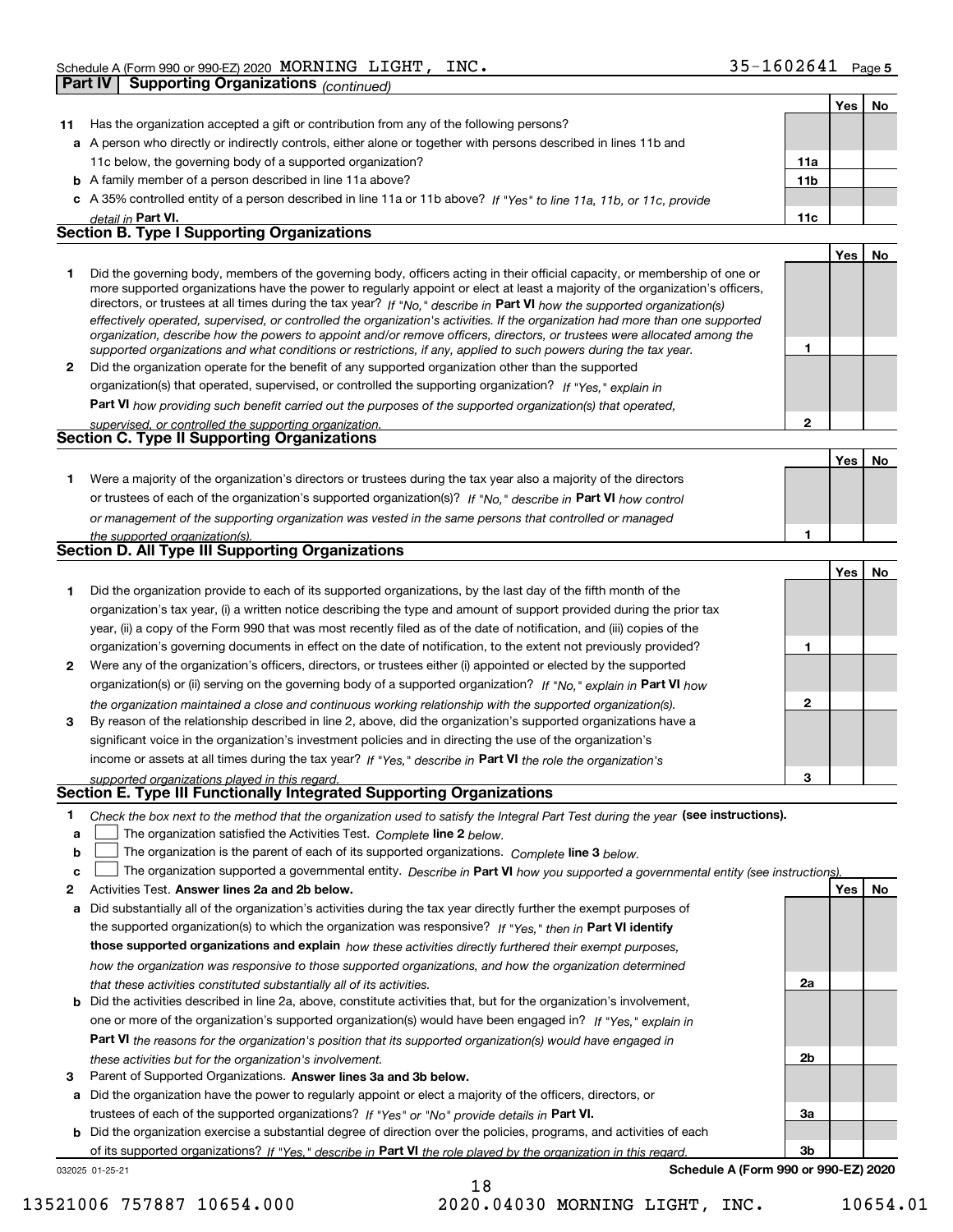|        | Part IV | <b>Supporting Organizations (continued)</b>                                                                                                                                                                                                                                                                                                                                                                                                                                                                                                                                                                                                          |                 |            |    |
|--------|---------|------------------------------------------------------------------------------------------------------------------------------------------------------------------------------------------------------------------------------------------------------------------------------------------------------------------------------------------------------------------------------------------------------------------------------------------------------------------------------------------------------------------------------------------------------------------------------------------------------------------------------------------------------|-----------------|------------|----|
|        |         |                                                                                                                                                                                                                                                                                                                                                                                                                                                                                                                                                                                                                                                      |                 | Yes        | No |
| 11     |         | Has the organization accepted a gift or contribution from any of the following persons?                                                                                                                                                                                                                                                                                                                                                                                                                                                                                                                                                              |                 |            |    |
|        |         | a A person who directly or indirectly controls, either alone or together with persons described in lines 11b and                                                                                                                                                                                                                                                                                                                                                                                                                                                                                                                                     |                 |            |    |
|        |         | 11c below, the governing body of a supported organization?                                                                                                                                                                                                                                                                                                                                                                                                                                                                                                                                                                                           | 11a             |            |    |
|        |         | <b>b</b> A family member of a person described in line 11a above?                                                                                                                                                                                                                                                                                                                                                                                                                                                                                                                                                                                    | 11 <sub>b</sub> |            |    |
|        |         | c A 35% controlled entity of a person described in line 11a or 11b above? If "Yes" to line 11a, 11b, or 11c, provide                                                                                                                                                                                                                                                                                                                                                                                                                                                                                                                                 |                 |            |    |
|        |         | detail in Part VI.                                                                                                                                                                                                                                                                                                                                                                                                                                                                                                                                                                                                                                   | 11c             |            |    |
|        |         | <b>Section B. Type I Supporting Organizations</b>                                                                                                                                                                                                                                                                                                                                                                                                                                                                                                                                                                                                    |                 |            |    |
|        |         |                                                                                                                                                                                                                                                                                                                                                                                                                                                                                                                                                                                                                                                      |                 | Yes        | No |
| 1      |         | Did the governing body, members of the governing body, officers acting in their official capacity, or membership of one or<br>more supported organizations have the power to regularly appoint or elect at least a majority of the organization's officers,<br>directors, or trustees at all times during the tax year? If "No," describe in Part VI how the supported organization(s)<br>effectively operated, supervised, or controlled the organization's activities. If the organization had more than one supported<br>organization, describe how the powers to appoint and/or remove officers, directors, or trustees were allocated among the |                 |            |    |
|        |         | supported organizations and what conditions or restrictions, if any, applied to such powers during the tax year.                                                                                                                                                                                                                                                                                                                                                                                                                                                                                                                                     | 1               |            |    |
| 2      |         | Did the organization operate for the benefit of any supported organization other than the supported                                                                                                                                                                                                                                                                                                                                                                                                                                                                                                                                                  |                 |            |    |
|        |         | organization(s) that operated, supervised, or controlled the supporting organization? If "Yes," explain in                                                                                                                                                                                                                                                                                                                                                                                                                                                                                                                                           |                 |            |    |
|        |         | Part VI how providing such benefit carried out the purposes of the supported organization(s) that operated,                                                                                                                                                                                                                                                                                                                                                                                                                                                                                                                                          |                 |            |    |
|        |         | supervised, or controlled the supporting organization.                                                                                                                                                                                                                                                                                                                                                                                                                                                                                                                                                                                               | $\overline{2}$  |            |    |
|        |         | Section C. Type II Supporting Organizations                                                                                                                                                                                                                                                                                                                                                                                                                                                                                                                                                                                                          |                 |            |    |
|        |         |                                                                                                                                                                                                                                                                                                                                                                                                                                                                                                                                                                                                                                                      |                 | Yes        | No |
| 1.     |         | Were a majority of the organization's directors or trustees during the tax year also a majority of the directors                                                                                                                                                                                                                                                                                                                                                                                                                                                                                                                                     |                 |            |    |
|        |         | or trustees of each of the organization's supported organization(s)? If "No," describe in Part VI how control                                                                                                                                                                                                                                                                                                                                                                                                                                                                                                                                        |                 |            |    |
|        |         | or management of the supporting organization was vested in the same persons that controlled or managed                                                                                                                                                                                                                                                                                                                                                                                                                                                                                                                                               |                 |            |    |
|        |         | the supported organization(s).                                                                                                                                                                                                                                                                                                                                                                                                                                                                                                                                                                                                                       | 1               |            |    |
|        |         | Section D. All Type III Supporting Organizations                                                                                                                                                                                                                                                                                                                                                                                                                                                                                                                                                                                                     |                 |            |    |
|        |         |                                                                                                                                                                                                                                                                                                                                                                                                                                                                                                                                                                                                                                                      |                 | Yes        | No |
| 1      |         | Did the organization provide to each of its supported organizations, by the last day of the fifth month of the                                                                                                                                                                                                                                                                                                                                                                                                                                                                                                                                       |                 |            |    |
|        |         | organization's tax year, (i) a written notice describing the type and amount of support provided during the prior tax                                                                                                                                                                                                                                                                                                                                                                                                                                                                                                                                |                 |            |    |
|        |         | year, (ii) a copy of the Form 990 that was most recently filed as of the date of notification, and (iii) copies of the                                                                                                                                                                                                                                                                                                                                                                                                                                                                                                                               |                 |            |    |
|        |         | organization's governing documents in effect on the date of notification, to the extent not previously provided?                                                                                                                                                                                                                                                                                                                                                                                                                                                                                                                                     | 1               |            |    |
| 2      |         | Were any of the organization's officers, directors, or trustees either (i) appointed or elected by the supported                                                                                                                                                                                                                                                                                                                                                                                                                                                                                                                                     |                 |            |    |
|        |         | organization(s) or (ii) serving on the governing body of a supported organization? If "No," explain in Part VI how                                                                                                                                                                                                                                                                                                                                                                                                                                                                                                                                   |                 |            |    |
| 3      |         | the organization maintained a close and continuous working relationship with the supported organization(s).<br>By reason of the relationship described in line 2, above, did the organization's supported organizations have a                                                                                                                                                                                                                                                                                                                                                                                                                       | $\mathbf 2$     |            |    |
|        |         | significant voice in the organization's investment policies and in directing the use of the organization's                                                                                                                                                                                                                                                                                                                                                                                                                                                                                                                                           |                 |            |    |
|        |         | income or assets at all times during the tax year? If "Yes," describe in Part VI the role the organization's                                                                                                                                                                                                                                                                                                                                                                                                                                                                                                                                         |                 |            |    |
|        |         | supported organizations played in this regard.                                                                                                                                                                                                                                                                                                                                                                                                                                                                                                                                                                                                       | 3               |            |    |
|        |         | Section E. Type III Functionally Integrated Supporting Organizations                                                                                                                                                                                                                                                                                                                                                                                                                                                                                                                                                                                 |                 |            |    |
| 1<br>a |         | Check the box next to the method that the organization used to satisfy the Integral Part Test during the year (see instructions).<br>The organization satisfied the Activities Test. Complete line 2 below.                                                                                                                                                                                                                                                                                                                                                                                                                                          |                 |            |    |
| b      |         | The organization is the parent of each of its supported organizations. Complete line 3 below.                                                                                                                                                                                                                                                                                                                                                                                                                                                                                                                                                        |                 |            |    |
| c      |         | The organization supported a governmental entity. Describe in Part VI how you supported a governmental entity (see instructions)                                                                                                                                                                                                                                                                                                                                                                                                                                                                                                                     |                 |            |    |
| 2      |         | Activities Test. Answer lines 2a and 2b below.                                                                                                                                                                                                                                                                                                                                                                                                                                                                                                                                                                                                       |                 | <b>Yes</b> | No |
| a      |         | Did substantially all of the organization's activities during the tax year directly further the exempt purposes of                                                                                                                                                                                                                                                                                                                                                                                                                                                                                                                                   |                 |            |    |
|        |         | the supported organization(s) to which the organization was responsive? If "Yes." then in Part VI identify                                                                                                                                                                                                                                                                                                                                                                                                                                                                                                                                           |                 |            |    |
|        |         | those supported organizations and explain how these activities directly furthered their exempt purposes,                                                                                                                                                                                                                                                                                                                                                                                                                                                                                                                                             |                 |            |    |
|        |         | how the organization was responsive to those supported organizations, and how the organization determined                                                                                                                                                                                                                                                                                                                                                                                                                                                                                                                                            |                 |            |    |
|        |         | that these activities constituted substantially all of its activities.                                                                                                                                                                                                                                                                                                                                                                                                                                                                                                                                                                               | 2a              |            |    |
| b      |         | Did the activities described in line 2a, above, constitute activities that, but for the organization's involvement,                                                                                                                                                                                                                                                                                                                                                                                                                                                                                                                                  |                 |            |    |
|        |         | one or more of the organization's supported organization(s) would have been engaged in? If "Yes," explain in                                                                                                                                                                                                                                                                                                                                                                                                                                                                                                                                         |                 |            |    |
|        |         | Part VI the reasons for the organization's position that its supported organization(s) would have engaged in                                                                                                                                                                                                                                                                                                                                                                                                                                                                                                                                         |                 |            |    |
|        |         | these activities but for the organization's involvement.                                                                                                                                                                                                                                                                                                                                                                                                                                                                                                                                                                                             | 2b              |            |    |

**3** Parent of Supported Organizations. Answer lines 3a and 3b below.

**a** Did the organization have the power to regularly appoint or elect a majority of the officers, directors, or trustees of each of the supported organizations? If "Yes" or "No" provide details in **Part VI.** 

**b** Did the organization exercise a substantial degree of direction over the policies, programs, and activities of each of its supported organizations? If "Yes," describe in Part VI the role played by the organization in this regard.

032025 01-25-21

**Schedule A (Form 990 or 990-EZ) 2020**

**3a**

**3b**

18

13521006 757887 10654.000 2020.04030 MORNING LIGHT, INC. 10654.01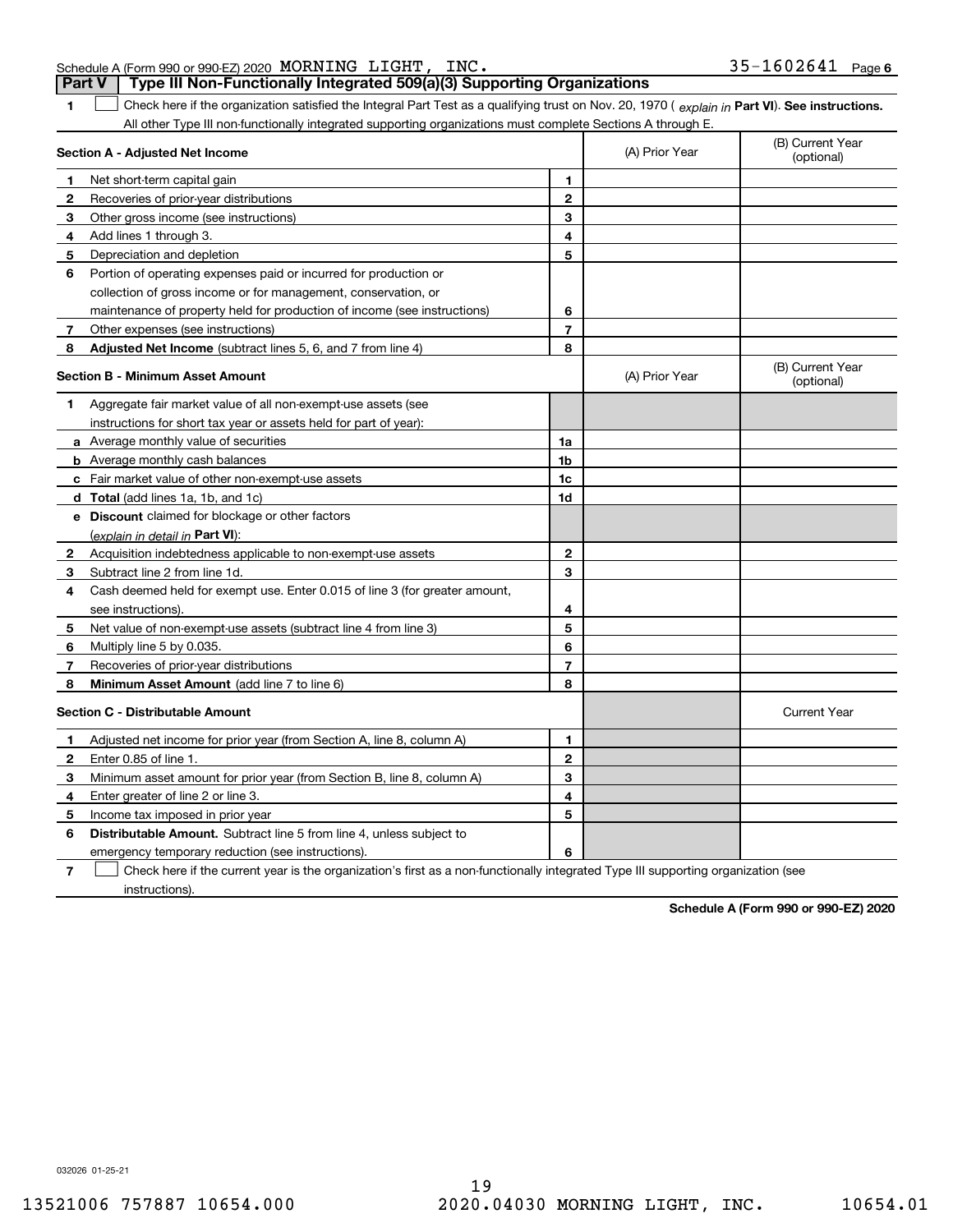| <b>Part V</b> Type III Non-Functionally Integrated 509(a)(3) Supporting Organizations |                   |  |
|---------------------------------------------------------------------------------------|-------------------|--|
| Schedule A (Form 990 or 990-EZ) 2020 MORNING LIGHT, INC.                              | 35-1602641 Page 6 |  |

**1**

1 Check here if the organization satisfied the Integral Part Test as a qualifying trust on Nov. 20, 1970 (explain in Part VI). See instructions. All other Type III non-functionally integrated supporting organizations must complete Sections A through E.

|              | Section A - Adjusted Net Income                                                                                                   |                | (A) Prior Year | (B) Current Year<br>(optional) |
|--------------|-----------------------------------------------------------------------------------------------------------------------------------|----------------|----------------|--------------------------------|
| 1.           | Net short-term capital gain                                                                                                       | 1              |                |                                |
| 2            | Recoveries of prior-year distributions                                                                                            | $\overline{2}$ |                |                                |
| з            | Other gross income (see instructions)                                                                                             | 3              |                |                                |
| 4            | Add lines 1 through 3.                                                                                                            | 4              |                |                                |
| 5            | Depreciation and depletion                                                                                                        | 5              |                |                                |
| 6            | Portion of operating expenses paid or incurred for production or                                                                  |                |                |                                |
|              | collection of gross income or for management, conservation, or                                                                    |                |                |                                |
|              | maintenance of property held for production of income (see instructions)                                                          | 6              |                |                                |
| 7            | Other expenses (see instructions)                                                                                                 | $\overline{7}$ |                |                                |
| 8            | Adjusted Net Income (subtract lines 5, 6, and 7 from line 4)                                                                      | 8              |                |                                |
|              | <b>Section B - Minimum Asset Amount</b>                                                                                           |                | (A) Prior Year | (B) Current Year<br>(optional) |
| 1.           | Aggregate fair market value of all non-exempt-use assets (see                                                                     |                |                |                                |
|              | instructions for short tax year or assets held for part of year):                                                                 |                |                |                                |
|              | a Average monthly value of securities                                                                                             | 1a             |                |                                |
|              | <b>b</b> Average monthly cash balances                                                                                            | 1b             |                |                                |
|              | c Fair market value of other non-exempt-use assets                                                                                | 1c             |                |                                |
|              | d Total (add lines 1a, 1b, and 1c)                                                                                                | 1d             |                |                                |
|              | e Discount claimed for blockage or other factors                                                                                  |                |                |                                |
|              | (explain in detail in Part VI):                                                                                                   |                |                |                                |
| $\mathbf{2}$ | Acquisition indebtedness applicable to non-exempt-use assets                                                                      | $\mathbf{2}$   |                |                                |
| 3            | Subtract line 2 from line 1d.                                                                                                     | 3              |                |                                |
| 4            | Cash deemed held for exempt use. Enter 0.015 of line 3 (for greater amount,                                                       |                |                |                                |
|              | see instructions).                                                                                                                | 4              |                |                                |
| 5            | Net value of non-exempt-use assets (subtract line 4 from line 3)                                                                  | 5              |                |                                |
| 6            | Multiply line 5 by 0.035.                                                                                                         | 6              |                |                                |
| 7            | Recoveries of prior-year distributions                                                                                            | $\overline{7}$ |                |                                |
| 8            | Minimum Asset Amount (add line 7 to line 6)                                                                                       | 8              |                |                                |
|              | <b>Section C - Distributable Amount</b>                                                                                           |                |                | <b>Current Year</b>            |
| 1            | Adjusted net income for prior year (from Section A, line 8, column A)                                                             | 1              |                |                                |
| 2            | Enter 0.85 of line 1.                                                                                                             | $\overline{2}$ |                |                                |
| з            | Minimum asset amount for prior year (from Section B, line 8, column A)                                                            | 3              |                |                                |
| 4            | Enter greater of line 2 or line 3.                                                                                                | 4              |                |                                |
| 5            | Income tax imposed in prior year                                                                                                  | 5              |                |                                |
| 6            | <b>Distributable Amount.</b> Subtract line 5 from line 4, unless subject to                                                       |                |                |                                |
|              | emergency temporary reduction (see instructions).                                                                                 | 6              |                |                                |
| 7            | Check here if the current year is the organization's first as a non-functionally integrated Type III supporting organization (see |                |                |                                |

instructions).

**Schedule A (Form 990 or 990-EZ) 2020**

032026 01-25-21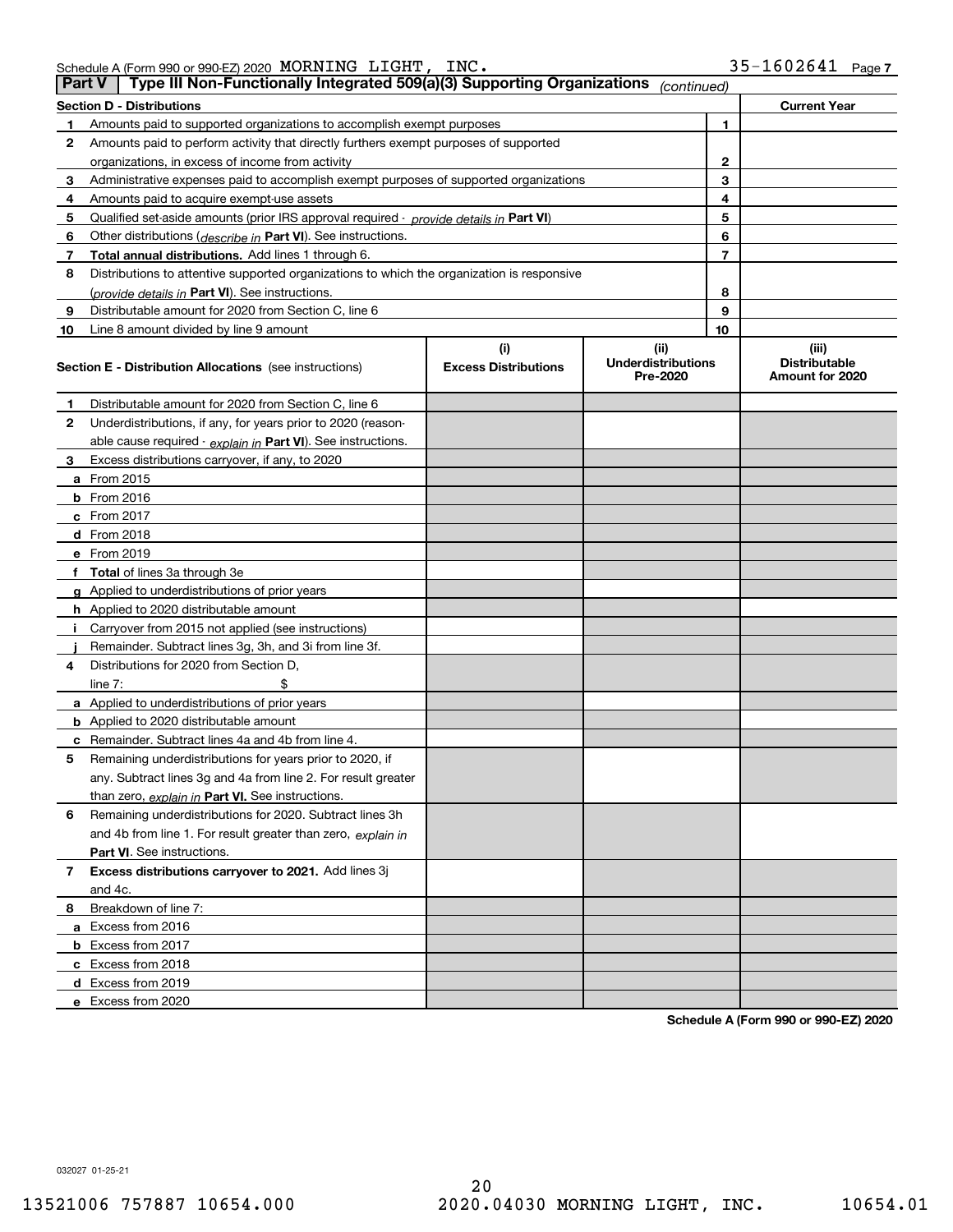| Schedule A (Form 990 or 990-EZ) 2020 $\,$ $\rm{MORNING}$ | LIGHT, | INC. | 35-1602641 | Page |
|----------------------------------------------------------|--------|------|------------|------|
|                                                          |        |      |            |      |

|    | Type III Non-Functionally Integrated 509(a)(3) Supporting Organizations<br>∣ Part V ∣<br>(continued) |                             |                                       |    |                                         |  |  |
|----|------------------------------------------------------------------------------------------------------|-----------------------------|---------------------------------------|----|-----------------------------------------|--|--|
|    | Section D - Distributions                                                                            |                             |                                       |    | <b>Current Year</b>                     |  |  |
| 1  | Amounts paid to supported organizations to accomplish exempt purposes                                |                             |                                       | 1  |                                         |  |  |
| 2  | Amounts paid to perform activity that directly furthers exempt purposes of supported                 |                             |                                       |    |                                         |  |  |
|    | organizations, in excess of income from activity                                                     |                             |                                       | 2  |                                         |  |  |
| 3  | Administrative expenses paid to accomplish exempt purposes of supported organizations                |                             |                                       | 3  |                                         |  |  |
| 4  | Amounts paid to acquire exempt-use assets                                                            |                             |                                       | 4  |                                         |  |  |
| 5  | Qualified set-aside amounts (prior IRS approval required - provide details in Part VI)               |                             |                                       | 5  |                                         |  |  |
| 6  | Other distributions ( <i>describe in</i> Part VI). See instructions.                                 |                             |                                       | 6  |                                         |  |  |
| 7  | Total annual distributions. Add lines 1 through 6.                                                   |                             |                                       | 7  |                                         |  |  |
| 8  | Distributions to attentive supported organizations to which the organization is responsive           |                             |                                       |    |                                         |  |  |
|    | (provide details in Part VI). See instructions.                                                      |                             |                                       | 8  |                                         |  |  |
| 9  | Distributable amount for 2020 from Section C, line 6                                                 |                             |                                       | 9  |                                         |  |  |
| 10 | Line 8 amount divided by line 9 amount                                                               |                             |                                       | 10 |                                         |  |  |
|    |                                                                                                      | (i)                         | (ii)                                  |    | (iii)                                   |  |  |
|    | <b>Section E - Distribution Allocations</b> (see instructions)                                       | <b>Excess Distributions</b> | <b>Underdistributions</b><br>Pre-2020 |    | <b>Distributable</b><br>Amount for 2020 |  |  |
| 1  | Distributable amount for 2020 from Section C, line 6                                                 |                             |                                       |    |                                         |  |  |
| 2  | Underdistributions, if any, for years prior to 2020 (reason-                                         |                             |                                       |    |                                         |  |  |
|    | able cause required - explain in Part VI). See instructions.                                         |                             |                                       |    |                                         |  |  |
| 3  | Excess distributions carryover, if any, to 2020                                                      |                             |                                       |    |                                         |  |  |
|    | a From 2015                                                                                          |                             |                                       |    |                                         |  |  |
|    | <b>b</b> From 2016                                                                                   |                             |                                       |    |                                         |  |  |
|    | c From 2017                                                                                          |                             |                                       |    |                                         |  |  |
|    | d From 2018                                                                                          |                             |                                       |    |                                         |  |  |
|    | e From 2019                                                                                          |                             |                                       |    |                                         |  |  |
|    | f Total of lines 3a through 3e                                                                       |                             |                                       |    |                                         |  |  |
|    | g Applied to underdistributions of prior years                                                       |                             |                                       |    |                                         |  |  |
|    | <b>h</b> Applied to 2020 distributable amount                                                        |                             |                                       |    |                                         |  |  |
|    | Carryover from 2015 not applied (see instructions)                                                   |                             |                                       |    |                                         |  |  |
|    | Remainder. Subtract lines 3g, 3h, and 3i from line 3f.                                               |                             |                                       |    |                                         |  |  |
| 4  | Distributions for 2020 from Section D,                                                               |                             |                                       |    |                                         |  |  |
|    | line $7:$                                                                                            |                             |                                       |    |                                         |  |  |
|    | a Applied to underdistributions of prior years                                                       |                             |                                       |    |                                         |  |  |
|    | <b>b</b> Applied to 2020 distributable amount                                                        |                             |                                       |    |                                         |  |  |
|    | c Remainder. Subtract lines 4a and 4b from line 4.                                                   |                             |                                       |    |                                         |  |  |
| 5. | Remaining underdistributions for years prior to 2020, if                                             |                             |                                       |    |                                         |  |  |
|    | any. Subtract lines 3g and 4a from line 2. For result greater                                        |                             |                                       |    |                                         |  |  |
|    | than zero, explain in Part VI. See instructions.                                                     |                             |                                       |    |                                         |  |  |
| 6  | Remaining underdistributions for 2020. Subtract lines 3h                                             |                             |                                       |    |                                         |  |  |
|    | and 4b from line 1. For result greater than zero, explain in                                         |                             |                                       |    |                                         |  |  |
|    | Part VI. See instructions.                                                                           |                             |                                       |    |                                         |  |  |
| 7  | Excess distributions carryover to 2021. Add lines 3j                                                 |                             |                                       |    |                                         |  |  |
|    | and 4c.                                                                                              |                             |                                       |    |                                         |  |  |
| 8  | Breakdown of line 7:                                                                                 |                             |                                       |    |                                         |  |  |
|    | a Excess from 2016                                                                                   |                             |                                       |    |                                         |  |  |
|    | <b>b</b> Excess from 2017                                                                            |                             |                                       |    |                                         |  |  |
|    | c Excess from 2018                                                                                   |                             |                                       |    |                                         |  |  |
|    | d Excess from 2019                                                                                   |                             |                                       |    |                                         |  |  |
|    | e Excess from 2020                                                                                   |                             |                                       |    |                                         |  |  |

**Schedule A (Form 990 or 990-EZ) 2020**

032027 01-25-21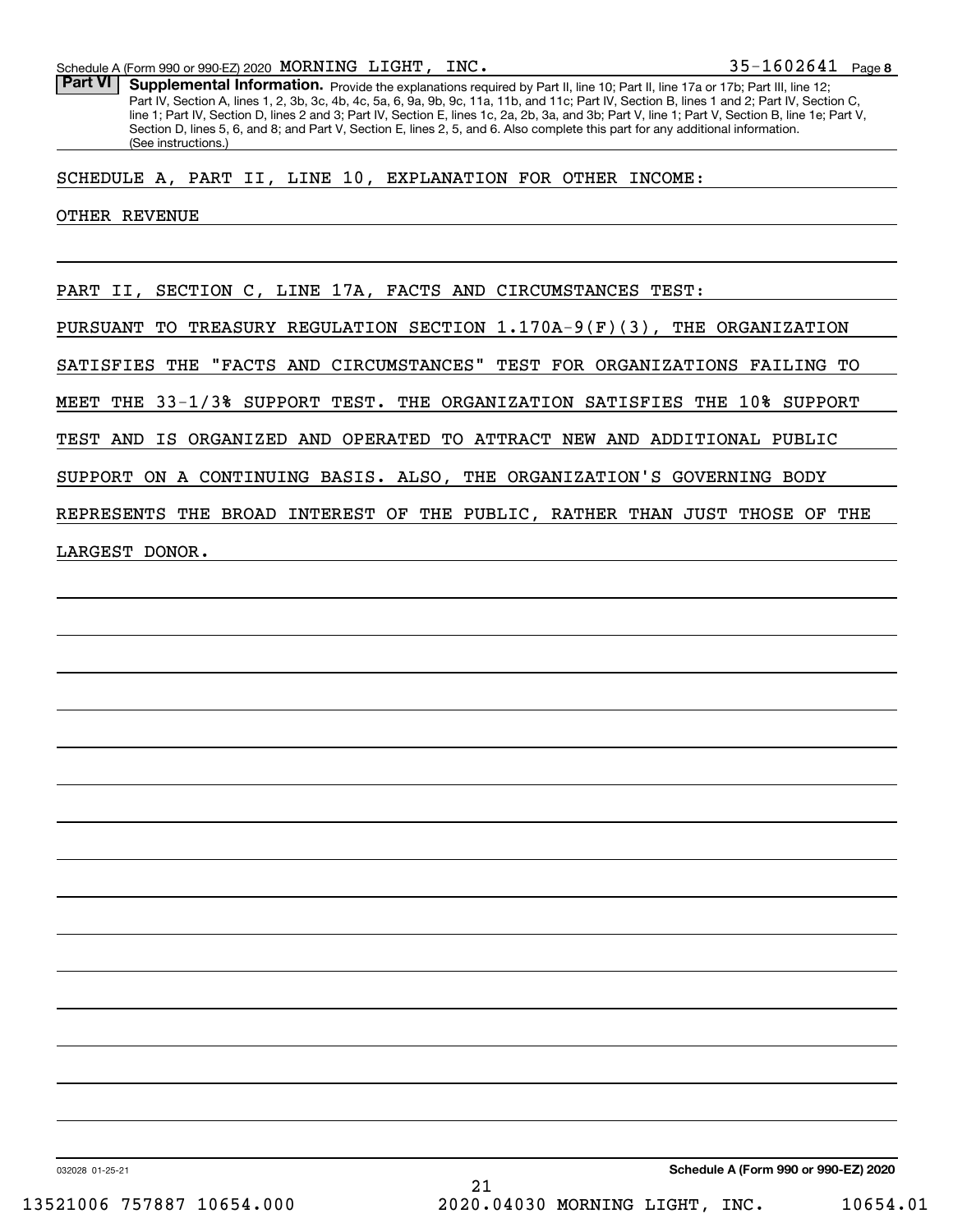**8**35-1602641

Part VI | Supplemental Information. Provide the explanations required by Part II, line 10; Part II, line 17a or 17b; Part III, line 12; Part IV, Section A, lines 1, 2, 3b, 3c, 4b, 4c, 5a, 6, 9a, 9b, 9c, 11a, 11b, and 11c; Part IV, Section B, lines 1 and 2; Part IV, Section C, line 1; Part IV, Section D, lines 2 and 3; Part IV, Section E, lines 1c, 2a, 2b, 3a, and 3b; Part V, line 1; Part V, Section B, line 1e; Part V, Section D, lines 5, 6, and 8; and Part V, Section E, lines 2, 5, and 6. Also complete this part for any additional information. (See instructions.)

SCHEDULE A, PART II, LINE 10, EXPLANATION FOR OTHER INCOME:

#### OTHER REVENUE

PART II, SECTION C, LINE 17A, FACTS AND CIRCUMSTANCES TEST:

PURSUANT TO TREASURY REGULATION SECTION 1.170A-9(F)(3), THE ORGANIZATION

SATISFIES THE "FACTS AND CIRCUMSTANCES" TEST FOR ORGANIZATIONS FAILING TO

MEET THE 33-1/3% SUPPORT TEST. THE ORGANIZATION SATISFIES THE 10% SUPPORT

TEST AND IS ORGANIZED AND OPERATED TO ATTRACT NEW AND ADDITIONAL PUBLIC

SUPPORT ON A CONTINUING BASIS. ALSO, THE ORGANIZATION'S GOVERNING BODY

REPRESENTS THE BROAD INTEREST OF THE PUBLIC, RATHER THAN JUST THOSE OF THE

LARGEST DONOR.

032028 01-25-21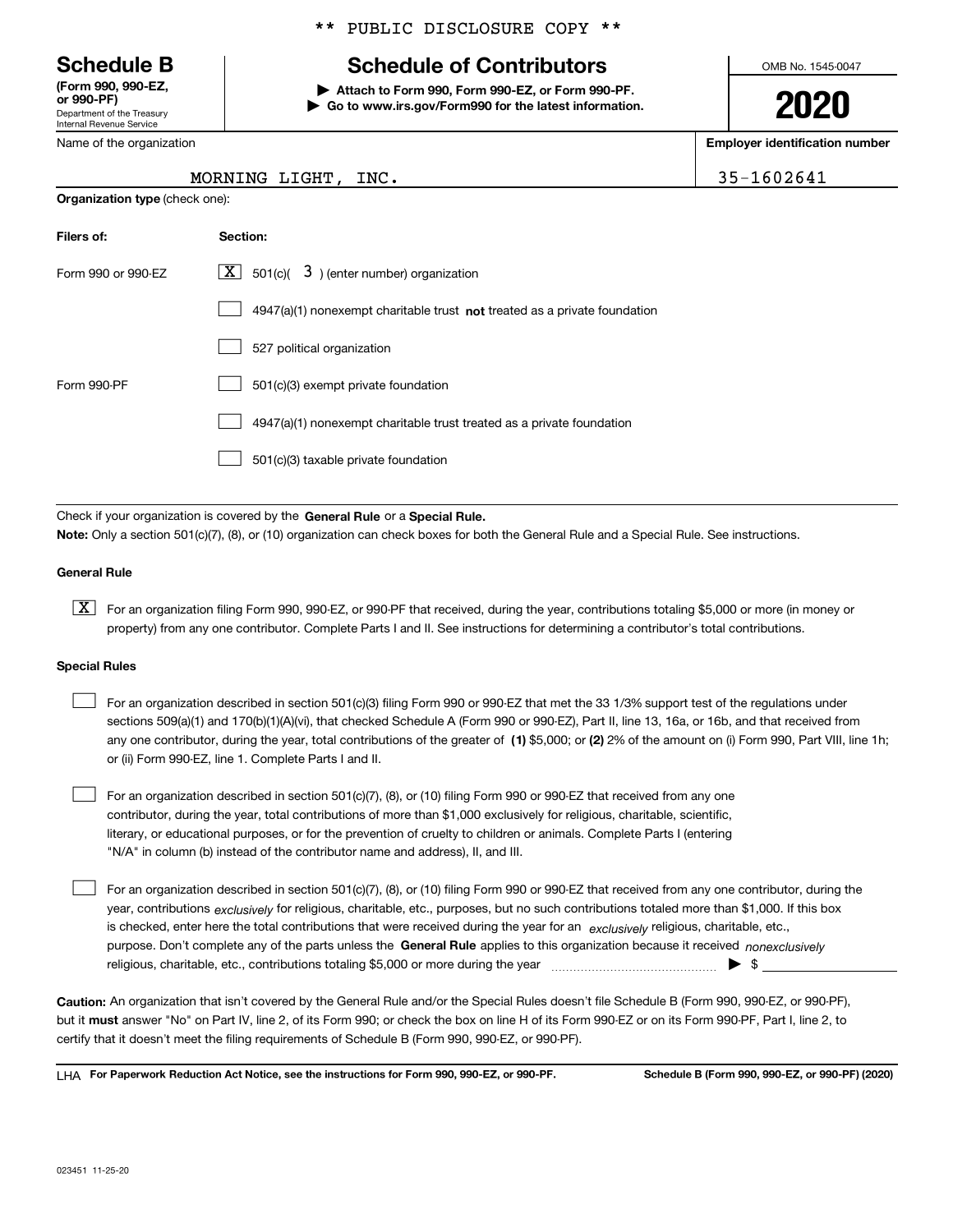Department of the Treasury Internal Revenue Service **(Form 990, 990-EZ, or 990-PF)**

Name of the organization

**Organization type** (check one):

## \*\* PUBLIC DISCLOSURE COPY \*\*

# **Schedule B Schedule of Contributors**

**| Attach to Form 990, Form 990-EZ, or Form 990-PF. | Go to www.irs.gov/Form990 for the latest information.** OMB No. 1545-0047

**2020**

**Employer identification number**

35-1602641

| MORNING LIGHT, INC. |  |
|---------------------|--|

| Filers of:         | Section:                                                                           |
|--------------------|------------------------------------------------------------------------------------|
| Form 990 or 990-EZ | $ \mathbf{X} $ 501(c)( 3) (enter number) organization                              |
|                    | $4947(a)(1)$ nonexempt charitable trust <b>not</b> treated as a private foundation |
|                    | 527 political organization                                                         |
| Form 990-PF        | 501(c)(3) exempt private foundation                                                |
|                    | 4947(a)(1) nonexempt charitable trust treated as a private foundation              |
|                    | 501(c)(3) taxable private foundation                                               |

Check if your organization is covered by the **General Rule** or a **Special Rule. Note:**  Only a section 501(c)(7), (8), or (10) organization can check boxes for both the General Rule and a Special Rule. See instructions.

## **General Rule**

 $\boxed{\textbf{X}}$  For an organization filing Form 990, 990-EZ, or 990-PF that received, during the year, contributions totaling \$5,000 or more (in money or property) from any one contributor. Complete Parts I and II. See instructions for determining a contributor's total contributions.

### **Special Rules**

| For an organization described in section 501(c)(3) filing Form 990 or 990-EZ that met the 33 1/3% support test of the regulations under               |
|-------------------------------------------------------------------------------------------------------------------------------------------------------|
| sections 509(a)(1) and 170(b)(1)(A)(vi), that checked Schedule A (Form 990 or 990-EZ), Part II, line 13, 16a, or 16b, and that received from          |
| any one contributor, during the year, total contributions of the greater of (1) \$5,000; or (2) 2% of the amount on (i) Form 990, Part VIII, line 1h; |
| or (ii) Form 990-EZ, line 1. Complete Parts I and II.                                                                                                 |

For an organization described in section 501(c)(7), (8), or (10) filing Form 990 or 990-EZ that received from any one contributor, during the year, total contributions of more than \$1,000 exclusively for religious, charitable, scientific, literary, or educational purposes, or for the prevention of cruelty to children or animals. Complete Parts I (entering "N/A" in column (b) instead of the contributor name and address), II, and III.  $\mathcal{L}^{\text{max}}$ 

purpose. Don't complete any of the parts unless the **General Rule** applies to this organization because it received *nonexclusively* year, contributions <sub>exclusively</sub> for religious, charitable, etc., purposes, but no such contributions totaled more than \$1,000. If this box is checked, enter here the total contributions that were received during the year for an  $\;$ exclusively religious, charitable, etc., For an organization described in section 501(c)(7), (8), or (10) filing Form 990 or 990-EZ that received from any one contributor, during the religious, charitable, etc., contributions totaling \$5,000 or more during the year  $\Box$ — $\Box$   $\Box$  $\mathcal{L}^{\text{max}}$ 

**Caution:**  An organization that isn't covered by the General Rule and/or the Special Rules doesn't file Schedule B (Form 990, 990-EZ, or 990-PF),  **must** but it answer "No" on Part IV, line 2, of its Form 990; or check the box on line H of its Form 990-EZ or on its Form 990-PF, Part I, line 2, to certify that it doesn't meet the filing requirements of Schedule B (Form 990, 990-EZ, or 990-PF).

**For Paperwork Reduction Act Notice, see the instructions for Form 990, 990-EZ, or 990-PF. Schedule B (Form 990, 990-EZ, or 990-PF) (2020)** LHA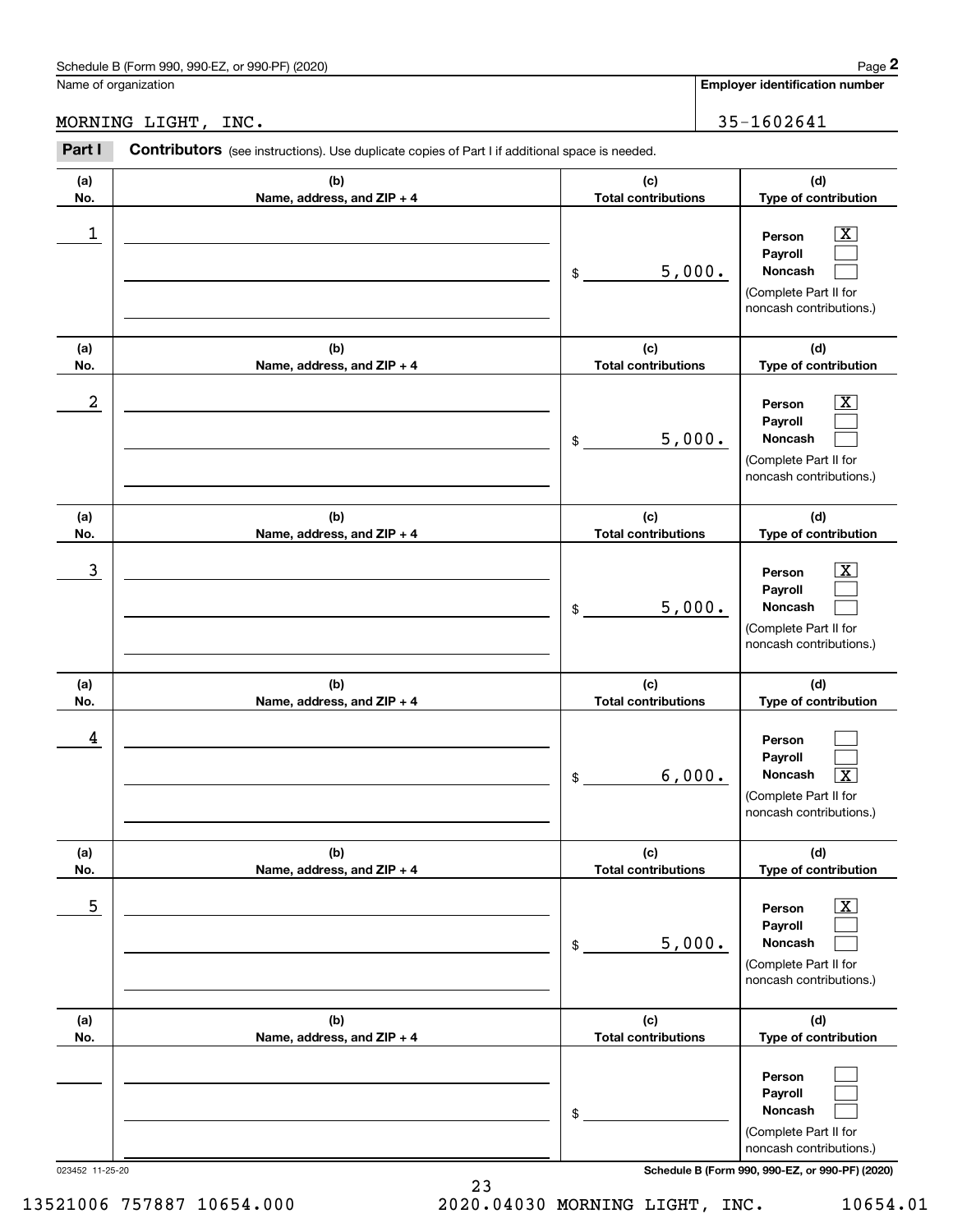## Schedule B (Form 990, 990-EZ, or 990-PF) (2020) Page 2

## MORNING LIGHT, INC. 35-1602641

|            | Schedule B (Form 990, 990-EZ, or 990-PF) (2020)                                                |                                   |        | Page 2                                                                                                      |
|------------|------------------------------------------------------------------------------------------------|-----------------------------------|--------|-------------------------------------------------------------------------------------------------------------|
|            | Name of organization                                                                           |                                   |        | <b>Employer identification number</b>                                                                       |
|            | MORNING LIGHT, INC.                                                                            |                                   |        | 35-1602641                                                                                                  |
| Part I     | Contributors (see instructions). Use duplicate copies of Part I if additional space is needed. |                                   |        |                                                                                                             |
| (a)<br>No. | (b)<br>Name, address, and ZIP + 4                                                              | (c)<br><b>Total contributions</b> |        | (d)<br>Type of contribution                                                                                 |
| 1          |                                                                                                | \$                                | 5,000. | $\overline{\mathbf{X}}$<br>Person<br>Payroll<br>Noncash<br>(Complete Part II for<br>noncash contributions.) |
| (a)<br>No. | (b)<br>Name, address, and ZIP + 4                                                              | (c)<br><b>Total contributions</b> |        | (d)<br>Type of contribution                                                                                 |
| 2          |                                                                                                | \$                                | 5,000. | $\overline{\text{X}}$<br>Person<br>Payroll<br>Noncash<br>(Complete Part II for<br>noncash contributions.)   |
| (a)<br>No. | (b)<br>Name, address, and ZIP + 4                                                              | (c)<br><b>Total contributions</b> |        | (d)<br>Type of contribution                                                                                 |
| 3          |                                                                                                | \$                                | 5,000. | $\overline{\text{X}}$<br>Person<br>Payroll<br>Noncash<br>(Complete Part II for<br>noncash contributions.)   |
| (a)<br>No. | (b)<br>Name, address, and ZIP + 4                                                              | (c)<br><b>Total contributions</b> |        | (d)<br>Type of contribution                                                                                 |
| 4          |                                                                                                | \$                                | 6,000. | Person<br>Payroll<br>Noncash<br>$\boxed{\text{X}}$<br>(Complete Part II for<br>noncash contributions.)      |
| (a)<br>No. | (b)<br>Name, address, and ZIP + 4                                                              | (c)<br><b>Total contributions</b> |        | (d)<br>Type of contribution                                                                                 |
| 5          |                                                                                                | \$                                | 5,000. | $\boxed{\text{X}}$<br>Person<br>Payroll<br>Noncash<br>(Complete Part II for<br>noncash contributions.)      |
| (a)<br>No. | (b)<br>Name, address, and ZIP + 4                                                              | (c)<br><b>Total contributions</b> |        | (d)<br>Type of contribution                                                                                 |
|            |                                                                                                | \$                                |        | Person<br>Payroll<br>Noncash<br>(Complete Part II for<br>noncash contributions.)                            |

023452 11-25-20 **Schedule B (Form 990, 990-EZ, or 990-PF) (2020)**

13521006 757887 10654.000 2020.04030 MORNING LIGHT, INC. 10654.01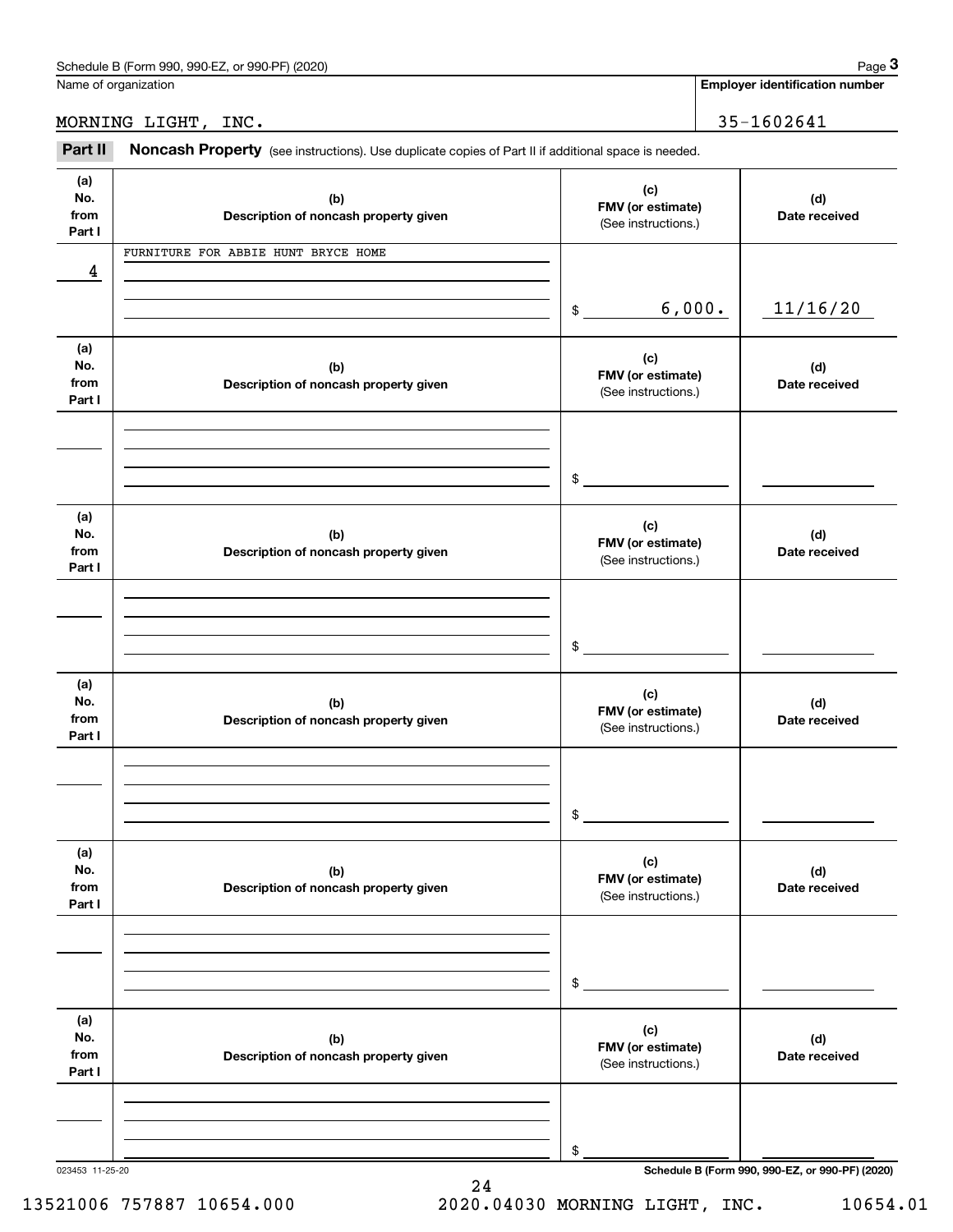| or 990-PF)<br>Schedule B (Form 990.<br>990-EZ<br>(2020) | Page |
|---------------------------------------------------------|------|
|                                                         |      |

Name of organization

**Employer identification number**

MORNING LIGHT, INC. 35-1602641

Chedule B (Form 990, 990-EZ, or 990-PF) (2020)<br> **2020 Identitions).** Lame of organization<br> **3Part II | Noncash Property** (see instructions). Use duplicate copies of Part II if additional space is needed.

| (a)<br>(c)<br>No.<br>(b)<br>(d)<br>FMV (or estimate)<br>from<br>Description of noncash property given<br>Date received<br>(See instructions.)<br>Part I<br>FURNITURE FOR ABBIE HUNT BRYCE HOME<br>4<br>6,000.<br>11/16/20<br>$\frac{1}{2}$<br>(a)<br>(c)<br>No.<br>(b)<br>(d)<br>FMV (or estimate)<br>from<br>Description of noncash property given<br>Date received<br>(See instructions.)<br>Part I<br>\$<br>(a)<br>(c)<br>No.<br>(b)<br>(d)<br>FMV (or estimate)<br>from<br>Description of noncash property given<br>Date received<br>(See instructions.)<br>Part I<br>$\mathfrak{S}$<br>(a)<br>(c)<br>No.<br>(b)<br>(d)<br>FMV (or estimate)<br>from<br>Description of noncash property given<br>Date received<br>(See instructions.)<br>Part I<br>\$<br>(a)<br>(c)<br>No.<br>(b)<br>(d)<br>FMV (or estimate)<br>from<br>Description of noncash property given<br>Date received<br>(See instructions.)<br>Part I<br>$\,$<br>(a)<br>(c)<br>No.<br>(b)<br>(d)<br>FMV (or estimate)<br>from<br>Description of noncash property given<br>Date received<br>(See instructions.)<br>Part I<br>$\,$<br>Schedule B (Form 990, 990-EZ, or 990-PF) (2020)<br>023453 11-25-20 |  |  |
|-----------------------------------------------------------------------------------------------------------------------------------------------------------------------------------------------------------------------------------------------------------------------------------------------------------------------------------------------------------------------------------------------------------------------------------------------------------------------------------------------------------------------------------------------------------------------------------------------------------------------------------------------------------------------------------------------------------------------------------------------------------------------------------------------------------------------------------------------------------------------------------------------------------------------------------------------------------------------------------------------------------------------------------------------------------------------------------------------------------------------------------------------------------------------|--|--|
|                                                                                                                                                                                                                                                                                                                                                                                                                                                                                                                                                                                                                                                                                                                                                                                                                                                                                                                                                                                                                                                                                                                                                                       |  |  |
|                                                                                                                                                                                                                                                                                                                                                                                                                                                                                                                                                                                                                                                                                                                                                                                                                                                                                                                                                                                                                                                                                                                                                                       |  |  |
|                                                                                                                                                                                                                                                                                                                                                                                                                                                                                                                                                                                                                                                                                                                                                                                                                                                                                                                                                                                                                                                                                                                                                                       |  |  |
|                                                                                                                                                                                                                                                                                                                                                                                                                                                                                                                                                                                                                                                                                                                                                                                                                                                                                                                                                                                                                                                                                                                                                                       |  |  |
|                                                                                                                                                                                                                                                                                                                                                                                                                                                                                                                                                                                                                                                                                                                                                                                                                                                                                                                                                                                                                                                                                                                                                                       |  |  |
|                                                                                                                                                                                                                                                                                                                                                                                                                                                                                                                                                                                                                                                                                                                                                                                                                                                                                                                                                                                                                                                                                                                                                                       |  |  |
|                                                                                                                                                                                                                                                                                                                                                                                                                                                                                                                                                                                                                                                                                                                                                                                                                                                                                                                                                                                                                                                                                                                                                                       |  |  |
|                                                                                                                                                                                                                                                                                                                                                                                                                                                                                                                                                                                                                                                                                                                                                                                                                                                                                                                                                                                                                                                                                                                                                                       |  |  |
|                                                                                                                                                                                                                                                                                                                                                                                                                                                                                                                                                                                                                                                                                                                                                                                                                                                                                                                                                                                                                                                                                                                                                                       |  |  |
|                                                                                                                                                                                                                                                                                                                                                                                                                                                                                                                                                                                                                                                                                                                                                                                                                                                                                                                                                                                                                                                                                                                                                                       |  |  |
|                                                                                                                                                                                                                                                                                                                                                                                                                                                                                                                                                                                                                                                                                                                                                                                                                                                                                                                                                                                                                                                                                                                                                                       |  |  |
|                                                                                                                                                                                                                                                                                                                                                                                                                                                                                                                                                                                                                                                                                                                                                                                                                                                                                                                                                                                                                                                                                                                                                                       |  |  |
|                                                                                                                                                                                                                                                                                                                                                                                                                                                                                                                                                                                                                                                                                                                                                                                                                                                                                                                                                                                                                                                                                                                                                                       |  |  |
|                                                                                                                                                                                                                                                                                                                                                                                                                                                                                                                                                                                                                                                                                                                                                                                                                                                                                                                                                                                                                                                                                                                                                                       |  |  |
|                                                                                                                                                                                                                                                                                                                                                                                                                                                                                                                                                                                                                                                                                                                                                                                                                                                                                                                                                                                                                                                                                                                                                                       |  |  |
|                                                                                                                                                                                                                                                                                                                                                                                                                                                                                                                                                                                                                                                                                                                                                                                                                                                                                                                                                                                                                                                                                                                                                                       |  |  |
|                                                                                                                                                                                                                                                                                                                                                                                                                                                                                                                                                                                                                                                                                                                                                                                                                                                                                                                                                                                                                                                                                                                                                                       |  |  |
|                                                                                                                                                                                                                                                                                                                                                                                                                                                                                                                                                                                                                                                                                                                                                                                                                                                                                                                                                                                                                                                                                                                                                                       |  |  |
|                                                                                                                                                                                                                                                                                                                                                                                                                                                                                                                                                                                                                                                                                                                                                                                                                                                                                                                                                                                                                                                                                                                                                                       |  |  |
|                                                                                                                                                                                                                                                                                                                                                                                                                                                                                                                                                                                                                                                                                                                                                                                                                                                                                                                                                                                                                                                                                                                                                                       |  |  |
|                                                                                                                                                                                                                                                                                                                                                                                                                                                                                                                                                                                                                                                                                                                                                                                                                                                                                                                                                                                                                                                                                                                                                                       |  |  |
|                                                                                                                                                                                                                                                                                                                                                                                                                                                                                                                                                                                                                                                                                                                                                                                                                                                                                                                                                                                                                                                                                                                                                                       |  |  |
|                                                                                                                                                                                                                                                                                                                                                                                                                                                                                                                                                                                                                                                                                                                                                                                                                                                                                                                                                                                                                                                                                                                                                                       |  |  |
|                                                                                                                                                                                                                                                                                                                                                                                                                                                                                                                                                                                                                                                                                                                                                                                                                                                                                                                                                                                                                                                                                                                                                                       |  |  |
|                                                                                                                                                                                                                                                                                                                                                                                                                                                                                                                                                                                                                                                                                                                                                                                                                                                                                                                                                                                                                                                                                                                                                                       |  |  |
|                                                                                                                                                                                                                                                                                                                                                                                                                                                                                                                                                                                                                                                                                                                                                                                                                                                                                                                                                                                                                                                                                                                                                                       |  |  |
|                                                                                                                                                                                                                                                                                                                                                                                                                                                                                                                                                                                                                                                                                                                                                                                                                                                                                                                                                                                                                                                                                                                                                                       |  |  |
|                                                                                                                                                                                                                                                                                                                                                                                                                                                                                                                                                                                                                                                                                                                                                                                                                                                                                                                                                                                                                                                                                                                                                                       |  |  |
|                                                                                                                                                                                                                                                                                                                                                                                                                                                                                                                                                                                                                                                                                                                                                                                                                                                                                                                                                                                                                                                                                                                                                                       |  |  |
|                                                                                                                                                                                                                                                                                                                                                                                                                                                                                                                                                                                                                                                                                                                                                                                                                                                                                                                                                                                                                                                                                                                                                                       |  |  |
|                                                                                                                                                                                                                                                                                                                                                                                                                                                                                                                                                                                                                                                                                                                                                                                                                                                                                                                                                                                                                                                                                                                                                                       |  |  |
|                                                                                                                                                                                                                                                                                                                                                                                                                                                                                                                                                                                                                                                                                                                                                                                                                                                                                                                                                                                                                                                                                                                                                                       |  |  |
|                                                                                                                                                                                                                                                                                                                                                                                                                                                                                                                                                                                                                                                                                                                                                                                                                                                                                                                                                                                                                                                                                                                                                                       |  |  |
|                                                                                                                                                                                                                                                                                                                                                                                                                                                                                                                                                                                                                                                                                                                                                                                                                                                                                                                                                                                                                                                                                                                                                                       |  |  |
|                                                                                                                                                                                                                                                                                                                                                                                                                                                                                                                                                                                                                                                                                                                                                                                                                                                                                                                                                                                                                                                                                                                                                                       |  |  |
|                                                                                                                                                                                                                                                                                                                                                                                                                                                                                                                                                                                                                                                                                                                                                                                                                                                                                                                                                                                                                                                                                                                                                                       |  |  |
|                                                                                                                                                                                                                                                                                                                                                                                                                                                                                                                                                                                                                                                                                                                                                                                                                                                                                                                                                                                                                                                                                                                                                                       |  |  |
|                                                                                                                                                                                                                                                                                                                                                                                                                                                                                                                                                                                                                                                                                                                                                                                                                                                                                                                                                                                                                                                                                                                                                                       |  |  |
|                                                                                                                                                                                                                                                                                                                                                                                                                                                                                                                                                                                                                                                                                                                                                                                                                                                                                                                                                                                                                                                                                                                                                                       |  |  |
|                                                                                                                                                                                                                                                                                                                                                                                                                                                                                                                                                                                                                                                                                                                                                                                                                                                                                                                                                                                                                                                                                                                                                                       |  |  |
|                                                                                                                                                                                                                                                                                                                                                                                                                                                                                                                                                                                                                                                                                                                                                                                                                                                                                                                                                                                                                                                                                                                                                                       |  |  |
|                                                                                                                                                                                                                                                                                                                                                                                                                                                                                                                                                                                                                                                                                                                                                                                                                                                                                                                                                                                                                                                                                                                                                                       |  |  |
|                                                                                                                                                                                                                                                                                                                                                                                                                                                                                                                                                                                                                                                                                                                                                                                                                                                                                                                                                                                                                                                                                                                                                                       |  |  |
|                                                                                                                                                                                                                                                                                                                                                                                                                                                                                                                                                                                                                                                                                                                                                                                                                                                                                                                                                                                                                                                                                                                                                                       |  |  |
|                                                                                                                                                                                                                                                                                                                                                                                                                                                                                                                                                                                                                                                                                                                                                                                                                                                                                                                                                                                                                                                                                                                                                                       |  |  |
|                                                                                                                                                                                                                                                                                                                                                                                                                                                                                                                                                                                                                                                                                                                                                                                                                                                                                                                                                                                                                                                                                                                                                                       |  |  |
|                                                                                                                                                                                                                                                                                                                                                                                                                                                                                                                                                                                                                                                                                                                                                                                                                                                                                                                                                                                                                                                                                                                                                                       |  |  |
|                                                                                                                                                                                                                                                                                                                                                                                                                                                                                                                                                                                                                                                                                                                                                                                                                                                                                                                                                                                                                                                                                                                                                                       |  |  |
|                                                                                                                                                                                                                                                                                                                                                                                                                                                                                                                                                                                                                                                                                                                                                                                                                                                                                                                                                                                                                                                                                                                                                                       |  |  |
|                                                                                                                                                                                                                                                                                                                                                                                                                                                                                                                                                                                                                                                                                                                                                                                                                                                                                                                                                                                                                                                                                                                                                                       |  |  |
|                                                                                                                                                                                                                                                                                                                                                                                                                                                                                                                                                                                                                                                                                                                                                                                                                                                                                                                                                                                                                                                                                                                                                                       |  |  |
|                                                                                                                                                                                                                                                                                                                                                                                                                                                                                                                                                                                                                                                                                                                                                                                                                                                                                                                                                                                                                                                                                                                                                                       |  |  |
|                                                                                                                                                                                                                                                                                                                                                                                                                                                                                                                                                                                                                                                                                                                                                                                                                                                                                                                                                                                                                                                                                                                                                                       |  |  |

13521006 757887 10654.000 2020.04030 MORNING LIGHT, INC. 10654.01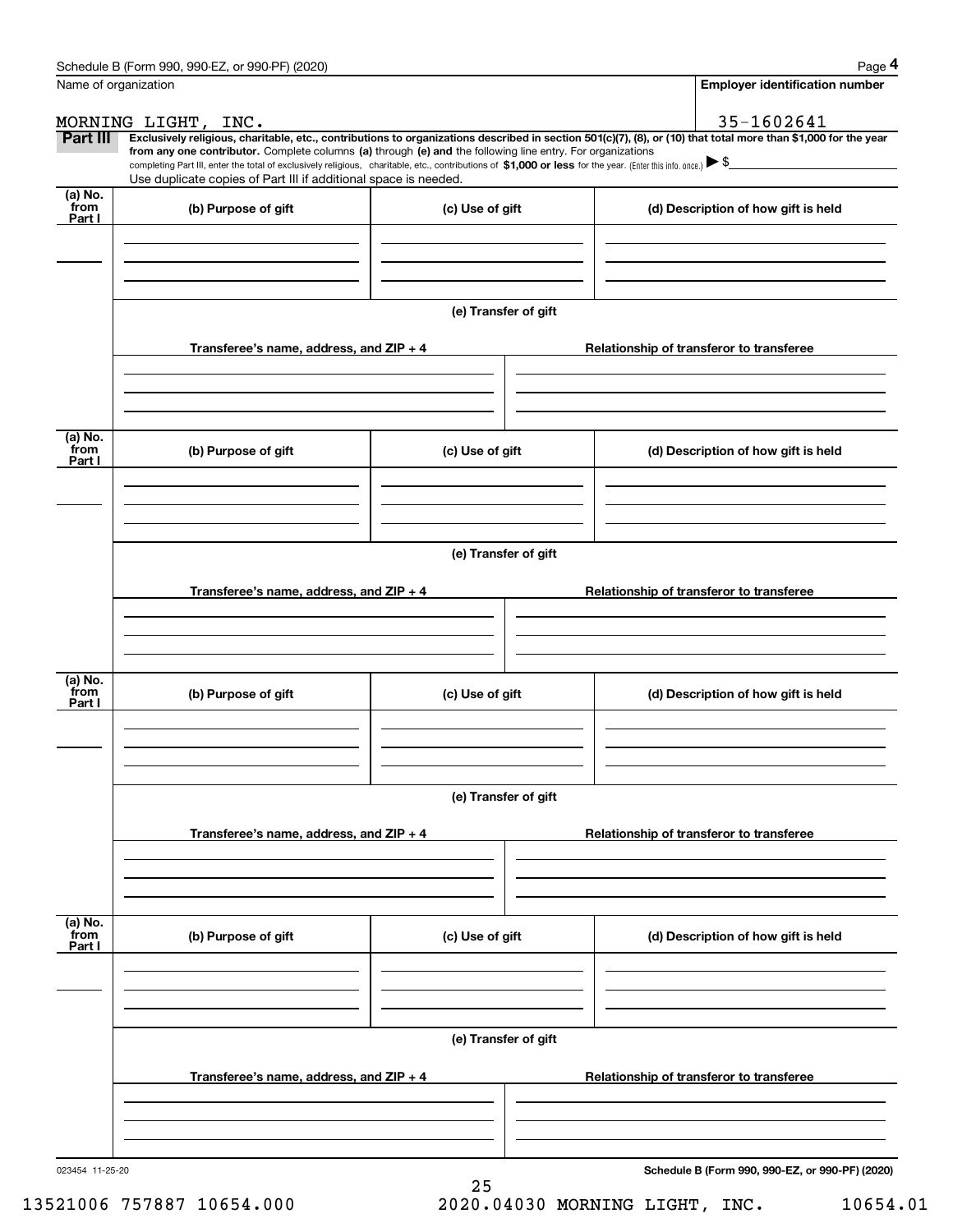|                           | Schedule B (Form 990, 990-EZ, or 990-PF) (2020)                                                                                                                                   |                      | Page 4                                                                                                                                                         |  |  |  |  |
|---------------------------|-----------------------------------------------------------------------------------------------------------------------------------------------------------------------------------|----------------------|----------------------------------------------------------------------------------------------------------------------------------------------------------------|--|--|--|--|
|                           | Name of organization                                                                                                                                                              |                      | <b>Employer identification number</b>                                                                                                                          |  |  |  |  |
|                           | MORNING LIGHT, INC.                                                                                                                                                               |                      | 35-1602641                                                                                                                                                     |  |  |  |  |
| Part III                  | from any one contributor. Complete columns (a) through (e) and the following line entry. For organizations                                                                        |                      | Exclusively religious, charitable, etc., contributions to organizations described in section 501(c)(7), (8), or (10) that total more than \$1,000 for the year |  |  |  |  |
|                           | completing Part III, enter the total of exclusively religious, charitable, etc., contributions of \$1,000 or less for the year. (Enter this info. once.) $\blacktriangleright$ \$ |                      |                                                                                                                                                                |  |  |  |  |
| (a) No.                   | Use duplicate copies of Part III if additional space is needed.                                                                                                                   |                      |                                                                                                                                                                |  |  |  |  |
| from<br>Part I            | (b) Purpose of gift                                                                                                                                                               | (c) Use of gift      | (d) Description of how gift is held                                                                                                                            |  |  |  |  |
|                           |                                                                                                                                                                                   |                      |                                                                                                                                                                |  |  |  |  |
|                           |                                                                                                                                                                                   | (e) Transfer of gift |                                                                                                                                                                |  |  |  |  |
|                           | Transferee's name, address, and ZIP + 4                                                                                                                                           |                      | Relationship of transferor to transferee                                                                                                                       |  |  |  |  |
|                           |                                                                                                                                                                                   |                      |                                                                                                                                                                |  |  |  |  |
| (a) No.                   |                                                                                                                                                                                   |                      |                                                                                                                                                                |  |  |  |  |
| from<br>Part I            | (b) Purpose of gift                                                                                                                                                               | (c) Use of gift      | (d) Description of how gift is held                                                                                                                            |  |  |  |  |
|                           |                                                                                                                                                                                   |                      |                                                                                                                                                                |  |  |  |  |
|                           |                                                                                                                                                                                   | (e) Transfer of gift |                                                                                                                                                                |  |  |  |  |
|                           | Transferee's name, address, and ZIP + 4                                                                                                                                           |                      | Relationship of transferor to transferee                                                                                                                       |  |  |  |  |
|                           |                                                                                                                                                                                   |                      |                                                                                                                                                                |  |  |  |  |
|                           |                                                                                                                                                                                   |                      |                                                                                                                                                                |  |  |  |  |
| (a) No.<br>from<br>Part I | (b) Purpose of gift                                                                                                                                                               | (c) Use of gift      | (d) Description of how gift is held                                                                                                                            |  |  |  |  |
|                           |                                                                                                                                                                                   |                      |                                                                                                                                                                |  |  |  |  |
|                           |                                                                                                                                                                                   | (e) Transfer of gift |                                                                                                                                                                |  |  |  |  |
|                           | Transferee's name, address, and $ZIP + 4$                                                                                                                                         |                      | Relationship of transferor to transferee                                                                                                                       |  |  |  |  |
|                           |                                                                                                                                                                                   |                      |                                                                                                                                                                |  |  |  |  |
|                           |                                                                                                                                                                                   |                      |                                                                                                                                                                |  |  |  |  |
| (a) No.<br>from<br>Part I | (b) Purpose of gift                                                                                                                                                               | (c) Use of gift      | (d) Description of how gift is held                                                                                                                            |  |  |  |  |
|                           |                                                                                                                                                                                   |                      |                                                                                                                                                                |  |  |  |  |
|                           |                                                                                                                                                                                   |                      |                                                                                                                                                                |  |  |  |  |
|                           |                                                                                                                                                                                   | (e) Transfer of gift |                                                                                                                                                                |  |  |  |  |
|                           | Transferee's name, address, and ZIP + 4                                                                                                                                           |                      | Relationship of transferor to transferee                                                                                                                       |  |  |  |  |
|                           |                                                                                                                                                                                   |                      |                                                                                                                                                                |  |  |  |  |
| 023454 11-25-20           |                                                                                                                                                                                   |                      | Schedule B (Form 990, 990-EZ, or 990-PF) (2020)                                                                                                                |  |  |  |  |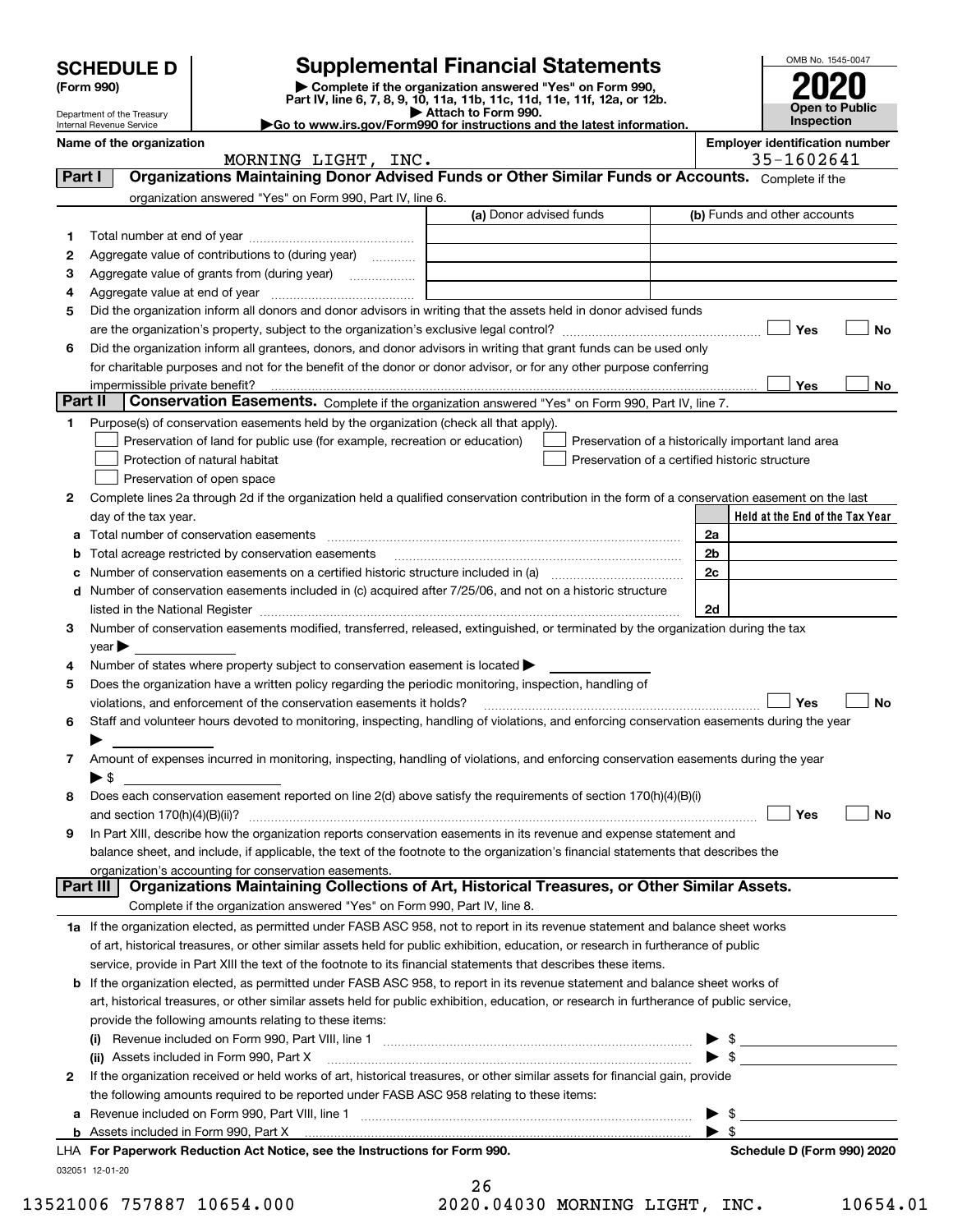|         | <b>SCHEDULE D</b>                                    |                                                                                                                                                                                                                                | <b>Supplemental Financial Statements</b>                                                                                                       |                          | OMB No. 1545-0047                                         |
|---------|------------------------------------------------------|--------------------------------------------------------------------------------------------------------------------------------------------------------------------------------------------------------------------------------|------------------------------------------------------------------------------------------------------------------------------------------------|--------------------------|-----------------------------------------------------------|
|         | (Form 990)                                           |                                                                                                                                                                                                                                | Complete if the organization answered "Yes" on Form 990,<br>Part IV, line 6, 7, 8, 9, 10, 11a, 11b, 11c, 11d, 11e, 11f, 12a, or 12b.           |                          |                                                           |
|         | Department of the Treasury                           |                                                                                                                                                                                                                                | Attach to Form 990.<br>Go to www.irs.gov/Form990 for instructions and the latest information.                                                  |                          | <b>Open to Public</b><br><b>Inspection</b>                |
|         | Internal Revenue Service<br>Name of the organization |                                                                                                                                                                                                                                | <b>Employer identification number</b>                                                                                                          |                          |                                                           |
|         |                                                      | MORNING LIGHT, INC.                                                                                                                                                                                                            |                                                                                                                                                |                          | 35-1602641                                                |
| Part I  |                                                      |                                                                                                                                                                                                                                | Organizations Maintaining Donor Advised Funds or Other Similar Funds or Accounts. Complete if the                                              |                          |                                                           |
|         |                                                      | organization answered "Yes" on Form 990, Part IV, line 6.                                                                                                                                                                      |                                                                                                                                                |                          |                                                           |
|         |                                                      |                                                                                                                                                                                                                                | (a) Donor advised funds                                                                                                                        |                          | (b) Funds and other accounts                              |
| 1       |                                                      |                                                                                                                                                                                                                                |                                                                                                                                                |                          |                                                           |
| 2<br>з  |                                                      | Aggregate value of contributions to (during year)                                                                                                                                                                              |                                                                                                                                                |                          |                                                           |
| 4       |                                                      | Aggregate value at end of year memorial and the control of the state of the state of the state of the state of the state of the state of the state of the state of the state of the state of the state of the state of the sta |                                                                                                                                                |                          |                                                           |
| 5       |                                                      |                                                                                                                                                                                                                                | Did the organization inform all donors and donor advisors in writing that the assets held in donor advised funds                               |                          |                                                           |
|         |                                                      |                                                                                                                                                                                                                                |                                                                                                                                                |                          | Yes<br>No                                                 |
| 6       |                                                      |                                                                                                                                                                                                                                | Did the organization inform all grantees, donors, and donor advisors in writing that grant funds can be used only                              |                          |                                                           |
|         |                                                      |                                                                                                                                                                                                                                | for charitable purposes and not for the benefit of the donor or donor advisor, or for any other purpose conferring                             |                          |                                                           |
|         |                                                      |                                                                                                                                                                                                                                |                                                                                                                                                |                          | Yes<br>No                                                 |
| Part II |                                                      |                                                                                                                                                                                                                                | Conservation Easements. Complete if the organization answered "Yes" on Form 990, Part IV, line 7.                                              |                          |                                                           |
| 1       |                                                      | Purpose(s) of conservation easements held by the organization (check all that apply).                                                                                                                                          |                                                                                                                                                |                          |                                                           |
|         |                                                      | Preservation of land for public use (for example, recreation or education)                                                                                                                                                     | Preservation of a historically important land area                                                                                             |                          |                                                           |
|         |                                                      | Protection of natural habitat<br>Preservation of open space                                                                                                                                                                    | Preservation of a certified historic structure                                                                                                 |                          |                                                           |
| 2       |                                                      |                                                                                                                                                                                                                                | Complete lines 2a through 2d if the organization held a qualified conservation contribution in the form of a conservation easement on the last |                          |                                                           |
|         | day of the tax year.                                 |                                                                                                                                                                                                                                |                                                                                                                                                |                          | Held at the End of the Tax Year                           |
|         |                                                      |                                                                                                                                                                                                                                |                                                                                                                                                | 2a                       |                                                           |
| b       |                                                      |                                                                                                                                                                                                                                |                                                                                                                                                | 2 <sub>b</sub>           |                                                           |
| с       |                                                      |                                                                                                                                                                                                                                | Number of conservation easements on a certified historic structure included in (a) manufacture included in (a)                                 | 2c                       |                                                           |
| d       |                                                      |                                                                                                                                                                                                                                | Number of conservation easements included in (c) acquired after 7/25/06, and not on a historic structure                                       |                          |                                                           |
|         |                                                      |                                                                                                                                                                                                                                |                                                                                                                                                | 2d                       |                                                           |
| 3       |                                                      |                                                                                                                                                                                                                                | Number of conservation easements modified, transferred, released, extinguished, or terminated by the organization during the tax               |                          |                                                           |
|         | $\mathsf{year}$                                      |                                                                                                                                                                                                                                |                                                                                                                                                |                          |                                                           |
| 4<br>5  |                                                      | Number of states where property subject to conservation easement is located $\blacktriangleright$<br>Does the organization have a written policy regarding the periodic monitoring, inspection, handling of                    |                                                                                                                                                |                          |                                                           |
|         |                                                      | violations, and enforcement of the conservation easements it holds?                                                                                                                                                            |                                                                                                                                                |                          | Yes<br><b>No</b>                                          |
| 6       |                                                      |                                                                                                                                                                                                                                | Staff and volunteer hours devoted to monitoring, inspecting, handling of violations, and enforcing conservation easements during the year      |                          |                                                           |
|         | ▶                                                    |                                                                                                                                                                                                                                |                                                                                                                                                |                          |                                                           |
| 7.      |                                                      |                                                                                                                                                                                                                                | Amount of expenses incurred in monitoring, inspecting, handling of violations, and enforcing conservation easements during the year            |                          |                                                           |
|         | $\blacktriangleright$ \$                             |                                                                                                                                                                                                                                |                                                                                                                                                |                          |                                                           |
| 8       |                                                      |                                                                                                                                                                                                                                | Does each conservation easement reported on line 2(d) above satisfy the requirements of section 170(h)(4)(B)(i)                                |                          |                                                           |
|         |                                                      |                                                                                                                                                                                                                                |                                                                                                                                                |                          | Yes<br>No                                                 |
| 9       |                                                      |                                                                                                                                                                                                                                | In Part XIII, describe how the organization reports conservation easements in its revenue and expense statement and                            |                          |                                                           |
|         |                                                      | organization's accounting for conservation easements.                                                                                                                                                                          | balance sheet, and include, if applicable, the text of the footnote to the organization's financial statements that describes the              |                          |                                                           |
|         | <b>Part III</b>                                      |                                                                                                                                                                                                                                | Organizations Maintaining Collections of Art, Historical Treasures, or Other Similar Assets.                                                   |                          |                                                           |
|         |                                                      | Complete if the organization answered "Yes" on Form 990, Part IV, line 8.                                                                                                                                                      |                                                                                                                                                |                          |                                                           |
|         |                                                      |                                                                                                                                                                                                                                | 1a If the organization elected, as permitted under FASB ASC 958, not to report in its revenue statement and balance sheet works                |                          |                                                           |
|         |                                                      |                                                                                                                                                                                                                                | of art, historical treasures, or other similar assets held for public exhibition, education, or research in furtherance of public              |                          |                                                           |
|         |                                                      |                                                                                                                                                                                                                                | service, provide in Part XIII the text of the footnote to its financial statements that describes these items.                                 |                          |                                                           |
|         |                                                      |                                                                                                                                                                                                                                | b If the organization elected, as permitted under FASB ASC 958, to report in its revenue statement and balance sheet works of                  |                          |                                                           |
|         |                                                      |                                                                                                                                                                                                                                | art, historical treasures, or other similar assets held for public exhibition, education, or research in furtherance of public service,        |                          |                                                           |
|         |                                                      | provide the following amounts relating to these items:                                                                                                                                                                         |                                                                                                                                                |                          |                                                           |
|         |                                                      |                                                                                                                                                                                                                                |                                                                                                                                                | $\blacktriangleright$ \$ | <u> 1999 - Johann Barbara, martxa alemani</u> ar alemania |
| 2       |                                                      |                                                                                                                                                                                                                                | If the organization received or held works of art, historical treasures, or other similar assets for financial gain, provide                   | $\blacktriangleright$ \$ |                                                           |
|         |                                                      | the following amounts required to be reported under FASB ASC 958 relating to these items:                                                                                                                                      |                                                                                                                                                |                          |                                                           |
|         |                                                      |                                                                                                                                                                                                                                |                                                                                                                                                | - \$                     |                                                           |
|         |                                                      |                                                                                                                                                                                                                                |                                                                                                                                                | $\blacktriangleright$ \$ |                                                           |
|         |                                                      | LHA For Paperwork Reduction Act Notice, see the Instructions for Form 990.                                                                                                                                                     |                                                                                                                                                |                          | Schedule D (Form 990) 2020                                |
|         | 032051 12-01-20                                      |                                                                                                                                                                                                                                |                                                                                                                                                |                          |                                                           |
|         |                                                      |                                                                                                                                                                                                                                | 26                                                                                                                                             |                          |                                                           |

| 2 U |  |  |  |            |
|-----|--|--|--|------------|
|     |  |  |  | 20.04030 M |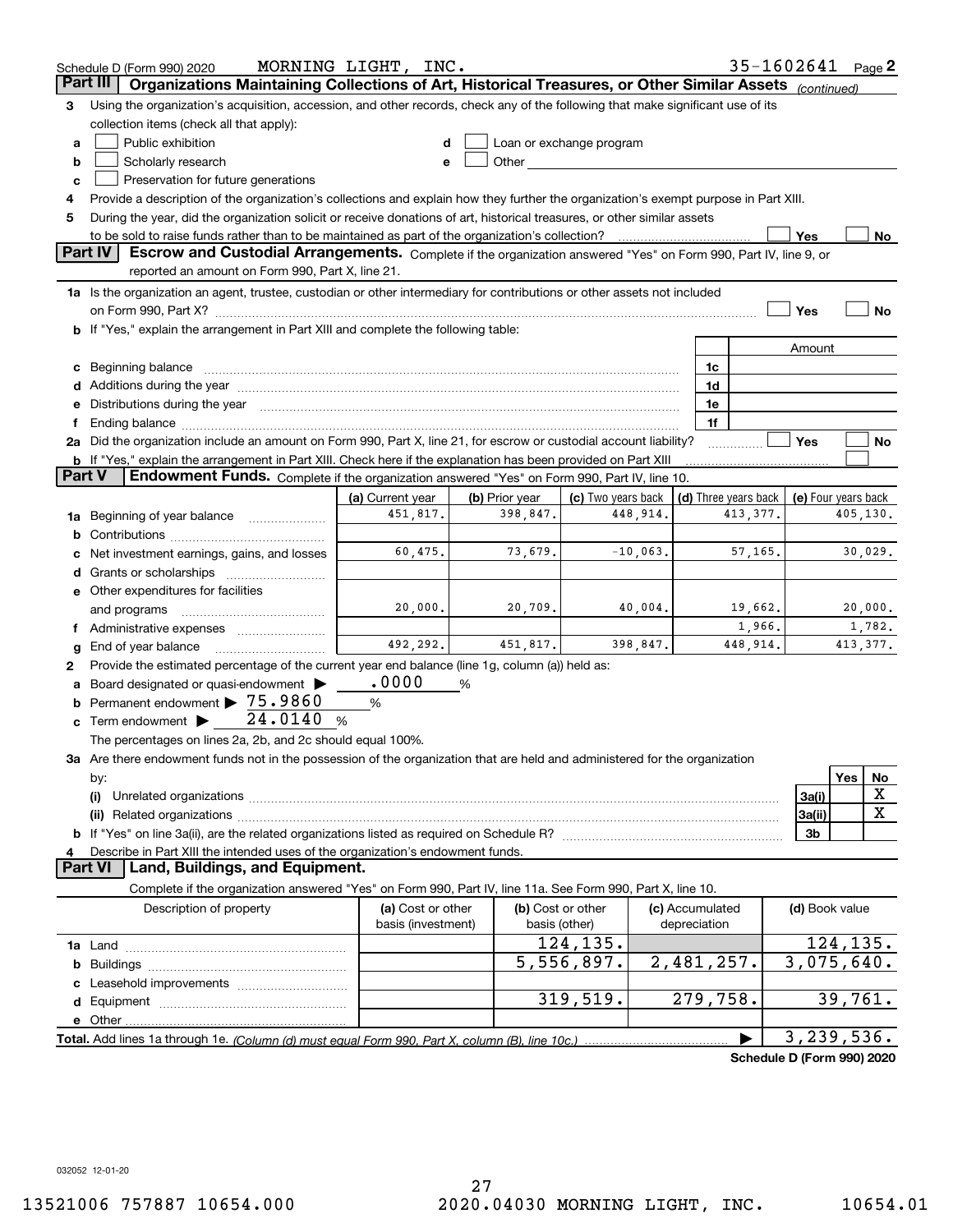|        | Schedule D (Form 990) 2020                                                                                                                                                                                                                                                                                                                           | MORNING LIGHT, INC. |                |                                                                                                                                                                                                                               |                      | 35-1602641                 |                     |           | Page $2$    |
|--------|------------------------------------------------------------------------------------------------------------------------------------------------------------------------------------------------------------------------------------------------------------------------------------------------------------------------------------------------------|---------------------|----------------|-------------------------------------------------------------------------------------------------------------------------------------------------------------------------------------------------------------------------------|----------------------|----------------------------|---------------------|-----------|-------------|
|        | Organizations Maintaining Collections of Art, Historical Treasures, or Other Similar Assets<br>Part III                                                                                                                                                                                                                                              |                     |                |                                                                                                                                                                                                                               |                      |                            | (continued)         |           |             |
| з      | Using the organization's acquisition, accession, and other records, check any of the following that make significant use of its                                                                                                                                                                                                                      |                     |                |                                                                                                                                                                                                                               |                      |                            |                     |           |             |
|        | collection items (check all that apply):                                                                                                                                                                                                                                                                                                             |                     |                |                                                                                                                                                                                                                               |                      |                            |                     |           |             |
| a      | Public exhibition                                                                                                                                                                                                                                                                                                                                    |                     |                | Loan or exchange program                                                                                                                                                                                                      |                      |                            |                     |           |             |
| b      | Scholarly research                                                                                                                                                                                                                                                                                                                                   |                     |                | Other and the contract of the contract of the contract of the contract of the contract of the contract of the contract of the contract of the contract of the contract of the contract of the contract of the contract of the |                      |                            |                     |           |             |
| c      | Preservation for future generations                                                                                                                                                                                                                                                                                                                  |                     |                |                                                                                                                                                                                                                               |                      |                            |                     |           |             |
| 4      | Provide a description of the organization's collections and explain how they further the organization's exempt purpose in Part XIII.                                                                                                                                                                                                                 |                     |                |                                                                                                                                                                                                                               |                      |                            |                     |           |             |
| 5      | During the year, did the organization solicit or receive donations of art, historical treasures, or other similar assets                                                                                                                                                                                                                             |                     |                |                                                                                                                                                                                                                               |                      |                            |                     |           |             |
|        | to be sold to raise funds rather than to be maintained as part of the organization's collection?                                                                                                                                                                                                                                                     |                     |                |                                                                                                                                                                                                                               |                      |                            | Yes                 |           | No          |
|        | <b>Part IV</b><br>Escrow and Custodial Arrangements. Complete if the organization answered "Yes" on Form 990, Part IV, line 9, or                                                                                                                                                                                                                    |                     |                |                                                                                                                                                                                                                               |                      |                            |                     |           |             |
|        | reported an amount on Form 990, Part X, line 21.                                                                                                                                                                                                                                                                                                     |                     |                |                                                                                                                                                                                                                               |                      |                            |                     |           |             |
|        | 1a Is the organization an agent, trustee, custodian or other intermediary for contributions or other assets not included                                                                                                                                                                                                                             |                     |                |                                                                                                                                                                                                                               |                      |                            |                     |           |             |
|        |                                                                                                                                                                                                                                                                                                                                                      |                     |                |                                                                                                                                                                                                                               |                      |                            | Yes                 |           | No          |
|        | b If "Yes," explain the arrangement in Part XIII and complete the following table:                                                                                                                                                                                                                                                                   |                     |                |                                                                                                                                                                                                                               |                      |                            |                     |           |             |
|        |                                                                                                                                                                                                                                                                                                                                                      |                     |                |                                                                                                                                                                                                                               |                      |                            | Amount              |           |             |
| c      |                                                                                                                                                                                                                                                                                                                                                      |                     |                |                                                                                                                                                                                                                               | 1c                   |                            |                     |           |             |
|        |                                                                                                                                                                                                                                                                                                                                                      |                     |                |                                                                                                                                                                                                                               | 1d                   |                            |                     |           |             |
| е      | Distributions during the year manufactured and an account of the state of the state of the state of the state o                                                                                                                                                                                                                                      |                     |                |                                                                                                                                                                                                                               | 1e<br>1f             |                            |                     |           |             |
| Ť.     | Ending balance manufactured and contact the contract of the contract of the contract of the contract of the contract of the contract of the contract of the contract of the contract of the contract of the contract of the co<br>2a Did the organization include an amount on Form 990, Part X, line 21, for escrow or custodial account liability? |                     |                |                                                                                                                                                                                                                               |                      |                            | Yes                 |           | No          |
|        | <b>b</b> If "Yes," explain the arrangement in Part XIII. Check here if the explanation has been provided on Part XIII                                                                                                                                                                                                                                |                     |                |                                                                                                                                                                                                                               |                      |                            |                     |           |             |
| Part V | Endowment Funds. Complete if the organization answered "Yes" on Form 990, Part IV, line 10.                                                                                                                                                                                                                                                          |                     |                |                                                                                                                                                                                                                               |                      |                            |                     |           |             |
|        |                                                                                                                                                                                                                                                                                                                                                      | (a) Current year    | (b) Prior year | (c) Two years back                                                                                                                                                                                                            | (d) Three years back |                            | (e) Four years back |           |             |
| 1a     | Beginning of year balance                                                                                                                                                                                                                                                                                                                            | 451,817.            | 398,847.       | 448,914.                                                                                                                                                                                                                      |                      | 413,377.                   |                     | 405,130.  |             |
| b      |                                                                                                                                                                                                                                                                                                                                                      |                     |                |                                                                                                                                                                                                                               |                      |                            |                     |           |             |
|        | Net investment earnings, gains, and losses                                                                                                                                                                                                                                                                                                           | 60,475.             | 73,679.        | $-10,063.$                                                                                                                                                                                                                    |                      | 57,165.                    |                     | 30,029.   |             |
| d      | Grants or scholarships                                                                                                                                                                                                                                                                                                                               |                     |                |                                                                                                                                                                                                                               |                      |                            |                     |           |             |
|        | e Other expenditures for facilities                                                                                                                                                                                                                                                                                                                  |                     |                |                                                                                                                                                                                                                               |                      |                            |                     |           |             |
|        | and programs                                                                                                                                                                                                                                                                                                                                         | 20,000.             | 20,709.        | 40,004.                                                                                                                                                                                                                       |                      | 19,662.                    |                     | 20,000.   |             |
|        |                                                                                                                                                                                                                                                                                                                                                      |                     |                |                                                                                                                                                                                                                               |                      | 1,966.                     |                     |           | 1,782.      |
| g      | End of year balance                                                                                                                                                                                                                                                                                                                                  | 492,292.            | 451,817.       | 398,847.                                                                                                                                                                                                                      |                      | 448,914.                   |                     | 413, 377. |             |
| 2      | Provide the estimated percentage of the current year end balance (line 1g, column (a)) held as:                                                                                                                                                                                                                                                      |                     |                |                                                                                                                                                                                                                               |                      |                            |                     |           |             |
| а      | Board designated or quasi-endowment                                                                                                                                                                                                                                                                                                                  | .0000               | %              |                                                                                                                                                                                                                               |                      |                            |                     |           |             |
| b      | Permanent endowment > 75.9860                                                                                                                                                                                                                                                                                                                        | %                   |                |                                                                                                                                                                                                                               |                      |                            |                     |           |             |
| c      | 24.0140<br>Term endowment >                                                                                                                                                                                                                                                                                                                          | %                   |                |                                                                                                                                                                                                                               |                      |                            |                     |           |             |
|        | The percentages on lines 2a, 2b, and 2c should equal 100%.                                                                                                                                                                                                                                                                                           |                     |                |                                                                                                                                                                                                                               |                      |                            |                     |           |             |
|        | 3a Are there endowment funds not in the possession of the organization that are held and administered for the organization                                                                                                                                                                                                                           |                     |                |                                                                                                                                                                                                                               |                      |                            |                     |           |             |
|        | by:                                                                                                                                                                                                                                                                                                                                                  |                     |                |                                                                                                                                                                                                                               |                      |                            | 3a(i)               | Yes       | No<br>X     |
|        | (i)                                                                                                                                                                                                                                                                                                                                                  |                     |                |                                                                                                                                                                                                                               |                      |                            | 3a(ii)              |           | $\mathbf X$ |
|        |                                                                                                                                                                                                                                                                                                                                                      |                     |                |                                                                                                                                                                                                                               |                      |                            | 3b                  |           |             |
| 4      | Describe in Part XIII the intended uses of the organization's endowment funds.                                                                                                                                                                                                                                                                       |                     |                |                                                                                                                                                                                                                               |                      |                            |                     |           |             |
|        | Land, Buildings, and Equipment.<br>Part VI                                                                                                                                                                                                                                                                                                           |                     |                |                                                                                                                                                                                                                               |                      |                            |                     |           |             |
|        | Complete if the organization answered "Yes" on Form 990, Part IV, line 11a. See Form 990, Part X, line 10.                                                                                                                                                                                                                                           |                     |                |                                                                                                                                                                                                                               |                      |                            |                     |           |             |
|        | Description of property                                                                                                                                                                                                                                                                                                                              | (a) Cost or other   |                | (b) Cost or other                                                                                                                                                                                                             | (c) Accumulated      |                            | (d) Book value      |           |             |
|        |                                                                                                                                                                                                                                                                                                                                                      | basis (investment)  | basis (other)  |                                                                                                                                                                                                                               | depreciation         |                            |                     |           |             |
|        |                                                                                                                                                                                                                                                                                                                                                      |                     |                | 124,135.                                                                                                                                                                                                                      |                      |                            |                     | 124, 135. |             |
| b      |                                                                                                                                                                                                                                                                                                                                                      |                     |                | 5,556,897.                                                                                                                                                                                                                    | 2,481,257.           |                            | 3,075,640.          |           |             |
|        |                                                                                                                                                                                                                                                                                                                                                      |                     |                |                                                                                                                                                                                                                               |                      |                            |                     |           |             |
|        |                                                                                                                                                                                                                                                                                                                                                      |                     |                | 319,519.                                                                                                                                                                                                                      | 279,758.             |                            |                     | 39,761.   |             |
|        |                                                                                                                                                                                                                                                                                                                                                      |                     |                |                                                                                                                                                                                                                               |                      |                            |                     |           |             |
|        |                                                                                                                                                                                                                                                                                                                                                      |                     |                |                                                                                                                                                                                                                               |                      |                            | 3, 239, 536.        |           |             |
|        |                                                                                                                                                                                                                                                                                                                                                      |                     |                |                                                                                                                                                                                                                               |                      | Schedule D (Form 990) 2020 |                     |           |             |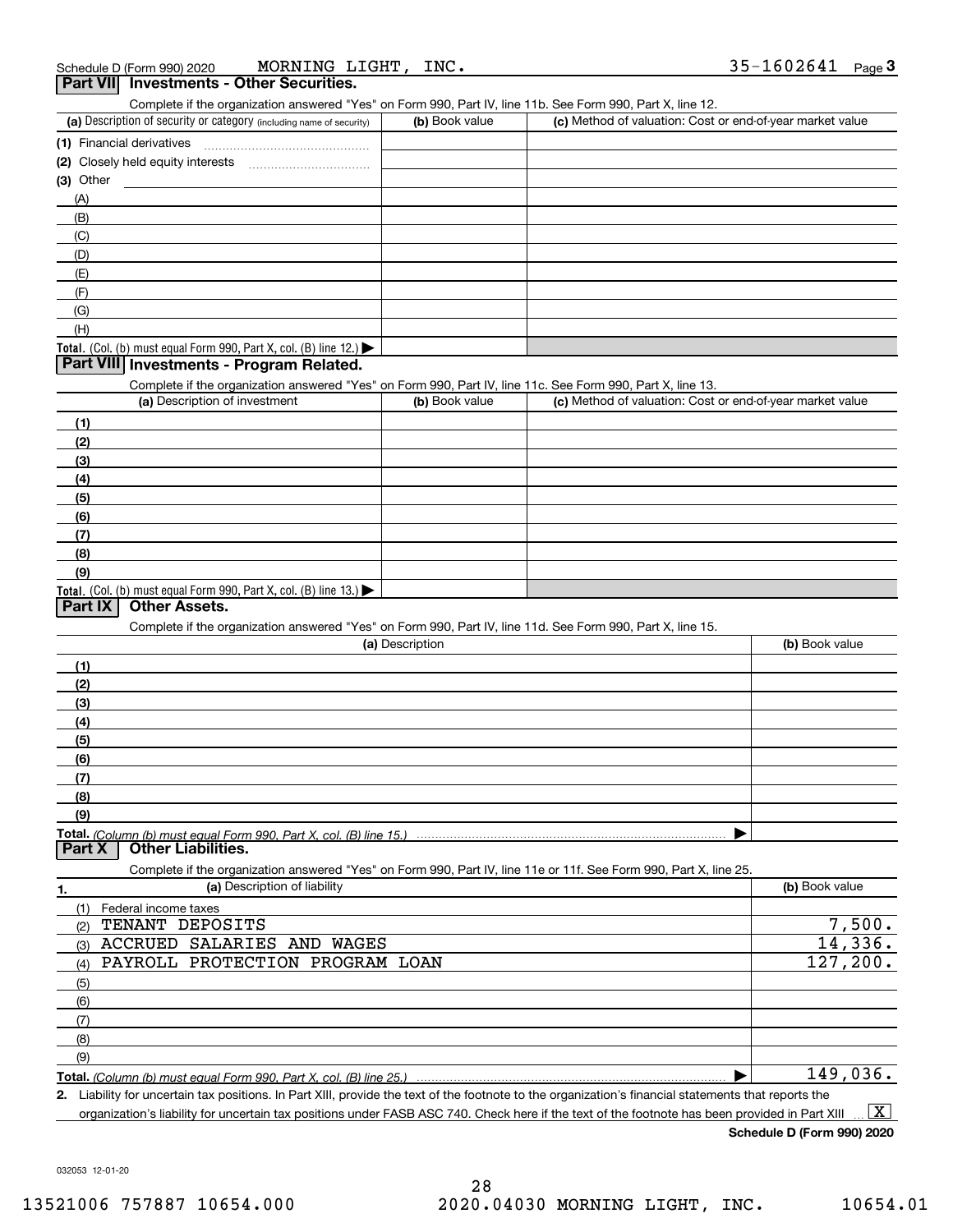## (a) Description of security or category (including name of security)  $\vert$  (b) Book value  $\vert$  (c) Total. (Col. (b) must equal Form 990, Part X, col. (B) line 12.) **(1)** Financial derivatives ~~~~~~~~~~~~~~~ **(2)** Closely held equity interests ~~~~~~~~~~~ **(3)**Other(a) Description of investment **b (b)** Book value **(1)(2) (3)(4) (5)(6)(7)** Complete if the organization answered "Yes" on Form 990, Part IV, line 11b. See Form 990, Part X, line 12.  $(b)$  Book value  $\vert$  (c) Method of valuation: Cost or end-of-year market value (A)(B)(C)(D)(E)(F)(G)(H)Complete if the organization answered "Yes" on Form 990, Part IV, line 11c. See Form 990, Part X, line 13. (c) Method of valuation: Cost or end-of-year market value **Part VII Investments - Other Securities. Part VIII Investments - Program Related.**

Total. (Col. (b) must equal Form 990, Part X, col. (B) line 13.)

## **Part IX Other Assets.**

**(8)(9)**

Complete if the organization answered "Yes" on Form 990, Part IV, line 11d. See Form 990, Part X, line 15.

| (a) Description                                                                                                   | (b) Book value |
|-------------------------------------------------------------------------------------------------------------------|----------------|
| (1)                                                                                                               |                |
| (2)                                                                                                               |                |
| (3)                                                                                                               |                |
| (4)                                                                                                               |                |
| (5)                                                                                                               |                |
| (6)                                                                                                               |                |
| (7)                                                                                                               |                |
| (8)                                                                                                               |                |
| (9)                                                                                                               |                |
| Total. (Column (b) must equal Form 990, Part X, col. (B) line 15.)                                                |                |
| <b>Other Liabilities.</b><br><b>Part X</b>                                                                        |                |
| Complete if the organization answered "Yes" on Form 990, Part IV, line 11e or 11f. See Form 990, Part X, line 25. |                |
| (a) Description of liability                                                                                      | (b) Book value |
| Federal income taxes                                                                                              |                |
| TENANT DEPOSITS<br>(2)                                                                                            | 7,500.         |
| ACCRUED<br>SALARIES AND<br>WAGES<br>(3)                                                                           | 14,336.        |
| PAYROLL PROTECTION PROGRAM LOAN<br>(4)                                                                            | 127, 200.      |

| (6) |          |
|-----|----------|
|     |          |
| (8) |          |
| (9) |          |
|     | 149,036. |

**Total.**  *(Column (b) must equal Form 990, Part X, col. (B) line 25.)*  $\blacktriangleright$  |

**2.**Liability for uncertain tax positions. In Part XIII, provide the text of the footnote to the organization's financial statements that reports the organization's liability for uncertain tax positions under FASB ASC 740. Check here if the text of the footnote has been provided in Part XIII  $\boxed{\text{X}}$ 

**Schedule D (Form 990) 2020**

032053 12-01-20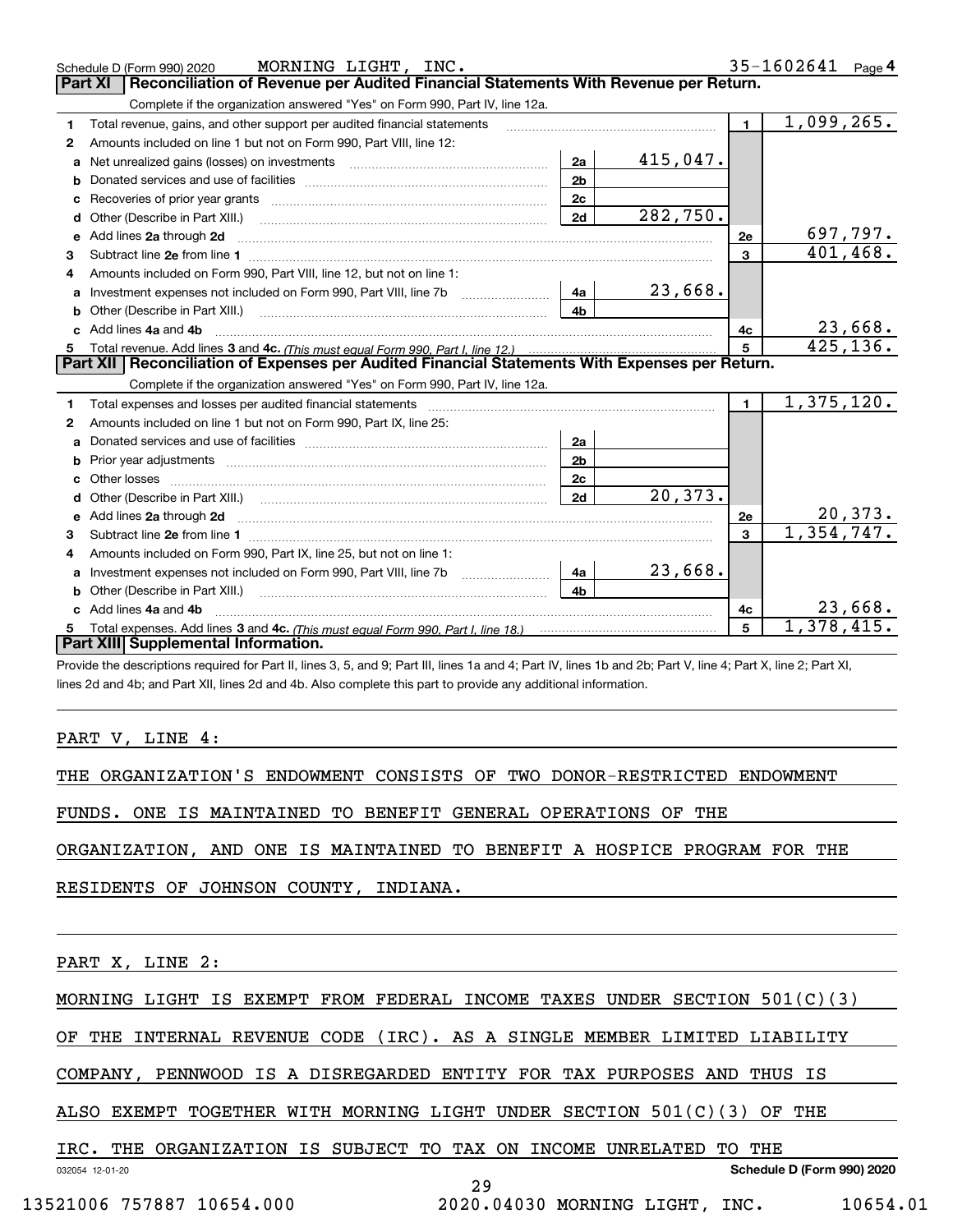|    | MORNING LIGHT, INC.<br>Schedule D (Form 990) 2020                                                                                                                                                                                    |                |          |                | $35 - 1602641$ Page 4        |
|----|--------------------------------------------------------------------------------------------------------------------------------------------------------------------------------------------------------------------------------------|----------------|----------|----------------|------------------------------|
|    | Reconciliation of Revenue per Audited Financial Statements With Revenue per Return.<br>Part XI                                                                                                                                       |                |          |                |                              |
|    | Complete if the organization answered "Yes" on Form 990, Part IV, line 12a.                                                                                                                                                          |                |          |                |                              |
| 1  | Total revenue, gains, and other support per audited financial statements                                                                                                                                                             |                |          | $\mathbf 1$    | 1,099,265.                   |
| 2  | Amounts included on line 1 but not on Form 990, Part VIII, line 12:                                                                                                                                                                  |                |          |                |                              |
| a  |                                                                                                                                                                                                                                      | 2a             | 415,047. |                |                              |
|    |                                                                                                                                                                                                                                      | 2 <sub>b</sub> |          |                |                              |
| с  |                                                                                                                                                                                                                                      | 2c             |          |                |                              |
| d  | Other (Describe in Part XIII.)                                                                                                                                                                                                       | 2d             | 282,750. |                |                              |
| е  | Add lines 2a through 2d <b>manufacture and contract and contract and contract and contract and contract and contract and contract and contract and contract and contract and contract and contract and contract and contract and</b> |                |          | 2e             | 697,797.                     |
| 3  |                                                                                                                                                                                                                                      |                |          | $\overline{3}$ | 401,468.                     |
| 4  | Amounts included on Form 990, Part VIII, line 12, but not on line 1:                                                                                                                                                                 |                |          |                |                              |
| a  |                                                                                                                                                                                                                                      | 4a             | 23,668.  |                |                              |
| b  | Other (Describe in Part XIII.) <b>Construction Contract Construction</b> Chern Construction Construction Construction                                                                                                                | 4 <sub>b</sub> |          |                |                              |
| c. | Add lines 4a and 4b                                                                                                                                                                                                                  |                |          | 4с             | 23,668.                      |
| 5  |                                                                                                                                                                                                                                      |                |          |                | 425, 136.                    |
|    | Part XII   Reconciliation of Expenses per Audited Financial Statements With Expenses per Return.                                                                                                                                     |                |          |                |                              |
|    | Complete if the organization answered "Yes" on Form 990, Part IV, line 12a.                                                                                                                                                          |                |          |                |                              |
| 1  | Total expenses and losses per audited financial statements [11, 11] manuscription control expenses and losses per audited financial statements [11] manuscription of the statements [11] manuscription of the statements [11]        |                |          |                |                              |
| 2  |                                                                                                                                                                                                                                      |                |          | $\mathbf{1}$   | 1,375,120.                   |
|    | Amounts included on line 1 but not on Form 990, Part IX, line 25:                                                                                                                                                                    |                |          |                |                              |
| a  |                                                                                                                                                                                                                                      | 2a             |          |                |                              |
| b  |                                                                                                                                                                                                                                      | 2 <sub>b</sub> |          |                |                              |
| c  |                                                                                                                                                                                                                                      | 2c             |          |                |                              |
| d  |                                                                                                                                                                                                                                      | 2d             | 20,373.  |                |                              |
| е  | Add lines 2a through 2d <b>contained a contained a contained a contained a</b> contained a contained a contained a contained a contained a contained a contained a contained a contained a contained a contained a contained a cont  |                |          | 2e             |                              |
| 3  |                                                                                                                                                                                                                                      |                |          | $\mathbf{a}$   | $\frac{20,373.}{1,354,747.}$ |
| 4  | Amounts included on Form 990, Part IX, line 25, but not on line 1:                                                                                                                                                                   |                |          |                |                              |
| a  |                                                                                                                                                                                                                                      | 4a             | 23,668.  |                |                              |
| b  |                                                                                                                                                                                                                                      | 4 <sub>h</sub> |          |                |                              |
|    | Add lines 4a and 4b                                                                                                                                                                                                                  |                |          | 4с             | 23,668.                      |
|    | Part XIII Supplemental Information.                                                                                                                                                                                                  |                |          | 5              | 1,378,415.                   |

Provide the descriptions required for Part II, lines 3, 5, and 9; Part III, lines 1a and 4; Part IV, lines 1b and 2b; Part V, line 4; Part X, line 2; Part XI, lines 2d and 4b; and Part XII, lines 2d and 4b. Also complete this part to provide any additional information.

PART V, LINE 4:

THE ORGANIZATION'S ENDOWMENT CONSISTS OF TWO DONOR-RESTRICTED ENDOWMENT

FUNDS. ONE IS MAINTAINED TO BENEFIT GENERAL OPERATIONS OF THE

ORGANIZATION, AND ONE IS MAINTAINED TO BENEFIT A HOSPICE PROGRAM FOR THE

RESIDENTS OF JOHNSON COUNTY, INDIANA.

PART X, LINE 2:

MORNING LIGHT IS EXEMPT FROM FEDERAL INCOME TAXES UNDER SECTION 501(C)(3)

OF THE INTERNAL REVENUE CODE (IRC). AS A SINGLE MEMBER LIMITED LIABILITY

COMPANY, PENNWOOD IS A DISREGARDED ENTITY FOR TAX PURPOSES AND THUS IS

ALSO EXEMPT TOGETHER WITH MORNING LIGHT UNDER SECTION 501(C)(3) OF THE

|  |  | IRC. THE ORGANIZATION IS SUBJECT TO TAX ON INCOME UNRELATED TO THE |  |  |  |  |  |  |  |  |  |
|--|--|--------------------------------------------------------------------|--|--|--|--|--|--|--|--|--|
|--|--|--------------------------------------------------------------------|--|--|--|--|--|--|--|--|--|

032054 12-01-20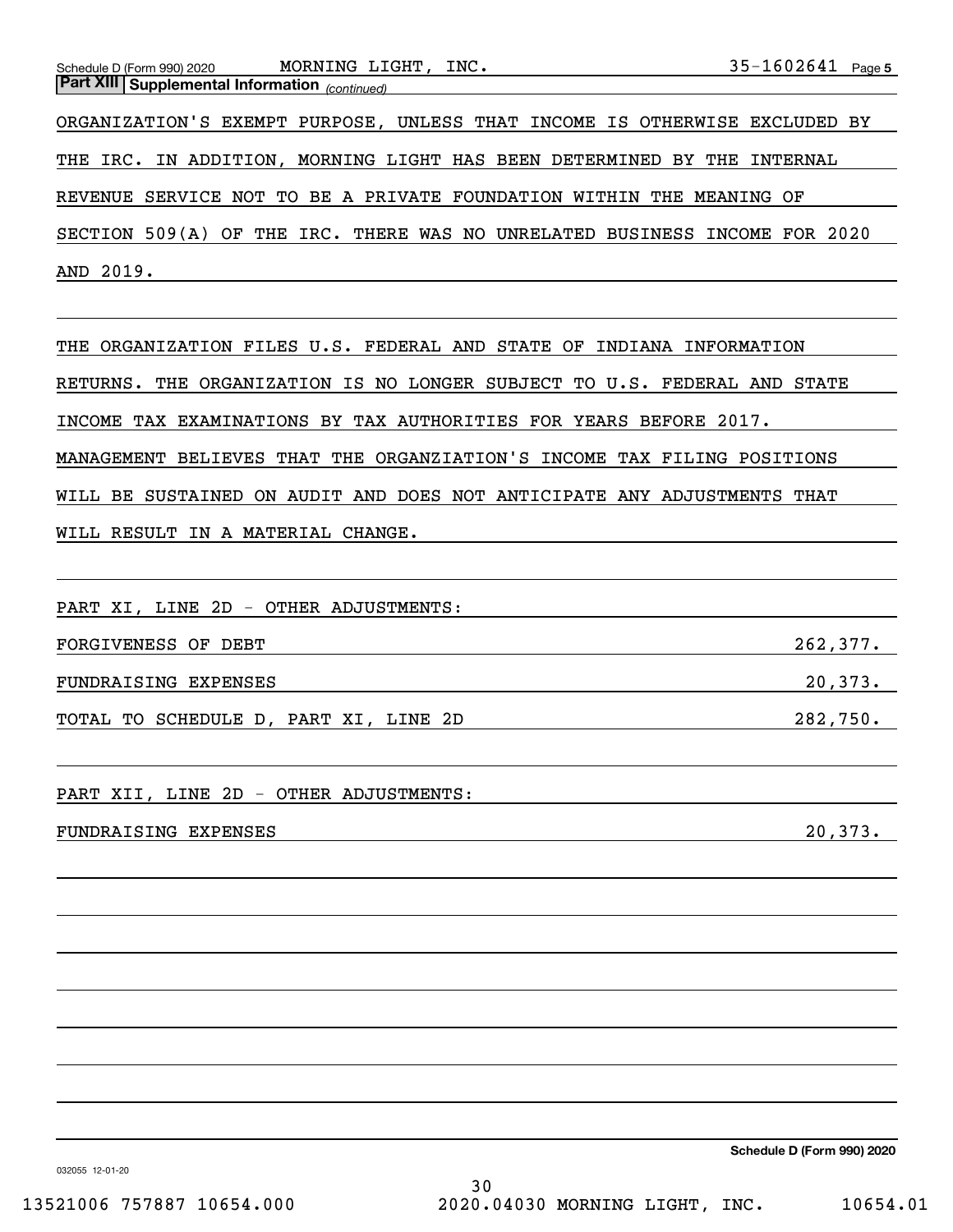ORGANIZATION'S EXEMPT PURPOSE, UNLESS THAT INCOME IS OTHERWISE EXCLUDED BY THE IRC. IN ADDITION, MORNING LIGHT HAS BEEN DETERMINED BY THE INTERNAL REVENUE SERVICE NOT TO BE A PRIVATE FOUNDATION WITHIN THE MEANING OF SECTION 509(A) OF THE IRC. THERE WAS NO UNRELATED BUSINESS INCOME FOR 2020 AND 2019.

THE ORGANIZATION FILES U.S. FEDERAL AND STATE OF INDIANA INFORMATION RETURNS. THE ORGANIZATION IS NO LONGER SUBJECT TO U.S. FEDERAL AND STATE INCOME TAX EXAMINATIONS BY TAX AUTHORITIES FOR YEARS BEFORE 2017. MANAGEMENT BELIEVES THAT THE ORGANZIATION'S INCOME TAX FILING POSITIONS WILL BE SUSTAINED ON AUDIT AND DOES NOT ANTICIPATE ANY ADJUSTMENTS THAT WILL RESULT IN A MATERIAL CHANGE.

PART XI, LINE 2D - OTHER ADJUSTMENTS:

FORGIVENESS OF DEBT 262,377.

FUNDRAISING EXPENSES 20,373.

TOTAL TO SCHEDULE D, PART XI, LINE 2D 282,750.

PART XII, LINE 2D - OTHER ADJUSTMENTS:

FUNDRAISING EXPENSES 20,373.

**Schedule D (Form 990) 2020**

032055 12-01-20

30 13521006 757887 10654.000 2020.04030 MORNING LIGHT, INC. 10654.01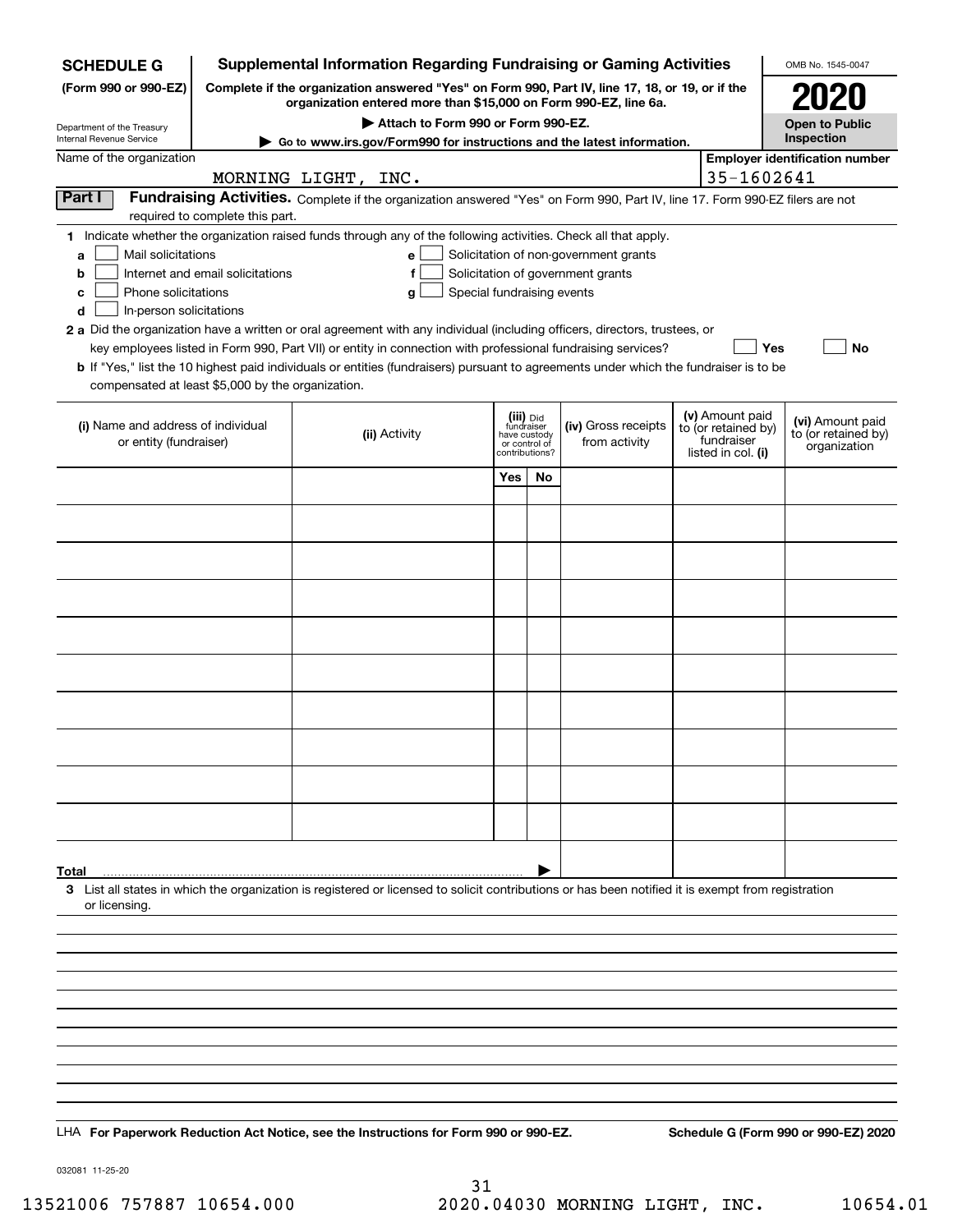| <b>SCHEDULE G</b>                                                                        |                                    | <b>Supplemental Information Regarding Fundraising or Gaming Activities</b>                                                                                                                                                                                   |                                                                            |    |                                                                            |  |                                                                            | OMB No. 1545-0047                                       |
|------------------------------------------------------------------------------------------|------------------------------------|--------------------------------------------------------------------------------------------------------------------------------------------------------------------------------------------------------------------------------------------------------------|----------------------------------------------------------------------------|----|----------------------------------------------------------------------------|--|----------------------------------------------------------------------------|---------------------------------------------------------|
| (Form 990 or 990-EZ)                                                                     |                                    | Complete if the organization answered "Yes" on Form 990, Part IV, line 17, 18, or 19, or if the<br>organization entered more than \$15,000 on Form 990-EZ, line 6a.                                                                                          |                                                                            |    |                                                                            |  |                                                                            |                                                         |
| Department of the Treasury                                                               | Attach to Form 990 or Form 990-EZ. |                                                                                                                                                                                                                                                              |                                                                            |    |                                                                            |  |                                                                            | <b>Open to Public</b>                                   |
| Internal Revenue Service                                                                 |                                    | Go to www.irs.gov/Form990 for instructions and the latest information.                                                                                                                                                                                       |                                                                            |    |                                                                            |  |                                                                            | Inspection                                              |
| Name of the organization                                                                 |                                    | MORNING LIGHT, INC.                                                                                                                                                                                                                                          |                                                                            |    |                                                                            |  | 35-1602641                                                                 | <b>Employer identification number</b>                   |
| Part I                                                                                   | required to complete this part.    | Fundraising Activities. Complete if the organization answered "Yes" on Form 990, Part IV, line 17. Form 990-EZ filers are not                                                                                                                                |                                                                            |    |                                                                            |  |                                                                            |                                                         |
| Mail solicitations<br>a<br>b<br>Phone solicitations<br>с<br>In-person solicitations<br>d | Internet and email solicitations   | 1 Indicate whether the organization raised funds through any of the following activities. Check all that apply.<br>e<br>f<br>g<br>2 a Did the organization have a written or oral agreement with any individual (including officers, directors, trustees, or | Special fundraising events                                                 |    | Solicitation of non-government grants<br>Solicitation of government grants |  |                                                                            |                                                         |
| compensated at least \$5,000 by the organization.                                        |                                    | key employees listed in Form 990, Part VII) or entity in connection with professional fundraising services?<br>b If "Yes," list the 10 highest paid individuals or entities (fundraisers) pursuant to agreements under which the fundraiser is to be         |                                                                            |    |                                                                            |  | <b>Yes</b>                                                                 | No                                                      |
| (i) Name and address of individual<br>or entity (fundraiser)                             |                                    | (ii) Activity                                                                                                                                                                                                                                                | (iii) Did<br>fundraiser<br>have custody<br>or control of<br>contributions? |    | (iv) Gross receipts<br>from activity                                       |  | (v) Amount paid<br>to (or retained by)<br>fundraiser<br>listed in col. (i) | (vi) Amount paid<br>to (or retained by)<br>organization |
|                                                                                          |                                    |                                                                                                                                                                                                                                                              | Yes                                                                        | No |                                                                            |  |                                                                            |                                                         |
|                                                                                          |                                    |                                                                                                                                                                                                                                                              |                                                                            |    |                                                                            |  |                                                                            |                                                         |
|                                                                                          |                                    |                                                                                                                                                                                                                                                              |                                                                            |    |                                                                            |  |                                                                            |                                                         |
|                                                                                          |                                    |                                                                                                                                                                                                                                                              |                                                                            |    |                                                                            |  |                                                                            |                                                         |
|                                                                                          |                                    |                                                                                                                                                                                                                                                              |                                                                            |    |                                                                            |  |                                                                            |                                                         |
|                                                                                          |                                    |                                                                                                                                                                                                                                                              |                                                                            |    |                                                                            |  |                                                                            |                                                         |
|                                                                                          |                                    |                                                                                                                                                                                                                                                              |                                                                            |    |                                                                            |  |                                                                            |                                                         |
|                                                                                          |                                    |                                                                                                                                                                                                                                                              |                                                                            |    |                                                                            |  |                                                                            |                                                         |
|                                                                                          |                                    |                                                                                                                                                                                                                                                              |                                                                            |    |                                                                            |  |                                                                            |                                                         |
|                                                                                          |                                    |                                                                                                                                                                                                                                                              |                                                                            |    |                                                                            |  |                                                                            |                                                         |
|                                                                                          |                                    |                                                                                                                                                                                                                                                              |                                                                            |    |                                                                            |  |                                                                            |                                                         |
|                                                                                          |                                    |                                                                                                                                                                                                                                                              |                                                                            |    |                                                                            |  |                                                                            |                                                         |
|                                                                                          |                                    |                                                                                                                                                                                                                                                              |                                                                            |    |                                                                            |  |                                                                            |                                                         |
| Total<br>or licensing.                                                                   |                                    | 3 List all states in which the organization is registered or licensed to solicit contributions or has been notified it is exempt from registration                                                                                                           |                                                                            |    |                                                                            |  |                                                                            |                                                         |
|                                                                                          |                                    |                                                                                                                                                                                                                                                              |                                                                            |    |                                                                            |  |                                                                            |                                                         |
|                                                                                          |                                    |                                                                                                                                                                                                                                                              |                                                                            |    |                                                                            |  |                                                                            |                                                         |
|                                                                                          |                                    |                                                                                                                                                                                                                                                              |                                                                            |    |                                                                            |  |                                                                            |                                                         |
|                                                                                          |                                    |                                                                                                                                                                                                                                                              |                                                                            |    |                                                                            |  |                                                                            |                                                         |
|                                                                                          |                                    |                                                                                                                                                                                                                                                              |                                                                            |    |                                                                            |  |                                                                            |                                                         |
|                                                                                          |                                    |                                                                                                                                                                                                                                                              |                                                                            |    |                                                                            |  |                                                                            |                                                         |
|                                                                                          |                                    |                                                                                                                                                                                                                                                              |                                                                            |    |                                                                            |  |                                                                            |                                                         |
|                                                                                          |                                    | LHA For Paperwork Reduction Act Notice, see the Instructions for Form 990 or 990-EZ.                                                                                                                                                                         |                                                                            |    |                                                                            |  |                                                                            | Schedule G (Form 990 or 990-EZ) 2020                    |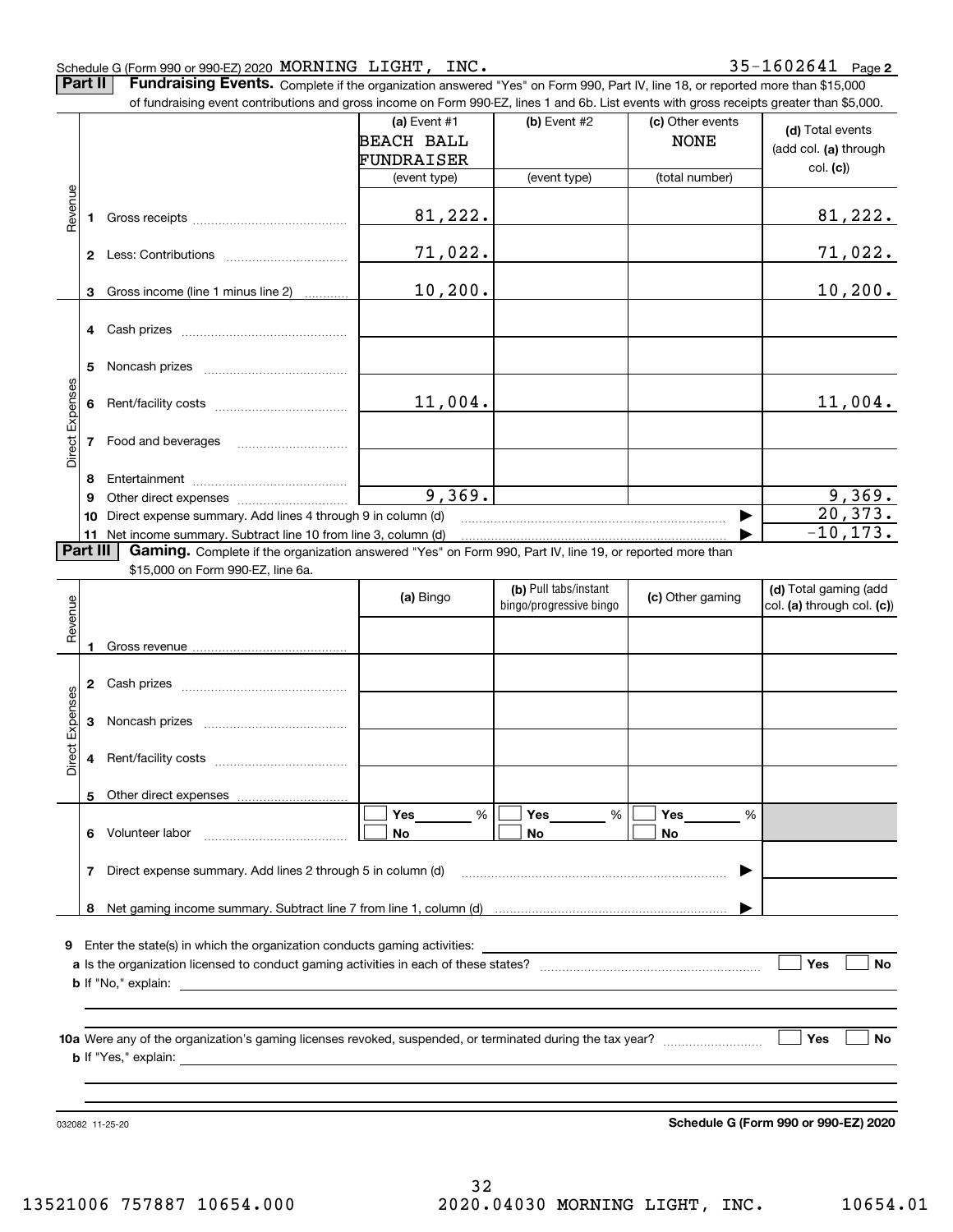## Schedule G (Form 990 or 990-EZ) 2020 Page MORNING LIGHT, INC. 35-1602641

**Part II** | Fundraising Events. Complete if the organization answered "Yes" on Form 990, Part IV, line 18, or reported more than \$15,000

|                 |          | of fundraising event contributions and gross income on Form 990-EZ, lines 1 and 6b. List events with gross receipts greater than \$5,000. |                   |                         |                  |                                      |
|-----------------|----------|-------------------------------------------------------------------------------------------------------------------------------------------|-------------------|-------------------------|------------------|--------------------------------------|
|                 |          |                                                                                                                                           | (a) Event #1      | $(b)$ Event #2          | (c) Other events | (d) Total events                     |
|                 |          |                                                                                                                                           | <b>BEACH BALL</b> |                         | <b>NONE</b>      | (add col. (a) through                |
|                 |          |                                                                                                                                           | FUNDRAISER        |                         |                  | col. (c)                             |
|                 |          |                                                                                                                                           | (event type)      | (event type)            | (total number)   |                                      |
|                 |          |                                                                                                                                           |                   |                         |                  |                                      |
| Revenue         | 1        |                                                                                                                                           | 81,222.           |                         |                  | 81,222.                              |
|                 |          |                                                                                                                                           | 71,022.           |                         |                  |                                      |
|                 |          |                                                                                                                                           |                   |                         |                  | <u>71,022.</u>                       |
|                 | 3        | Gross income (line 1 minus line 2)                                                                                                        | 10, 200.          |                         |                  | 10, 200.                             |
|                 |          |                                                                                                                                           |                   |                         |                  |                                      |
|                 | 4        |                                                                                                                                           |                   |                         |                  |                                      |
|                 |          |                                                                                                                                           |                   |                         |                  |                                      |
|                 | 5        |                                                                                                                                           |                   |                         |                  |                                      |
|                 |          |                                                                                                                                           |                   |                         |                  |                                      |
|                 | 6        |                                                                                                                                           | 11,004.           |                         |                  | 11,004.                              |
| Direct Expenses |          |                                                                                                                                           |                   |                         |                  |                                      |
|                 | 7        | Food and beverages                                                                                                                        |                   |                         |                  |                                      |
|                 | 8        |                                                                                                                                           |                   |                         |                  |                                      |
|                 | 9        |                                                                                                                                           | 9,369.            |                         |                  |                                      |
|                 | 10       | Direct expense summary. Add lines 4 through 9 in column (d)                                                                               |                   |                         |                  | $\frac{9,369}{20,373}$               |
|                 |          | 11 Net income summary. Subtract line 10 from line 3, column (d)                                                                           |                   |                         |                  | $-10, 173.$                          |
|                 | Part III | Gaming. Complete if the organization answered "Yes" on Form 990, Part IV, line 19, or reported more than                                  |                   |                         |                  |                                      |
|                 |          | \$15,000 on Form 990-EZ, line 6a.                                                                                                         |                   |                         |                  |                                      |
|                 |          |                                                                                                                                           | (a) Bingo         | (b) Pull tabs/instant   | (c) Other gaming | (d) Total gaming (add                |
|                 |          |                                                                                                                                           |                   | bingo/progressive bingo |                  | col. (a) through col. (c))           |
| Revenue         |          |                                                                                                                                           |                   |                         |                  |                                      |
|                 | 1        |                                                                                                                                           |                   |                         |                  |                                      |
|                 |          |                                                                                                                                           |                   |                         |                  |                                      |
|                 | 2        |                                                                                                                                           |                   |                         |                  |                                      |
|                 |          |                                                                                                                                           |                   |                         |                  |                                      |
| Expenses        | 3        |                                                                                                                                           |                   |                         |                  |                                      |
| Direct          | 4        |                                                                                                                                           |                   |                         |                  |                                      |
|                 |          |                                                                                                                                           |                   |                         |                  |                                      |
|                 |          | 5 Other direct expenses                                                                                                                   |                   |                         |                  |                                      |
|                 |          |                                                                                                                                           | %<br>Yes          | %<br>Yes                | Yes<br>%         |                                      |
|                 |          | 6 Volunteer labor                                                                                                                         | No                | No                      | No               |                                      |
|                 |          |                                                                                                                                           |                   |                         |                  |                                      |
|                 | 7        | Direct expense summary. Add lines 2 through 5 in column (d)                                                                               |                   |                         |                  |                                      |
|                 |          |                                                                                                                                           |                   |                         |                  |                                      |
|                 |          |                                                                                                                                           |                   |                         |                  |                                      |
|                 |          |                                                                                                                                           |                   |                         |                  |                                      |
|                 |          | 9 Enter the state(s) in which the organization conducts gaming activities:                                                                |                   |                         |                  |                                      |
|                 |          |                                                                                                                                           |                   |                         |                  | Yes<br>No                            |
|                 |          |                                                                                                                                           |                   |                         |                  |                                      |
|                 |          |                                                                                                                                           |                   |                         |                  |                                      |
|                 |          |                                                                                                                                           |                   |                         |                  | Yes<br>No                            |
|                 |          |                                                                                                                                           |                   |                         |                  |                                      |
|                 |          |                                                                                                                                           |                   |                         |                  |                                      |
|                 |          |                                                                                                                                           |                   |                         |                  |                                      |
|                 |          |                                                                                                                                           |                   |                         |                  |                                      |
|                 |          | 032082 11-25-20                                                                                                                           |                   |                         |                  | Schedule G (Form 990 or 990-EZ) 2020 |

**Schedule G (Form 990 or 990-EZ) 2020**

32 13521006 757887 10654.000 2020.04030 MORNING LIGHT, INC. 10654.01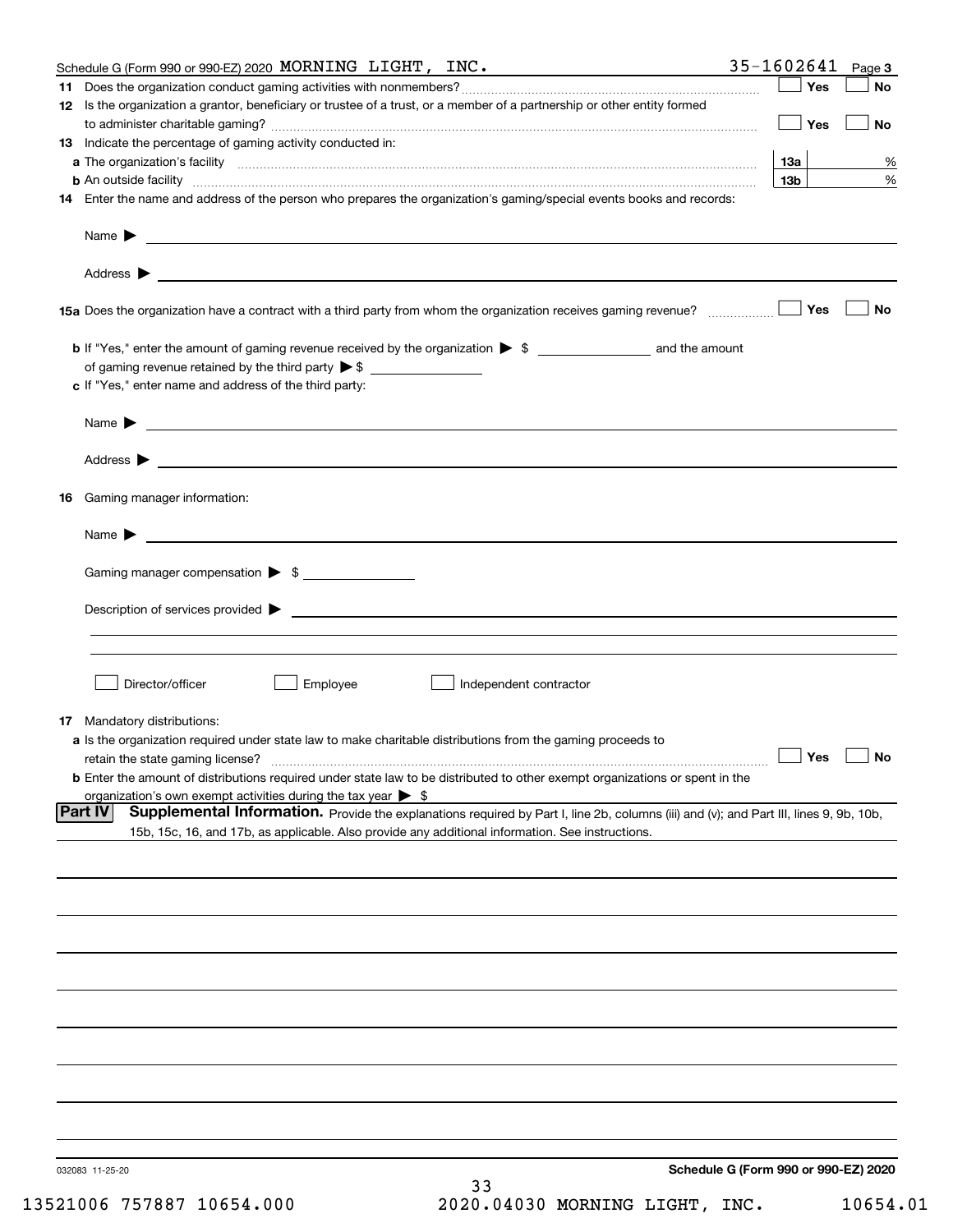|    | Schedule G (Form 990 or 990-EZ) 2020 MORNING LIGHT, INC.                                                                                                      | $35 - 1602641$ Page 3 |           |
|----|---------------------------------------------------------------------------------------------------------------------------------------------------------------|-----------------------|-----------|
|    |                                                                                                                                                               | Yes                   | No        |
|    | 12 Is the organization a grantor, beneficiary or trustee of a trust, or a member of a partnership or other entity formed                                      |                       |           |
|    |                                                                                                                                                               | Yes                   | No        |
|    | 13 Indicate the percentage of gaming activity conducted in:                                                                                                   |                       |           |
|    |                                                                                                                                                               | 13а                   | %         |
|    | <b>b</b> An outside facility <i>www.communicality www.communicality.communicality www.communicality www.communicality.communicality www.communicality.com</i> | 13 <sub>b</sub>       | %         |
|    | 14 Enter the name and address of the person who prepares the organization's gaming/special events books and records:                                          |                       |           |
|    |                                                                                                                                                               |                       |           |
|    |                                                                                                                                                               |                       |           |
|    |                                                                                                                                                               |                       |           |
|    |                                                                                                                                                               |                       |           |
|    |                                                                                                                                                               |                       |           |
|    | 15a Does the organization have a contract with a third party from whom the organization receives gaming revenue?                                              | Yes                   | <b>No</b> |
|    |                                                                                                                                                               |                       |           |
|    |                                                                                                                                                               |                       |           |
|    |                                                                                                                                                               |                       |           |
|    |                                                                                                                                                               |                       |           |
|    | c If "Yes," enter name and address of the third party:                                                                                                        |                       |           |
|    |                                                                                                                                                               |                       |           |
|    | $Name \rightarrow$                                                                                                                                            |                       |           |
|    |                                                                                                                                                               |                       |           |
|    |                                                                                                                                                               |                       |           |
|    |                                                                                                                                                               |                       |           |
| 16 | Gaming manager information:                                                                                                                                   |                       |           |
|    |                                                                                                                                                               |                       |           |
|    | Name $\blacktriangleright$                                                                                                                                    |                       |           |
|    |                                                                                                                                                               |                       |           |
|    | Gaming manager compensation > \$                                                                                                                              |                       |           |
|    |                                                                                                                                                               |                       |           |
|    | $Description of services provided$ $\triangleright$                                                                                                           |                       |           |
|    |                                                                                                                                                               |                       |           |
|    |                                                                                                                                                               |                       |           |
|    |                                                                                                                                                               |                       |           |
|    | Director/officer<br>Employee<br>Independent contractor                                                                                                        |                       |           |
|    |                                                                                                                                                               |                       |           |
|    | 17 Mandatory distributions:                                                                                                                                   |                       |           |
|    | a Is the organization required under state law to make charitable distributions from the gaming proceeds to                                                   |                       |           |
|    | retain the state gaming license?                                                                                                                              | $\Box$ Yes            | $\Box$ No |
|    | <b>b</b> Enter the amount of distributions required under state law to be distributed to other exempt organizations or spent in the                           |                       |           |
|    | organization's own exempt activities during the tax year $\triangleright$ \$                                                                                  |                       |           |
|    | Supplemental Information. Provide the explanations required by Part I, line 2b, columns (iii) and (v); and Part III, lines 9, 9b, 10b,<br> Part IV            |                       |           |
|    | 15b, 15c, 16, and 17b, as applicable. Also provide any additional information. See instructions.                                                              |                       |           |
|    |                                                                                                                                                               |                       |           |
|    |                                                                                                                                                               |                       |           |
|    |                                                                                                                                                               |                       |           |
|    |                                                                                                                                                               |                       |           |
|    |                                                                                                                                                               |                       |           |
|    |                                                                                                                                                               |                       |           |
|    |                                                                                                                                                               |                       |           |
|    |                                                                                                                                                               |                       |           |
|    |                                                                                                                                                               |                       |           |
|    |                                                                                                                                                               |                       |           |
|    |                                                                                                                                                               |                       |           |
|    |                                                                                                                                                               |                       |           |
|    |                                                                                                                                                               |                       |           |
|    |                                                                                                                                                               |                       |           |
|    |                                                                                                                                                               |                       |           |
|    |                                                                                                                                                               |                       |           |
|    |                                                                                                                                                               |                       |           |
|    |                                                                                                                                                               |                       |           |
|    | Schedule G (Form 990 or 990-EZ) 2020<br>032083 11-25-20<br>33                                                                                                 |                       |           |
|    |                                                                                                                                                               |                       |           |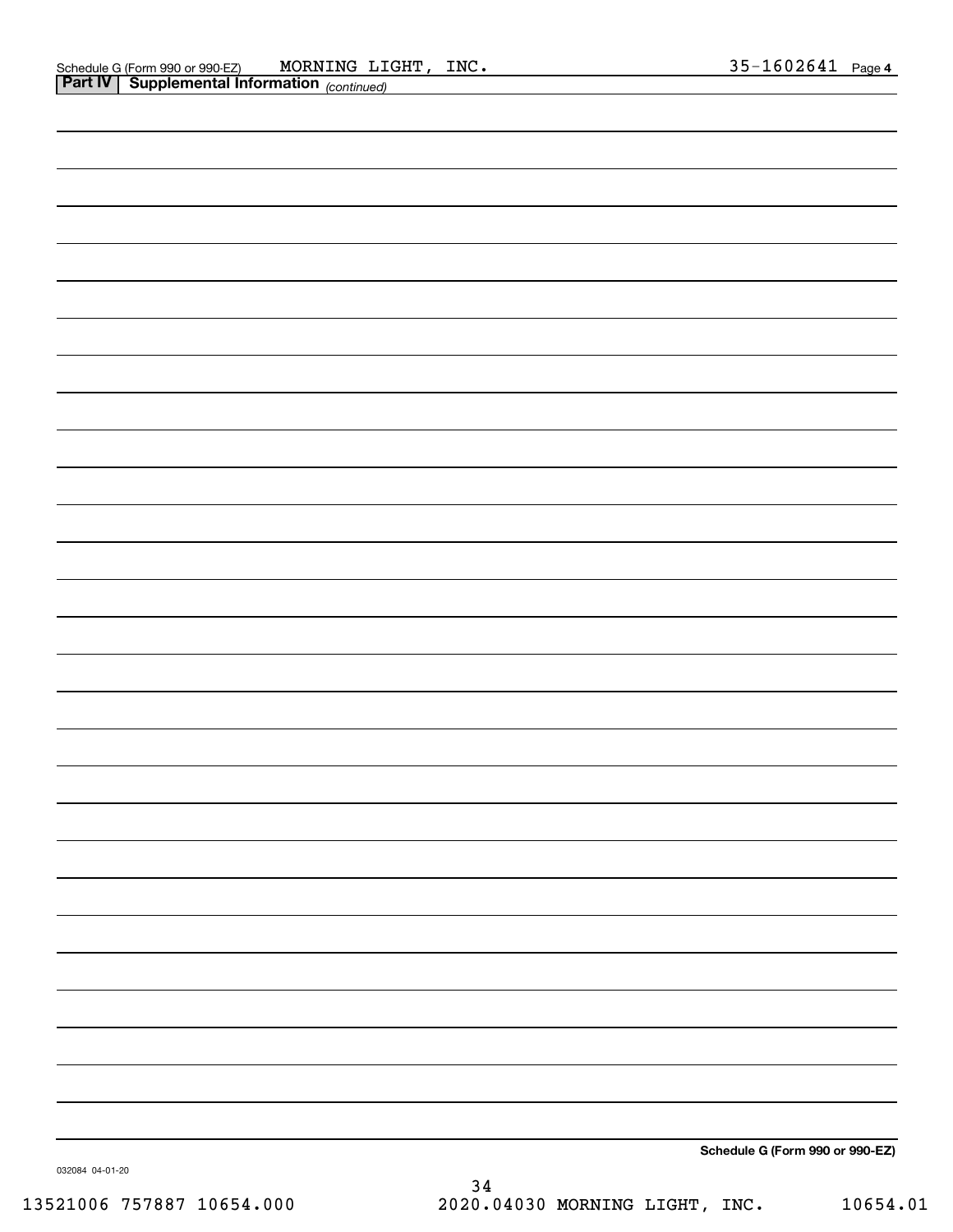| . .             | $\frac{1}{2}$                   |
|-----------------|---------------------------------|
|                 |                                 |
|                 |                                 |
|                 |                                 |
|                 |                                 |
|                 |                                 |
|                 |                                 |
|                 |                                 |
|                 |                                 |
|                 |                                 |
|                 |                                 |
|                 |                                 |
|                 |                                 |
|                 |                                 |
|                 |                                 |
|                 |                                 |
|                 |                                 |
|                 |                                 |
|                 |                                 |
|                 |                                 |
|                 |                                 |
|                 |                                 |
|                 |                                 |
|                 |                                 |
|                 |                                 |
|                 |                                 |
|                 |                                 |
|                 |                                 |
|                 |                                 |
|                 |                                 |
|                 |                                 |
|                 |                                 |
|                 |                                 |
|                 |                                 |
|                 |                                 |
|                 |                                 |
|                 |                                 |
|                 |                                 |
|                 |                                 |
|                 |                                 |
|                 |                                 |
|                 |                                 |
|                 |                                 |
|                 |                                 |
|                 |                                 |
|                 |                                 |
|                 |                                 |
|                 |                                 |
|                 |                                 |
|                 |                                 |
|                 |                                 |
|                 |                                 |
|                 |                                 |
|                 |                                 |
|                 | Schedule G (Form 990 or 990-EZ) |
| 032084 04-01-20 |                                 |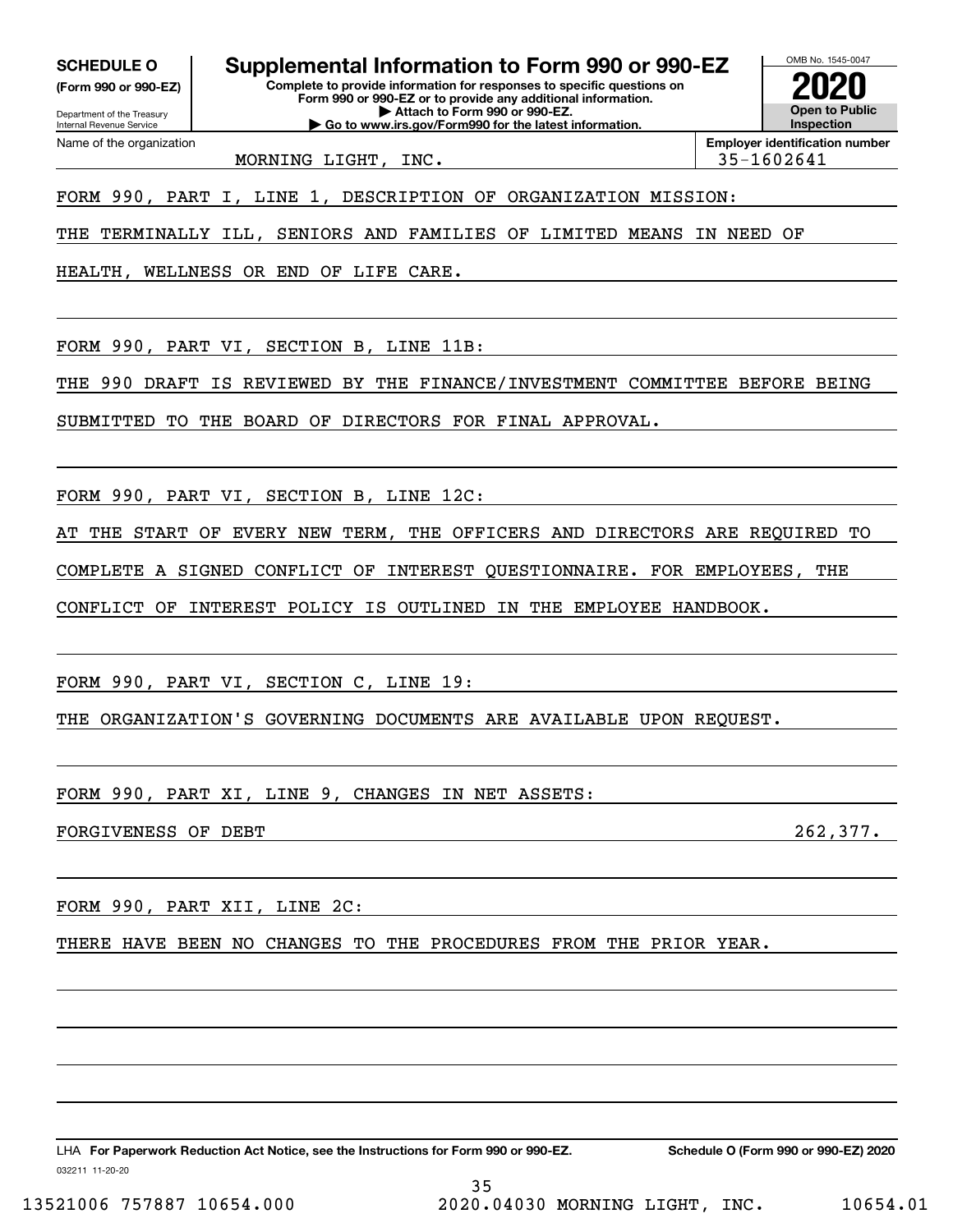**SCHEDULE O Supplemental Information to Form 990 or 990-EZ**

Internal Revenue Service

Department of the Treasury **(Form 990 or 990-EZ)**

Name of the organization

**Complete to provide information for responses to specific questions on Form 990 or 990-EZ or to provide any additional information. | Attach to Form 990 or 990-EZ.**

**| Go to www.irs.gov/Form990 for the latest information.**

**Open to Public InspectionEmployer identification number 2020**

OMB No. 1545-0047

MORNING LIGHT, INC.  $\vert$  35-1602641

FORM 990, PART I, LINE 1, DESCRIPTION OF ORGANIZATION MISSION:

THE TERMINALLY ILL, SENIORS AND FAMILIES OF LIMITED MEANS IN NEED OF

HEALTH, WELLNESS OR END OF LIFE CARE.

FORM 990, PART VI, SECTION B, LINE 11B:

THE 990 DRAFT IS REVIEWED BY THE FINANCE/INVESTMENT COMMITTEE BEFORE BEING

SUBMITTED TO THE BOARD OF DIRECTORS FOR FINAL APPROVAL.

FORM 990, PART VI, SECTION B, LINE 12C:

AT THE START OF EVERY NEW TERM, THE OFFICERS AND DIRECTORS ARE REQUIRED TO

COMPLETE A SIGNED CONFLICT OF INTEREST QUESTIONNAIRE. FOR EMPLOYEES, THE

CONFLICT OF INTEREST POLICY IS OUTLINED IN THE EMPLOYEE HANDBOOK.

FORM 990, PART VI, SECTION C, LINE 19:

THE ORGANIZATION'S GOVERNING DOCUMENTS ARE AVAILABLE UPON REQUEST.

FORM 990, PART XI, LINE 9, CHANGES IN NET ASSETS:

FORGIVENESS OF DEBT 262,377.

FORM 990, PART XII, LINE 2C:

THERE HAVE BEEN NO CHANGES TO THE PROCEDURES FROM THE PRIOR YEAR.

032211 11-20-20 LHA For Paperwork Reduction Act Notice, see the Instructions for Form 990 or 990-EZ. Schedule O (Form 990 or 990-EZ) 2020

13521006 757887 10654.000 2020.04030 MORNING LIGHT, INC. 10654.01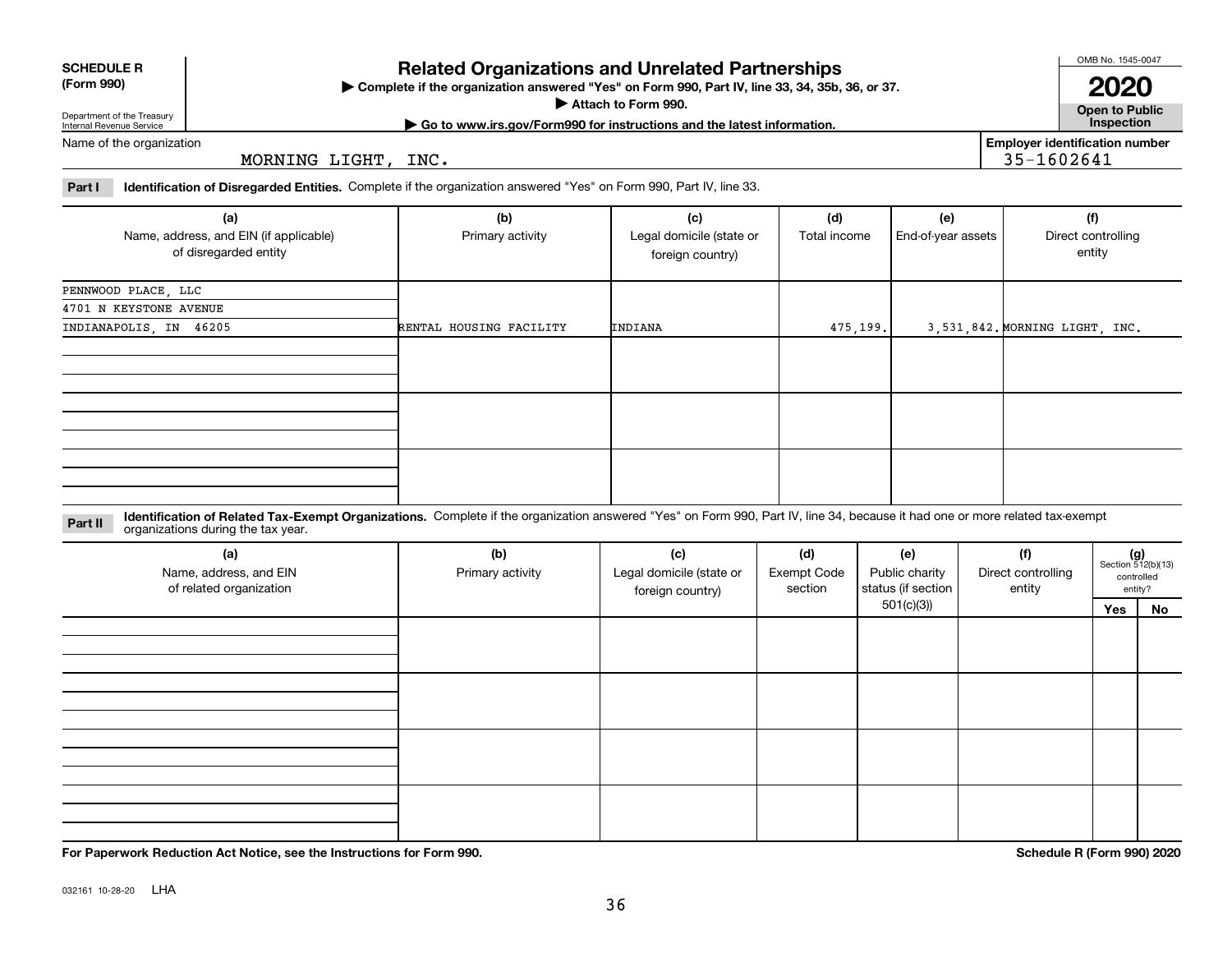032161 10-28-20 LHA

## **Part I Identification of Disregarded Entities.**  Complete if the organization answered "Yes" on Form 990, Part IV, line 33.

MORNING LIGHT, INC.

| (a)                                                             | (b)                     | (c)                                          | (d)          | (e)                | (f)                            |
|-----------------------------------------------------------------|-------------------------|----------------------------------------------|--------------|--------------------|--------------------------------|
| Name, address, and EIN (if applicable)<br>of disregarded entity | Primary activity        | Legal domicile (state or<br>foreign country) | Total income | End-of-year assets | Direct controlling<br>entity   |
| PENNWOOD PLACE, LLC                                             |                         |                                              |              |                    |                                |
| 4701 N KEYSTONE AVENUE                                          |                         |                                              |              |                    |                                |
| INDIANAPOLIS, IN 46205                                          | RENTAL HOUSING FACILITY | INDIANA                                      | 475,199.     |                    | 3,531,842. MORNING LIGHT, INC. |
|                                                                 |                         |                                              |              |                    |                                |
|                                                                 |                         |                                              |              |                    |                                |
|                                                                 |                         |                                              |              |                    |                                |

#### **Identification of Related Tax-Exempt Organizations.** Complete if the organization answered "Yes" on Form 990, Part IV, line 34, because it had one or more related tax-exempt **Part II** organizations during the tax year.

| (a)<br>Name, address, and EIN<br>of related organization | (b)<br>Primary activity | (c)<br>Legal domicile (state or<br>foreign country) | (d)<br>Exempt Code<br>section | (e)<br>Public charity<br>status (if section | (f)<br>Direct controlling<br>entity | $(g)$<br>Section 512(b)(13) | controlled<br>entity? |
|----------------------------------------------------------|-------------------------|-----------------------------------------------------|-------------------------------|---------------------------------------------|-------------------------------------|-----------------------------|-----------------------|
|                                                          |                         |                                                     |                               | 501(c)(3)                                   |                                     | Yes                         | No                    |
|                                                          |                         |                                                     |                               |                                             |                                     |                             |                       |
|                                                          |                         |                                                     |                               |                                             |                                     |                             |                       |
|                                                          |                         |                                                     |                               |                                             |                                     |                             |                       |
|                                                          |                         |                                                     |                               |                                             |                                     |                             |                       |
|                                                          |                         |                                                     |                               |                                             |                                     |                             |                       |
|                                                          |                         |                                                     |                               |                                             |                                     |                             |                       |
|                                                          |                         |                                                     |                               |                                             |                                     |                             |                       |
|                                                          |                         |                                                     |                               |                                             |                                     |                             |                       |
|                                                          |                         |                                                     |                               |                                             |                                     |                             |                       |
|                                                          |                         |                                                     |                               |                                             |                                     |                             |                       |
|                                                          |                         |                                                     |                               |                                             |                                     |                             |                       |
|                                                          |                         |                                                     |                               |                                             |                                     |                             |                       |

36

**Related Organizations and Unrelated Partnerships**

**Complete if the organization answered "Yes" on Form 990, Part IV, line 33, 34, 35b, 36, or 37.** |

**Attach to Form 990.**  | **| Go to www.irs.gov/Form990 for instructions and the latest information. Inspection** OMB No. 1545-0047

35-1602641

**Employer identification number**

**Open to Public 2020**

|                            | <b>SCHEDULE R</b> |
|----------------------------|-------------------|
| $(T - m \cdot \mathbf{A})$ |                   |

**(Form 990)**

Department of the Treasury Internal Revenue Service

Name of the organization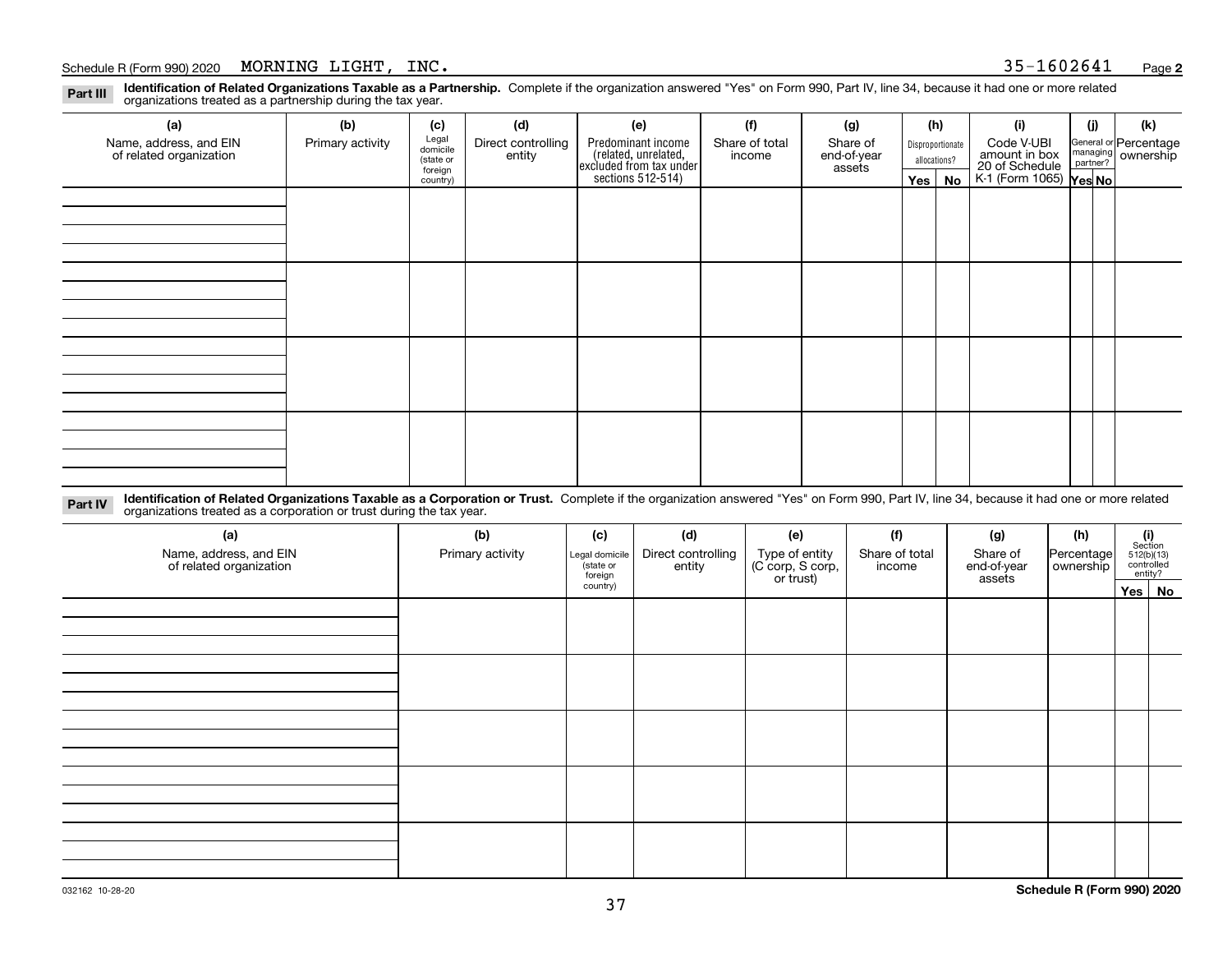### Schedule R (Form 990) 2020 Page MORNING LIGHT, INC. 35-1602641

**Identification of Related Organizations Taxable as a Partnership.** Complete if the organization answered "Yes" on Form 990, Part IV, line 34, because it had one or more related **Part III** organizations treated as a partnership during the tax year.

| (a)                                               | (b)              | (c)                  | (d)                          | (e)                                                                  | (f)                      | (g)                     |                                  | (h)      | (i)                                                       | (i) | (k)                                                     |
|---------------------------------------------------|------------------|----------------------|------------------------------|----------------------------------------------------------------------|--------------------------|-------------------------|----------------------------------|----------|-----------------------------------------------------------|-----|---------------------------------------------------------|
| Name, address, and EIN<br>of related organization | Primary activity | Legal<br>domicile    | Direct controlling<br>entity | Predominant income                                                   | Share of total<br>income | Share of<br>end-of-year | Disproportionate<br>allocations? |          | Code V-UBI                                                |     | General or Percentage<br>managing ownership<br>partner? |
|                                                   |                  | (state or<br>foreign |                              | (related, unrelated,<br>excluded from tax under<br>sections 512-514) |                          | assets                  |                                  |          |                                                           |     |                                                         |
|                                                   |                  | country)             |                              |                                                                      |                          |                         |                                  | Yes   No | amount in box<br>20 of Schedule<br>K-1 (Form 1065) Yes No |     |                                                         |
|                                                   |                  |                      |                              |                                                                      |                          |                         |                                  |          |                                                           |     |                                                         |
|                                                   |                  |                      |                              |                                                                      |                          |                         |                                  |          |                                                           |     |                                                         |
|                                                   |                  |                      |                              |                                                                      |                          |                         |                                  |          |                                                           |     |                                                         |
|                                                   |                  |                      |                              |                                                                      |                          |                         |                                  |          |                                                           |     |                                                         |
|                                                   |                  |                      |                              |                                                                      |                          |                         |                                  |          |                                                           |     |                                                         |
|                                                   |                  |                      |                              |                                                                      |                          |                         |                                  |          |                                                           |     |                                                         |
|                                                   |                  |                      |                              |                                                                      |                          |                         |                                  |          |                                                           |     |                                                         |
|                                                   |                  |                      |                              |                                                                      |                          |                         |                                  |          |                                                           |     |                                                         |
|                                                   |                  |                      |                              |                                                                      |                          |                         |                                  |          |                                                           |     |                                                         |
|                                                   |                  |                      |                              |                                                                      |                          |                         |                                  |          |                                                           |     |                                                         |
|                                                   |                  |                      |                              |                                                                      |                          |                         |                                  |          |                                                           |     |                                                         |
|                                                   |                  |                      |                              |                                                                      |                          |                         |                                  |          |                                                           |     |                                                         |
|                                                   |                  |                      |                              |                                                                      |                          |                         |                                  |          |                                                           |     |                                                         |
|                                                   |                  |                      |                              |                                                                      |                          |                         |                                  |          |                                                           |     |                                                         |
|                                                   |                  |                      |                              |                                                                      |                          |                         |                                  |          |                                                           |     |                                                         |
|                                                   |                  |                      |                              |                                                                      |                          |                         |                                  |          |                                                           |     |                                                         |
|                                                   |                  |                      |                              |                                                                      |                          |                         |                                  |          |                                                           |     |                                                         |

**Identification of Related Organizations Taxable as a Corporation or Trust.** Complete if the organization answered "Yes" on Form 990, Part IV, line 34, because it had one or more related **Part IV** organizations treated as a corporation or trust during the tax year.

| (a)<br>Name, address, and EIN<br>of related organization | (b)<br>Primary activity | (c)<br>Legal domicile<br>(state or<br>foreign | (d)<br>Direct controlling<br>entity | (e)<br>Type of entity<br>(C corp, S corp,<br>or trust) | (f)<br>Share of total<br>income | (g)<br>Share of<br>end-of-year<br>assets | (h)<br>Percentage<br>ownership | $\begin{array}{c} \textbf{(i)}\\ \text{Section}\\ 512 \text{(b)} \text{(13)}\\ \text{controlled} \\ \text{entity?} \end{array}$ |
|----------------------------------------------------------|-------------------------|-----------------------------------------------|-------------------------------------|--------------------------------------------------------|---------------------------------|------------------------------------------|--------------------------------|---------------------------------------------------------------------------------------------------------------------------------|
|                                                          |                         | country)                                      |                                     |                                                        |                                 |                                          |                                | Yes No                                                                                                                          |
|                                                          |                         |                                               |                                     |                                                        |                                 |                                          |                                |                                                                                                                                 |
|                                                          |                         |                                               |                                     |                                                        |                                 |                                          |                                |                                                                                                                                 |
|                                                          |                         |                                               |                                     |                                                        |                                 |                                          |                                |                                                                                                                                 |
|                                                          |                         |                                               |                                     |                                                        |                                 |                                          |                                |                                                                                                                                 |
|                                                          |                         |                                               |                                     |                                                        |                                 |                                          |                                |                                                                                                                                 |
|                                                          |                         |                                               |                                     |                                                        |                                 |                                          |                                |                                                                                                                                 |
|                                                          |                         |                                               |                                     |                                                        |                                 |                                          |                                |                                                                                                                                 |
|                                                          |                         |                                               |                                     |                                                        |                                 |                                          |                                |                                                                                                                                 |
|                                                          |                         |                                               |                                     |                                                        |                                 |                                          |                                |                                                                                                                                 |
|                                                          |                         |                                               |                                     |                                                        |                                 |                                          |                                |                                                                                                                                 |
|                                                          |                         |                                               |                                     |                                                        |                                 |                                          |                                |                                                                                                                                 |
|                                                          |                         |                                               |                                     |                                                        |                                 |                                          |                                |                                                                                                                                 |
|                                                          |                         |                                               |                                     |                                                        |                                 |                                          |                                |                                                                                                                                 |
|                                                          |                         |                                               |                                     |                                                        |                                 |                                          |                                |                                                                                                                                 |
|                                                          |                         |                                               |                                     |                                                        |                                 |                                          |                                |                                                                                                                                 |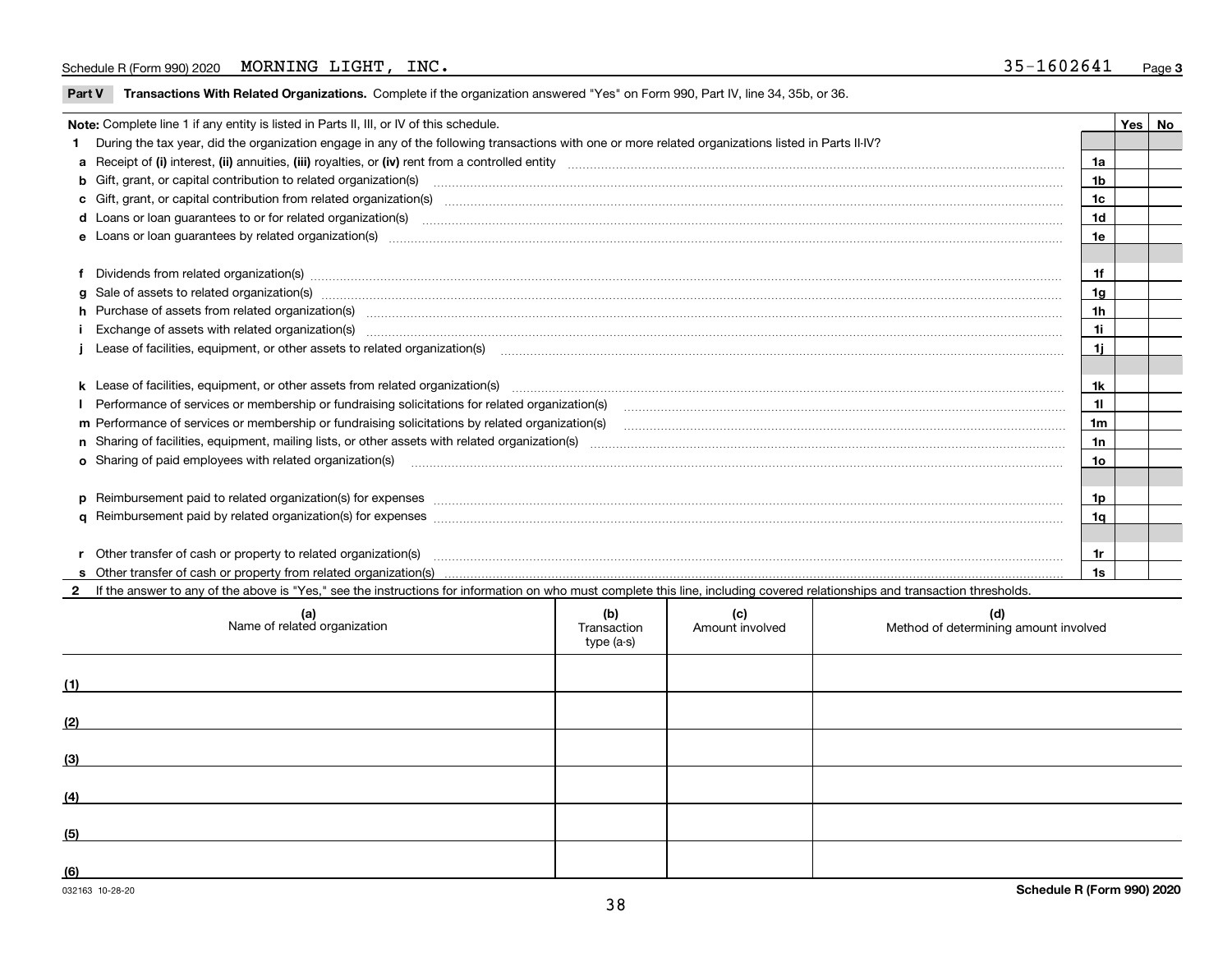**Part V** T**ransactions With Related Organizations.** Complete if the organization answered "Yes" on Form 990, Part IV, line 34, 35b, or 36.

| Note: Complete line 1 if any entity is listed in Parts II, III, or IV of this schedule. |                                                                                                                                                                                                                                |                |  |  |  |  |
|-----------------------------------------------------------------------------------------|--------------------------------------------------------------------------------------------------------------------------------------------------------------------------------------------------------------------------------|----------------|--|--|--|--|
|                                                                                         | 1 During the tax year, did the organization engage in any of the following transactions with one or more related organizations listed in Parts II-IV?                                                                          |                |  |  |  |  |
|                                                                                         |                                                                                                                                                                                                                                | 1a             |  |  |  |  |
|                                                                                         | b Gift, grant, or capital contribution to related organization(s) material contracts and contribution to related organization(s)                                                                                               | 1 <sub>b</sub> |  |  |  |  |
|                                                                                         | c Gift, grant, or capital contribution from related organization(s) matches contains and content and contribution from related organization(s) matches contains and contribution from related organization(s) matches contains | 1c             |  |  |  |  |
|                                                                                         | d Loans or loan guarantees to or for related organization(s) committion contracts are constrained as a contract or contract or contract or contract or contract or contract or contract or contract or contract or contract or | 1 <sub>d</sub> |  |  |  |  |
|                                                                                         |                                                                                                                                                                                                                                | 1e             |  |  |  |  |
|                                                                                         |                                                                                                                                                                                                                                |                |  |  |  |  |
|                                                                                         | f Dividends from related organization(s) manufactured contains and contained a series of the contact of the contact of the contact of the contact of the contact of the contact of the contact of the contact of the contact o | 1f             |  |  |  |  |
|                                                                                         | g Sale of assets to related organization(s) www.assettion.com/www.assettion.com/www.assettion.com/www.assettion.com/www.assettion.com/www.assettion.com/www.assettion.com/www.assettion.com/www.assettion.com/www.assettion.co | 1g             |  |  |  |  |
|                                                                                         | h Purchase of assets from related organization(s) www.assettion.com/www.assettion.com/www.assettion.com/www.assettion.com/www.assettion.com/www.assettion.com/www.assettion.com/www.assettion.com/www.assettion.com/www.assett | 1h             |  |  |  |  |
|                                                                                         | Exchange of assets with related organization(s) www.assettion.com/www.assettion.com/www.assettion.com/www.assettion.com/www.assettion.com/www.assettion.com/www.assettion.com/www.assettion.com/www.assettion.com/www.assettio | 11             |  |  |  |  |
|                                                                                         | Lease of facilities, equipment, or other assets to related organization(s) manufaction manufacture in the state of facilities, equipment, or other assets to related organization(s) manufacture in the substitution of the st | 1i.            |  |  |  |  |
|                                                                                         |                                                                                                                                                                                                                                |                |  |  |  |  |
|                                                                                         | k Lease of facilities, equipment, or other assets from related organization(s) manufaction content and content to the content of facilities, equipment, or other assets from related organization(s) manufaction content and c | 1k             |  |  |  |  |
|                                                                                         | Performance of services or membership or fundraising solicitations for related organization(s)                                                                                                                                 | 11             |  |  |  |  |
|                                                                                         | m Performance of services or membership or fundraising solicitations by related organization(s)                                                                                                                                | 1m             |  |  |  |  |
|                                                                                         |                                                                                                                                                                                                                                | 1n             |  |  |  |  |
|                                                                                         | o Sharing of paid employees with related organization(s) <b>contract to consumer contract to consumer any of paid employees</b> with related organization(s)                                                                   | 10             |  |  |  |  |
|                                                                                         |                                                                                                                                                                                                                                |                |  |  |  |  |
|                                                                                         | p Reimbursement paid to related organization(s) for expenses [111] and the material content of the set of the set of the set of the set of the set of the set of the set of the set of the set of the set of the set of the se | 1p             |  |  |  |  |
|                                                                                         |                                                                                                                                                                                                                                | 1q             |  |  |  |  |
|                                                                                         |                                                                                                                                                                                                                                |                |  |  |  |  |
|                                                                                         |                                                                                                                                                                                                                                | 1r             |  |  |  |  |
|                                                                                         |                                                                                                                                                                                                                                | 1s             |  |  |  |  |

| $\mathbf{2}$<br>If the answer to any of the above is "Yes," see the instructions for information on who must complete this line, including covered relationships and transaction thresholds. |                                  |                        |                                              |  |  |  |  |  |  |  |  |
|----------------------------------------------------------------------------------------------------------------------------------------------------------------------------------------------|----------------------------------|------------------------|----------------------------------------------|--|--|--|--|--|--|--|--|
| (a)<br>Name of related organization                                                                                                                                                          | (b)<br>Transaction<br>type (a-s) | (c)<br>Amount involved | (d)<br>Method of determining amount involved |  |  |  |  |  |  |  |  |
|                                                                                                                                                                                              |                                  |                        |                                              |  |  |  |  |  |  |  |  |
|                                                                                                                                                                                              |                                  |                        |                                              |  |  |  |  |  |  |  |  |
|                                                                                                                                                                                              |                                  |                        |                                              |  |  |  |  |  |  |  |  |
|                                                                                                                                                                                              |                                  |                        |                                              |  |  |  |  |  |  |  |  |
|                                                                                                                                                                                              |                                  |                        |                                              |  |  |  |  |  |  |  |  |
|                                                                                                                                                                                              |                                  |                        |                                              |  |  |  |  |  |  |  |  |
|                                                                                                                                                                                              |                                  |                        |                                              |  |  |  |  |  |  |  |  |

 $\overline{\phantom{a}}$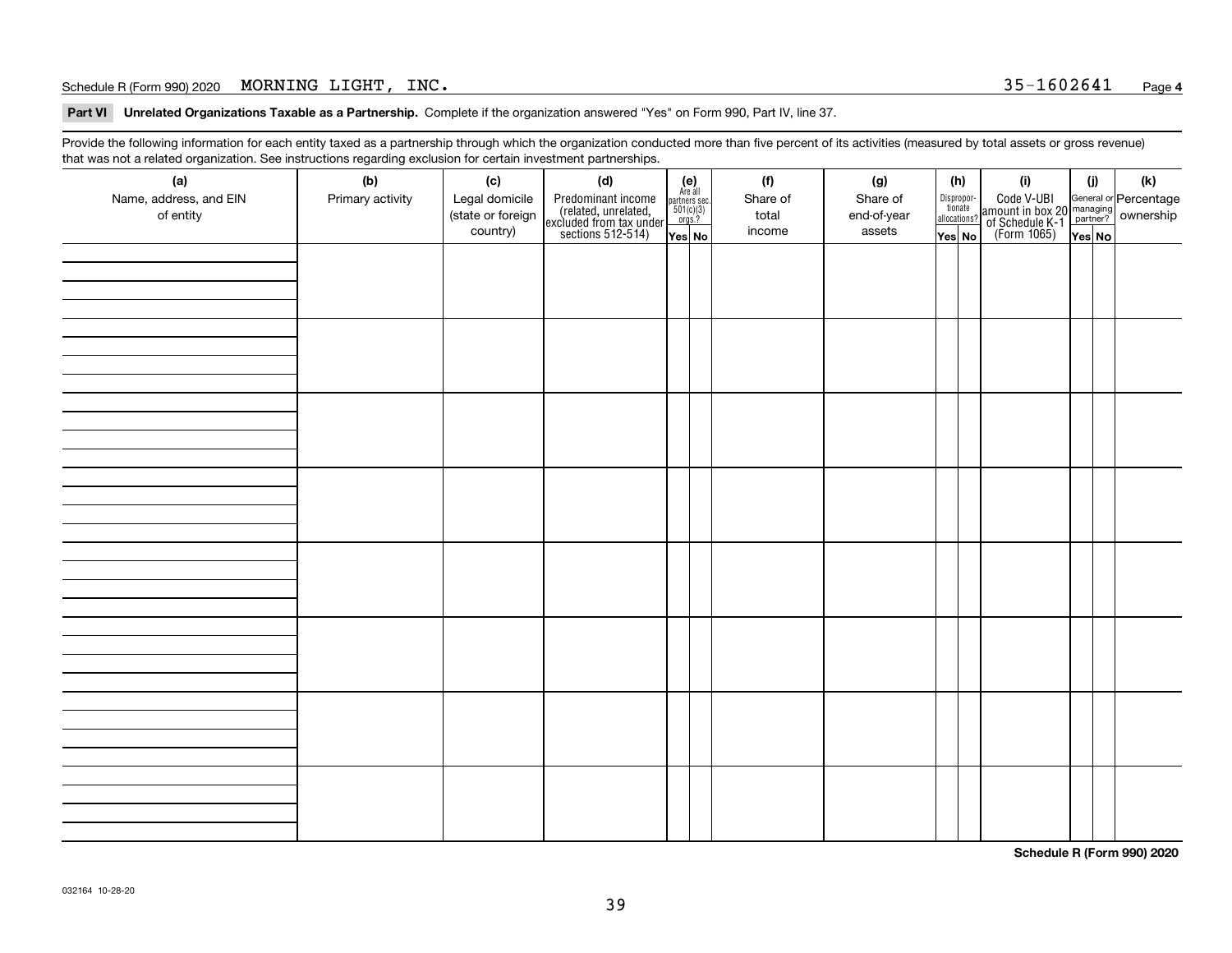## Schedule R (Form 990) 2020 Page MORNING LIGHT, INC. 35-1602641

**Part VI Unrelated Organizations Taxable as a Partnership. Complete if the organization answered "Yes" on Form 990, Part IV, line 37.** 

Provide the following information for each entity taxed as a partnership through which the organization conducted more than five percent of its activities (measured by total assets or gross revenue) that was not a related organization. See instructions regarding exclusion for certain investment partnerships.

| - - - - -<br>(a)<br>Name, address, and EIN<br>of entity | − ອ−<br>(b)<br>Primary activity | (c)<br>Legal domicile<br>(state or foreign<br>country) | (d)<br>Predominant income<br>(related, unrelated,<br>excluded from tax under<br>sections 512-514) | $\begin{array}{c} \textbf{(e)}\\ \text{Area all} \\ \text{partners sec.}\\ 501(c)(3) \\ \text{orgs.?} \end{array}$<br>Yes No | (f)<br>Share of<br>total<br>income | (g)<br>Share of<br>end-of-year<br>assets | (h)<br>Dispropor-<br>tionate<br>allocations?<br>Yes No | (i)<br>Code V-UBI<br>amount in box 20 managing<br>of Schedule K-1<br>(Form 1065)<br>$\overline{Yes}$ No | (i)<br>Yes No | (k) |
|---------------------------------------------------------|---------------------------------|--------------------------------------------------------|---------------------------------------------------------------------------------------------------|------------------------------------------------------------------------------------------------------------------------------|------------------------------------|------------------------------------------|--------------------------------------------------------|---------------------------------------------------------------------------------------------------------|---------------|-----|
|                                                         |                                 |                                                        |                                                                                                   |                                                                                                                              |                                    |                                          |                                                        |                                                                                                         |               |     |
|                                                         |                                 |                                                        |                                                                                                   |                                                                                                                              |                                    |                                          |                                                        |                                                                                                         |               |     |
|                                                         |                                 |                                                        |                                                                                                   |                                                                                                                              |                                    |                                          |                                                        |                                                                                                         |               |     |
|                                                         |                                 |                                                        |                                                                                                   |                                                                                                                              |                                    |                                          |                                                        |                                                                                                         |               |     |
|                                                         |                                 |                                                        |                                                                                                   |                                                                                                                              |                                    |                                          |                                                        |                                                                                                         |               |     |
|                                                         |                                 |                                                        |                                                                                                   |                                                                                                                              |                                    |                                          |                                                        |                                                                                                         |               |     |
|                                                         |                                 |                                                        |                                                                                                   |                                                                                                                              |                                    |                                          |                                                        |                                                                                                         |               |     |
|                                                         |                                 |                                                        |                                                                                                   |                                                                                                                              |                                    |                                          |                                                        |                                                                                                         |               |     |

**Schedule R (Form 990) 2020**